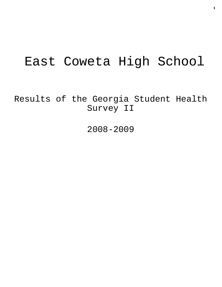# East Coweta High School

Results of the Georgia Student Health Survey II

2008-2009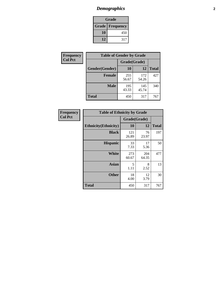# *Demographics* **2**

| Grade                    |     |  |  |
|--------------------------|-----|--|--|
| <b>Grade   Frequency</b> |     |  |  |
| 10                       | 450 |  |  |
| 12                       | 317 |  |  |

| Frequency      | <b>Table of Gender by Grade</b> |              |              |              |  |
|----------------|---------------------------------|--------------|--------------|--------------|--|
| <b>Col Pct</b> |                                 | Grade(Grade) |              |              |  |
|                | Gender(Gender)                  | 10           | 12           | <b>Total</b> |  |
|                | <b>Female</b>                   | 255<br>56.67 | 172<br>54.26 | 427          |  |
|                | <b>Male</b>                     | 195<br>43.33 | 145<br>45.74 | 340          |  |
|                | <b>Total</b>                    | 450          | 317          | 767          |  |

| Frequency<br>Col Pct |
|----------------------|

| <b>Table of Ethnicity by Grade</b> |              |              |              |  |  |
|------------------------------------|--------------|--------------|--------------|--|--|
|                                    |              | Grade(Grade) |              |  |  |
| <b>Ethnicity</b> (Ethnicity)       | 10           | 12           | <b>Total</b> |  |  |
| <b>Black</b>                       | 121<br>26.89 | 76<br>23.97  | 197          |  |  |
| <b>Hispanic</b>                    | 33<br>7.33   | 17<br>5.36   | 50           |  |  |
| White                              | 273<br>60.67 | 204<br>64.35 | 477          |  |  |
| <b>Asian</b>                       | 5<br>1.11    | 8<br>2.52    | 13           |  |  |
| <b>Other</b>                       | 18<br>4.00   | 12<br>3.79   | 30           |  |  |
| <b>Total</b>                       | 450          | 317          | 767          |  |  |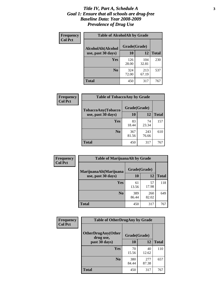#### *Title IV, Part A, Schedule A* **3** *Goal 1: Ensure that all schools are drug-free Baseline Data: Year 2008-2009 Prevalence of Drug Use*

| Frequency<br><b>Col Pct</b> | <b>Table of AlcoholAlt by Grade</b> |              |              |              |  |  |
|-----------------------------|-------------------------------------|--------------|--------------|--------------|--|--|
|                             | AlcoholAlt(Alcohol                  | Grade(Grade) |              |              |  |  |
|                             | use, past 30 days)                  | <b>10</b>    | 12           | <b>Total</b> |  |  |
|                             | <b>Yes</b>                          | 126<br>28.00 | 104<br>32.81 | 230          |  |  |
|                             | N <sub>0</sub>                      | 324<br>72.00 | 213<br>67.19 | 537          |  |  |
|                             | Total                               | 450          | 317          | 767          |  |  |

| <b>Frequency</b> | <b>Table of TobaccoAny by Grade</b> |              |              |              |  |
|------------------|-------------------------------------|--------------|--------------|--------------|--|
| <b>Col Pct</b>   | TobaccoAny(Tobacco                  | Grade(Grade) |              |              |  |
|                  | use, past 30 days)                  | 10           | 12           | <b>Total</b> |  |
|                  | Yes                                 | 83<br>18.44  | 74<br>23.34  | 157          |  |
|                  | N <sub>0</sub>                      | 367<br>81.56 | 243<br>76.66 | 610          |  |
|                  | Total                               | 450          | 317          | 767          |  |

| Frequency<br><b>Col Pct</b> | <b>Table of MarijuanaAlt by Grade</b> |              |              |              |
|-----------------------------|---------------------------------------|--------------|--------------|--------------|
|                             | MarijuanaAlt(Marijuana                | Grade(Grade) |              |              |
|                             | use, past 30 days)                    | <b>10</b>    | 12           | <b>Total</b> |
|                             | <b>Yes</b>                            | 61<br>13.56  | 57<br>17.98  | 118          |
|                             | N <sub>0</sub>                        | 389<br>86.44 | 260<br>82.02 | 649          |
|                             | <b>Total</b>                          | 450          | 317          | 767          |

| <b>Frequency</b> | <b>Table of OtherDrugAny by Grade</b>  |              |              |              |  |
|------------------|----------------------------------------|--------------|--------------|--------------|--|
| <b>Col Pct</b>   | <b>OtherDrugAny(Other</b><br>drug use, | Grade(Grade) |              |              |  |
|                  | past 30 days)                          | 10           | 12           | <b>Total</b> |  |
|                  | Yes                                    | 70<br>15.56  | 40<br>12.62  | 110          |  |
|                  | N <sub>0</sub>                         | 380<br>84.44 | 277<br>87.38 | 657          |  |
|                  | <b>Total</b>                           | 450          | 317          | 767          |  |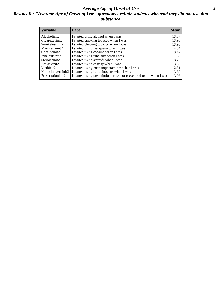#### *Average Age of Onset of Use* **4** *Results for "Average Age of Onset of Use" questions exclude students who said they did not use that substance*

| <b>Variable</b>       | Label                                                              | <b>Mean</b> |
|-----------------------|--------------------------------------------------------------------|-------------|
| Alcoholinit2          | I started using alcohol when I was                                 | 13.87       |
| Cigarettesinit2       | I started smoking tobacco when I was                               | 13.96       |
| Smokelessinit2        | I started chewing tobacco when I was                               | 13.98       |
| Marijuanainit2        | I started using marijuana when I was                               | 14.34       |
| Cocaineinit2          | I started using cocaine when I was                                 | 13.47       |
| Inhalantsinit2        | I started using inhalants when I was                               | 11.88       |
| Steroidsinit2         | I started using steroids when I was                                | 13.20       |
| Ecstasyinit2          | I started using ecstasy when I was                                 | 13.89       |
| Methinit <sub>2</sub> | I started using methamphetamines when I was                        | 12.81       |
| Hallucinogensinit2    | I started using hallucinogens when I was                           | 13.82       |
| Prescriptioninit2     | I started using prescription drugs not prescribed to me when I was | 13.95       |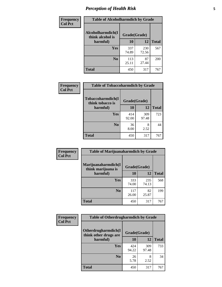# *Perception of Health Risk* **5**

| Frequency      | <b>Table of Alcoholharmdich by Grade</b>          |              |              |              |
|----------------|---------------------------------------------------|--------------|--------------|--------------|
| <b>Col Pct</b> | Alcoholharmdich(I<br>think alcohol is<br>harmful) | Grade(Grade) |              |              |
|                |                                                   | 10           | 12           | <b>Total</b> |
|                | Yes                                               | 337<br>74.89 | 230<br>72.56 | 567          |
|                | N <sub>0</sub>                                    | 113<br>25.11 | 87<br>27.44  | 200          |
|                | <b>Total</b>                                      | 450          | 317          | 767          |

| <b>Frequency</b> | <b>Table of Tobaccoharmdich by Grade</b>          |              |              |              |  |
|------------------|---------------------------------------------------|--------------|--------------|--------------|--|
| <b>Col Pct</b>   | Tobaccoharmdich(I<br>think tobacco is<br>harmful) | Grade(Grade) |              |              |  |
|                  |                                                   | 10           | 12           | <b>Total</b> |  |
|                  | Yes                                               | 414<br>92.00 | 309<br>97.48 | 723          |  |
|                  | N <sub>0</sub>                                    | 36<br>8.00   | 8<br>2.52    | 44           |  |
|                  | <b>Total</b>                                      | 450          | 317          | 767          |  |

| <b>Frequency</b> | <b>Table of Marijuanaharmdich by Grade</b> |              |              |              |  |
|------------------|--------------------------------------------|--------------|--------------|--------------|--|
| <b>Col Pct</b>   | Marijuanaharmdich(I<br>think marijuana is  | Grade(Grade) |              |              |  |
|                  | harmful)                                   | 10           | 12           | <b>Total</b> |  |
|                  | Yes                                        | 333<br>74.00 | 235<br>74.13 | 568          |  |
|                  | N <sub>0</sub>                             | 117<br>26.00 | 82<br>25.87  | 199          |  |
|                  | <b>Total</b>                               | 450          | 317          | 767          |  |

| Frequency      | <b>Table of Otherdrugharmdich by Grade</b>                   |              |              |              |  |  |
|----------------|--------------------------------------------------------------|--------------|--------------|--------------|--|--|
| <b>Col Pct</b> | Otherdrugharmdich(I<br>Grade(Grade)<br>think other drugs are |              |              |              |  |  |
|                | harmful)                                                     | 10           | <b>12</b>    | <b>Total</b> |  |  |
|                | <b>Yes</b>                                                   | 424<br>94.22 | 309<br>97.48 | 733          |  |  |
|                | N <sub>0</sub>                                               | 26<br>5.78   | 8<br>2.52    | 34           |  |  |
|                | <b>Total</b>                                                 | 450          | 317          | 767          |  |  |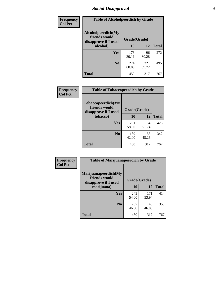# *Social Disapproval* **6**

| Frequency      | <b>Table of Alcoholpeerdich by Grade</b>                    |              |              |              |
|----------------|-------------------------------------------------------------|--------------|--------------|--------------|
| <b>Col Pct</b> | Alcoholpeerdich(My<br>friends would<br>disapprove if I used | Grade(Grade) |              |              |
|                | alcohol)                                                    | 10           | 12           | <b>Total</b> |
|                | <b>Yes</b>                                                  | 176<br>39.11 | 96<br>30.28  | 272          |
|                | N <sub>0</sub>                                              | 274<br>60.89 | 221<br>69.72 | 495          |
|                | <b>Total</b>                                                | 450          | 317          | 767          |

| <b>Frequency</b> |
|------------------|
| <b>Col Pct</b>   |

| <b>Table of Tobaccopeerdich by Grade</b>                    |              |              |              |  |  |
|-------------------------------------------------------------|--------------|--------------|--------------|--|--|
| Tobaccopeerdich(My<br>friends would<br>disapprove if I used | Grade(Grade) |              |              |  |  |
| tobacco)                                                    | 10           | 12           | <b>Total</b> |  |  |
| <b>Yes</b>                                                  | 261<br>58.00 | 164<br>51.74 | 425          |  |  |
| N <sub>0</sub>                                              | 189<br>42.00 | 153<br>48.26 | 342          |  |  |
| <b>Total</b>                                                | 450          | 317          | 767          |  |  |

| Frequency      | <b>Table of Marijuanapeerdich by Grade</b>                    |              |              |              |  |  |
|----------------|---------------------------------------------------------------|--------------|--------------|--------------|--|--|
| <b>Col Pct</b> | Marijuanapeerdich(My<br>friends would<br>disapprove if I used | Grade(Grade) |              |              |  |  |
|                | marijuana)                                                    | 10           | 12           | <b>Total</b> |  |  |
|                | <b>Yes</b>                                                    | 243<br>54.00 | 171<br>53.94 | 414          |  |  |
|                | N <sub>0</sub>                                                | 207<br>46.00 | 146<br>46.06 | 353          |  |  |
|                | <b>Total</b>                                                  | 450          | 317          | 767          |  |  |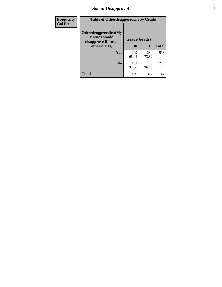# *Social Disapproval* **7**

| Frequency      | <b>Table of Otherdrugpeerdich by Grade</b>                    |              |              |              |  |  |
|----------------|---------------------------------------------------------------|--------------|--------------|--------------|--|--|
| <b>Col Pct</b> | Otherdrugpeerdich(My<br>friends would<br>disapprove if I used | Grade(Grade) |              |              |  |  |
|                | other drugs)                                                  | 10           | 12           | <b>Total</b> |  |  |
|                | Yes                                                           | 299<br>66.44 | 234<br>73.82 | 533          |  |  |
|                | N <sub>0</sub>                                                | 151<br>33.56 | 83<br>26.18  | 234          |  |  |
|                | <b>Total</b>                                                  | 450          | 317          | 767          |  |  |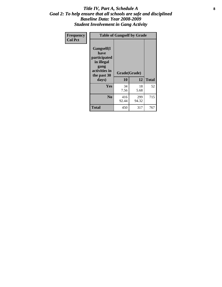#### Title IV, Part A, Schedule A **8** *Goal 2: To help ensure that all schools are safe and disciplined Baseline Data: Year 2008-2009 Student Involvement in Gang Activity*

| Frequency      |                                                                                                   | <b>Table of Gangself by Grade</b> |              |              |
|----------------|---------------------------------------------------------------------------------------------------|-----------------------------------|--------------|--------------|
| <b>Col Pct</b> | Gangself(I<br>have<br>participated<br>in illegal<br>gang<br>activities in<br>the past 30<br>days) | Grade(Grade)<br>10                | 12           | <b>Total</b> |
|                | Yes                                                                                               | 34<br>7.56                        | 18<br>5.68   | 52           |
|                | N <sub>0</sub>                                                                                    | 416<br>92.44                      | 299<br>94.32 | 715          |
|                | <b>Total</b>                                                                                      | 450                               | 317          | 767          |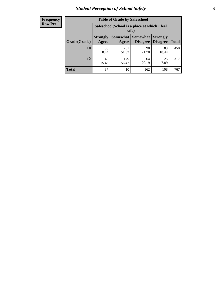# *Student Perception of School Safety* **9**

| <b>Frequency</b><br>Row Pct |
|-----------------------------|
|                             |

| <b>Table of Grade by Safeschool</b> |                          |                                                        |                             |                                    |              |  |
|-------------------------------------|--------------------------|--------------------------------------------------------|-----------------------------|------------------------------------|--------------|--|
|                                     |                          | Safeschool (School is a place at which I feel<br>safe) |                             |                                    |              |  |
| Grade(Grade)                        | <b>Strongly</b><br>Agree | <b>Somewhat</b><br>Agree                               | <b>Somewhat</b><br>Disagree | <b>Strongly</b><br><b>Disagree</b> | <b>Total</b> |  |
| 10                                  | 38<br>8.44               | 231<br>51.33                                           | 98<br>21.78                 | 83<br>18.44                        | 450          |  |
| 12                                  | 49<br>15.46              | 179<br>56.47                                           | 64<br>20.19                 | 25<br>7.89                         | 317          |  |
| <b>Total</b>                        | 87                       | 410                                                    | 162                         | 108                                | 767          |  |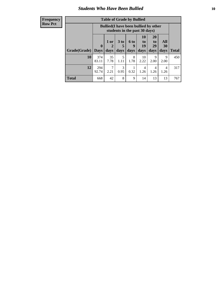### *Students Who Have Been Bullied* **10**

#### **Frequency Row Pct**

| <b>Table of Grade by Bullied</b> |                             |                                                                               |                              |                   |                               |                               |                   |              |
|----------------------------------|-----------------------------|-------------------------------------------------------------------------------|------------------------------|-------------------|-------------------------------|-------------------------------|-------------------|--------------|
|                                  |                             | <b>Bullied</b> (I have been bullied by other<br>students in the past 30 days) |                              |                   |                               |                               |                   |              |
| Grade(Grade)                     | $\mathbf{0}$<br><b>Days</b> | 1 or<br>2<br>days                                                             | 3 <sub>to</sub><br>5<br>days | 6 to<br>9<br>days | <b>10</b><br>to<br>19<br>days | <b>20</b><br>to<br>29<br>days | All<br>30<br>days | <b>Total</b> |
| 10                               | 374<br>83.11                | 35<br>7.78                                                                    | 5<br>1.11                    | 8<br>1.78         | 10<br>2.22                    | 9<br>2.00                     | 9<br>2.00         | 450          |
| 12                               | 294<br>92.74                | $\overline{7}$<br>2.21                                                        | 3<br>0.95                    | 0.32              | 4<br>1.26                     | 4<br>1.26                     | 4<br>1.26         | 317          |
| <b>Total</b>                     | 668                         | 42                                                                            | 8                            | 9                 | 14                            | 13                            | 13                | 767          |

 $\blacksquare$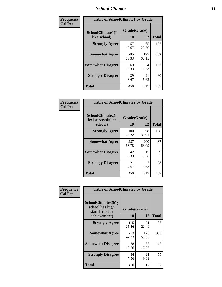### *School Climate* **11**

| <b>Frequency</b> | <b>Table of SchoolClimate1 by Grade</b> |                    |              |              |  |
|------------------|-----------------------------------------|--------------------|--------------|--------------|--|
| <b>Col Pct</b>   | SchoolClimate1(I<br>like school)        | Grade(Grade)<br>10 | 12           | <b>Total</b> |  |
|                  | <b>Strongly Agree</b>                   | 57<br>12.67        | 65<br>20.50  | 122          |  |
|                  | <b>Somewhat Agree</b>                   | 285<br>63.33       | 197<br>62.15 | 482          |  |
|                  | <b>Somewhat Disagree</b>                | 69<br>15.33        | 34<br>10.73  | 103          |  |
|                  | <b>Strongly Disagree</b>                | 39<br>8.67         | 21<br>6.62   | 60           |  |
|                  | <b>Total</b>                            | 450                | 317          | 767          |  |

| Frequency      | <b>Table of SchoolClimate2 by Grade</b>           |                           |                       |              |  |
|----------------|---------------------------------------------------|---------------------------|-----------------------|--------------|--|
| <b>Col Pct</b> | SchoolClimate2(I<br>feel successful at<br>school) | Grade(Grade)<br><b>10</b> | 12                    | <b>Total</b> |  |
|                | <b>Strongly Agree</b>                             | 100<br>22.22              | 98<br>30.91           | 198          |  |
|                | <b>Somewhat Agree</b>                             | 287<br>63.78              | 200<br>63.09          | 487          |  |
|                | <b>Somewhat Disagree</b>                          | 42<br>9.33                | 17<br>5.36            | 59           |  |
|                | <b>Strongly Disagree</b>                          | 21<br>4.67                | $\mathcal{D}$<br>0.63 | 23           |  |
|                | <b>Total</b>                                      | 450                       | 317                   | 767          |  |

| Frequency | <b>Table of SchoolClimate3 by Grade</b>                                      |                           |              |              |
|-----------|------------------------------------------------------------------------------|---------------------------|--------------|--------------|
| Col Pct   | <b>SchoolClimate3(My</b><br>school has high<br>standards for<br>achievement) | Grade(Grade)<br><b>10</b> | 12           | <b>Total</b> |
|           |                                                                              |                           |              |              |
|           | <b>Strongly Agree</b>                                                        | 115<br>25.56              | 71<br>22.40  | 186          |
|           | <b>Somewhat Agree</b>                                                        | 213<br>47.33              | 170<br>53.63 | 383          |
|           | <b>Somewhat Disagree</b>                                                     | 88<br>19.56               | 55<br>17.35  | 143          |
|           | <b>Strongly Disagree</b>                                                     | 34<br>7.56                | 21<br>6.62   | 55           |
|           | Total                                                                        | 450                       | 317          | 767          |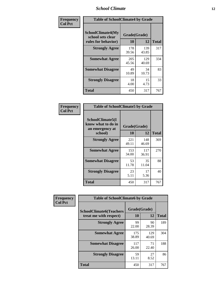### *School Climate* **12**

| Frequency      | <b>Table of SchoolClimate4 by Grade</b>                       |                    |              |              |
|----------------|---------------------------------------------------------------|--------------------|--------------|--------------|
| <b>Col Pct</b> | SchoolClimate4(My<br>school sets clear<br>rules for behavior) | Grade(Grade)<br>10 | 12           | <b>Total</b> |
|                | <b>Strongly Agree</b>                                         | 178<br>39.56       | 139<br>43.85 | 317          |
|                | <b>Somewhat Agree</b>                                         | 205<br>45.56       | 129<br>40.69 | 334          |
|                | <b>Somewhat Disagree</b>                                      | 49<br>10.89        | 34<br>10.73  | 83           |
|                | <b>Strongly Disagree</b>                                      | 18<br>4.00         | 15<br>4.73   | 33           |
|                | <b>Total</b>                                                  | 450                | 317          | 767          |

| <b>Table of SchoolClimate5 by Grade</b>                   |              |              |              |  |
|-----------------------------------------------------------|--------------|--------------|--------------|--|
| SchoolClimate5(I<br>know what to do in<br>an emergency at | Grade(Grade) |              |              |  |
| school)                                                   | 10           | 12           | <b>Total</b> |  |
| <b>Strongly Agree</b>                                     | 221<br>49.11 | 148<br>46.69 | 369          |  |
| <b>Somewhat Agree</b>                                     | 153<br>34.00 | 117<br>36.91 | 270          |  |
| <b>Somewhat Disagree</b>                                  | 53<br>11.78  | 35<br>11.04  | 88           |  |
| <b>Strongly Disagree</b>                                  | 23<br>5.11   | 17<br>5.36   | 40           |  |
| <b>Total</b>                                              | 450          | 317          | 767          |  |

| Frequency      | <b>Table of SchoolClimate6 by Grade</b>                  |                    |              |              |  |
|----------------|----------------------------------------------------------|--------------------|--------------|--------------|--|
| <b>Col Pct</b> | <b>SchoolClimate6(Teachers</b><br>treat me with respect) | Grade(Grade)<br>10 | 12           | <b>Total</b> |  |
|                | <b>Strongly Agree</b>                                    | 99<br>22.00        | 90<br>28.39  | 189          |  |
|                | <b>Somewhat Agree</b>                                    | 175<br>38.89       | 129<br>40.69 | 304          |  |
|                | <b>Somewhat Disagree</b>                                 | 117<br>26.00       | 71<br>22.40  | 188          |  |
|                | <b>Strongly Disagree</b>                                 | 59<br>13.11        | 27<br>8.52   | 86           |  |
|                | <b>Total</b>                                             | 450                | 317          | 767          |  |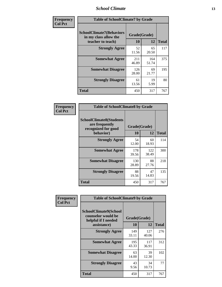### *School Climate* **13**

| Frequency      | <b>Table of SchoolClimate7 by Grade</b>                                       |                           |              |              |
|----------------|-------------------------------------------------------------------------------|---------------------------|--------------|--------------|
| <b>Col Pct</b> | <b>SchoolClimate7(Behaviors</b><br>in my class allow the<br>teacher to teach) | Grade(Grade)<br><b>10</b> | 12           | <b>Total</b> |
|                | <b>Strongly Agree</b>                                                         | 52<br>11.56               | 65<br>20.50  | 117          |
|                | <b>Somewhat Agree</b>                                                         | 211<br>46.89              | 164<br>51.74 | 375          |
|                | <b>Somewhat Disagree</b>                                                      | 126<br>28.00              | 69<br>21.77  | 195          |
|                | <b>Strongly Disagree</b>                                                      | 61<br>13.56               | 19<br>5.99   | 80           |
|                | <b>Total</b>                                                                  | 450                       | 317          | 767          |

| Frequency      | <b>Table of SchoolClimate8 by Grade</b>                                              |                    |              |              |
|----------------|--------------------------------------------------------------------------------------|--------------------|--------------|--------------|
| <b>Col Pct</b> | <b>SchoolClimate8(Students</b><br>are frequently<br>recognized for good<br>behavior) | Grade(Grade)<br>10 | 12           | <b>Total</b> |
|                | <b>Strongly Agree</b>                                                                | 54<br>12.00        | 60<br>18.93  | 114          |
|                | <b>Somewhat Agree</b>                                                                | 178<br>39.56       | 122<br>38.49 | 300          |
|                | <b>Somewhat Disagree</b>                                                             | 130<br>28.89       | 88<br>27.76  | 218          |
|                | <b>Strongly Disagree</b>                                                             | 88<br>19.56        | 47<br>14.83  | 135          |
|                | Total                                                                                | 450                | 317          | 767          |

| Frequency      | <b>Table of SchoolClimate9 by Grade</b>                                                  |                    |              |              |
|----------------|------------------------------------------------------------------------------------------|--------------------|--------------|--------------|
| <b>Col Pct</b> | <b>SchoolClimate9(School</b><br>counselor would be<br>helpful if I needed<br>assistance) | Grade(Grade)<br>10 | 12           | <b>Total</b> |
|                | <b>Strongly Agree</b>                                                                    | 149<br>33.11       | 127<br>40.06 | 276          |
|                | <b>Somewhat Agree</b>                                                                    | 195<br>43.33       | 117<br>36.91 | 312          |
|                | <b>Somewhat Disagree</b>                                                                 | 63<br>14.00        | 39<br>12.30  | 102          |
|                | <b>Strongly Disagree</b>                                                                 | 43<br>9.56         | 34<br>10.73  | 77           |
|                | <b>Total</b>                                                                             | 450                | 317          | 767          |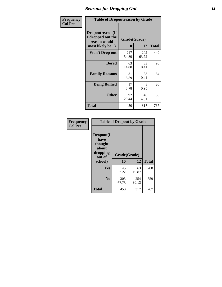### *Reasons for Dropping Out* **14**

| Frequency      | <b>Table of Dropoutreason by Grade</b>                                   |                    |              |              |
|----------------|--------------------------------------------------------------------------|--------------------|--------------|--------------|
| <b>Col Pct</b> | Dropoutreason(If<br>I dropped out the<br>reason would<br>most likely be) | Grade(Grade)<br>10 | 12           | <b>Total</b> |
|                | Won't Drop out                                                           | 247<br>54.89       | 202<br>63.72 | 449          |
|                | <b>Bored</b>                                                             | 63<br>14.00        | 33<br>10.41  | 96           |
|                | <b>Family Reasons</b>                                                    | 31<br>6.89         | 33<br>10.41  | 64           |
|                | <b>Being Bullied</b>                                                     | 17<br>3.78         | 3<br>0.95    | 20           |
|                | <b>Other</b>                                                             | 92<br>20.44        | 46<br>14.51  | 138          |
|                | Total                                                                    | 450                | 317          | 767          |

| Frequency      | <b>Table of Dropout by Grade</b>                                       |                    |              |              |  |
|----------------|------------------------------------------------------------------------|--------------------|--------------|--------------|--|
| <b>Col Pct</b> | Dropout(I<br>have<br>thought<br>about<br>dropping<br>out of<br>school) | Grade(Grade)<br>10 | 12           | <b>Total</b> |  |
|                | Yes                                                                    | 145<br>32.22       | 63<br>19.87  | 208          |  |
|                | N <sub>0</sub>                                                         | 305<br>67.78       | 254<br>80.13 | 559          |  |
|                | <b>Total</b>                                                           | 450                | 317          | 767          |  |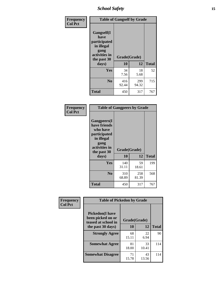*School Safety* **15**

| Frequency      | <b>Table of Gangself by Grade</b>                                                                         |                    |              |              |
|----------------|-----------------------------------------------------------------------------------------------------------|--------------------|--------------|--------------|
| <b>Col Pct</b> | <b>Gangself</b> (I<br>have<br>participated<br>in illegal<br>gang<br>activities in<br>the past 30<br>days) | Grade(Grade)<br>10 | 12           | <b>Total</b> |
|                | Yes                                                                                                       | 34<br>7.56         | 18<br>5.68   | 52           |
|                | N <sub>0</sub>                                                                                            | 416<br>92.44       | 299<br>94.32 | 715          |
|                | <b>Total</b>                                                                                              | 450                | 317          | 767          |

| Frequency<br><b>Col Pct</b> | <b>Table of Gangpeers by Grade</b>                                                                                     |                    |              |              |
|-----------------------------|------------------------------------------------------------------------------------------------------------------------|--------------------|--------------|--------------|
|                             | Gangpeers(I<br>have friends<br>who have<br>participated<br>in illegal<br>gang<br>activities in<br>the past 30<br>days) | Grade(Grade)<br>10 | 12           | <b>Total</b> |
|                             | <b>Yes</b>                                                                                                             | 140<br>31.11       | 59<br>18.61  | 199          |
|                             | N <sub>0</sub>                                                                                                         | 310<br>68.89       | 258<br>81.39 | 568          |
|                             | <b>Total</b>                                                                                                           | 450                | 317          | 767          |

| Frequency      | <b>Table of Pickedon by Grade</b>                                  |                          |             |              |
|----------------|--------------------------------------------------------------------|--------------------------|-------------|--------------|
| <b>Col Pct</b> | <b>Pickedon(I have</b><br>been picked on or<br>teased at school in | Grade(Grade)<br>12<br>10 |             |              |
|                | the past 30 days)                                                  |                          |             | <b>Total</b> |
|                | <b>Strongly Agree</b>                                              | 68<br>15.11              | 22<br>6.94  | 90           |
|                | <b>Somewhat Agree</b>                                              | 81<br>18.00              | 33<br>10.41 | 114          |
|                | <b>Somewhat Disagree</b>                                           | 71<br>15.78              | 43<br>13.56 | 114          |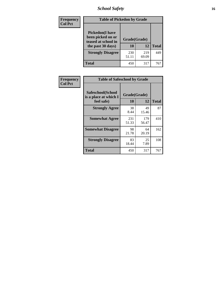# *School Safety* **16**

| Frequency      | <b>Table of Pickedon by Grade</b>                                                        |                    |              |              |
|----------------|------------------------------------------------------------------------------------------|--------------------|--------------|--------------|
| <b>Col Pct</b> | <b>Pickedon</b> (I have<br>been picked on or<br>teased at school in<br>the past 30 days) | Grade(Grade)<br>10 | 12           | <b>Total</b> |
|                | <b>Strongly Disagree</b>                                                                 | 230<br>51.11       | 219<br>69.09 | 449          |
|                | Total                                                                                    | 450                | 317          | 767          |

| Frequency      | <b>Table of Safeschool by Grade</b>                      |                    |              |              |
|----------------|----------------------------------------------------------|--------------------|--------------|--------------|
| <b>Col Pct</b> | Safeschool(School<br>is a place at which I<br>feel safe) | Grade(Grade)<br>10 | 12           | <b>Total</b> |
|                | <b>Strongly Agree</b>                                    | 38<br>8.44         | 49<br>15.46  | 87           |
|                | <b>Somewhat Agree</b>                                    | 231<br>51.33       | 179<br>56.47 | 410          |
|                | <b>Somewhat Disagree</b>                                 | 98<br>21.78        | 64<br>20.19  | 162          |
|                | <b>Strongly Disagree</b>                                 | 83<br>18.44        | 25<br>7.89   | 108          |
|                | <b>Total</b>                                             | 450                | 317          | 767          |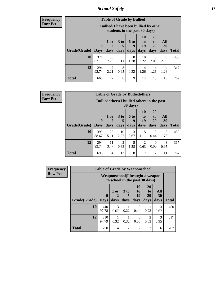*School Safety* **17**

| Frequency      |
|----------------|
| <b>Row Pct</b> |

| <b>Table of Grade by Bullied</b> |                                 |                                                                               |                              |                          |                        |                        |                          |              |  |  |  |
|----------------------------------|---------------------------------|-------------------------------------------------------------------------------|------------------------------|--------------------------|------------------------|------------------------|--------------------------|--------------|--|--|--|
|                                  |                                 | <b>Bullied</b> (I have been bullied by other<br>students in the past 30 days) |                              |                          |                        |                        |                          |              |  |  |  |
| Grade(Grade)                     | $\boldsymbol{0}$<br><b>Days</b> | $1$ or $\vert$<br>days                                                        | 3 <sub>to</sub><br>5<br>days | <b>6 to</b><br>9<br>days | 10<br>to<br>19<br>days | 20<br>to<br>29<br>days | <b>All</b><br>30<br>days | <b>Total</b> |  |  |  |
| 10                               | 374<br>83.11                    | 35<br>7.78                                                                    | 5<br>1.11                    | 8<br>1.78                | 10<br>2.22             | 9<br>2.00              | 9<br>2.00                | 450          |  |  |  |
| 12                               | 294<br>92.74                    | 2.21                                                                          | 3<br>0.95                    | 0.32                     | 4<br>1.26              | 4<br>1.26              | 4<br>1.26                | 317          |  |  |  |
| <b>Total</b>                     | 668                             | 42                                                                            | 8                            | 9                        | 14                     | 13                     | 13                       | 767          |  |  |  |

| <b>Frequency</b> |  |
|------------------|--|
| Row Pct          |  |

×

| V | <b>Table of Grade by Bulliedothers</b> |                             |                                                                         |              |                          |                               |                               |                          |              |  |  |  |
|---|----------------------------------------|-----------------------------|-------------------------------------------------------------------------|--------------|--------------------------|-------------------------------|-------------------------------|--------------------------|--------------|--|--|--|
|   |                                        |                             | <b>Bulliedothers</b> (I bullied others in the past<br>$30 \text{ days}$ |              |                          |                               |                               |                          |              |  |  |  |
|   | Grade(Grade)                           | $\mathbf{0}$<br><b>Days</b> | 1 or<br>$\overline{2}$<br>days                                          | 3 to<br>days | <b>6 to</b><br>9<br>days | <b>10</b><br>to<br>19<br>days | <b>20</b><br>to<br>29<br>days | All<br><b>30</b><br>days | <b>Total</b> |  |  |  |
|   | 10                                     | 399<br>88.67                | 23<br>5.11                                                              | 10<br>2.22   | 3<br>0.67                | 5<br>1.11                     | 0.44                          | 8<br>1.78                | 450          |  |  |  |
|   | 12                                     | 294<br>92.74                | 11<br>3.47                                                              | 2<br>0.63    | 5<br>1.58                | 2<br>0.63                     | 0<br>0.00                     | 3<br>0.95                | 317          |  |  |  |
|   | <b>Total</b>                           | 693                         | 34                                                                      | 12           | 8                        | 7                             | 2                             | 11                       | 767          |  |  |  |

| <b>Frequency</b> | <b>Table of Grade by Weaponschool</b> |                            |                                                                   |                |                        |                                    |                   |              |  |
|------------------|---------------------------------------|----------------------------|-------------------------------------------------------------------|----------------|------------------------|------------------------------------|-------------------|--------------|--|
| <b>Row Pct</b>   |                                       |                            | Weaponschool(I brought a weapon<br>to school in the past 30 days) |                |                        |                                    |                   |              |  |
|                  | Grade(Grade)                          | $\mathbf 0$<br><b>Days</b> | 1 or<br>days                                                      | 3 to<br>days   | 10<br>to<br>19<br>days | 20<br>t <sub>0</sub><br>29<br>days | All<br>30<br>days | <b>Total</b> |  |
|                  | 10                                    | 440<br>97.78               | $\mathcal{R}$<br>0.67                                             | 0.22           | $\mathcal{D}$<br>0.44  | 0.22                               | 3<br>0.67         | 450          |  |
|                  | 12                                    | 310<br>97.79               | 0.32                                                              | 0.32           | 0<br>0.00              | $\mathfrak{D}$<br>0.63             | 3<br>0.95         | 317          |  |
|                  | <b>Total</b>                          | 750                        | 4                                                                 | $\mathfrak{D}$ | $\mathfrak{D}$         | 3                                  | 6                 | 767          |  |

H.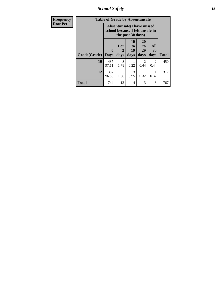*School Safety* **18**

| Frequency      |              | <b>Table of Grade by Absentunsafe</b>                                |                   |                                           |                        |                        |              |
|----------------|--------------|----------------------------------------------------------------------|-------------------|-------------------------------------------|------------------------|------------------------|--------------|
| <b>Row Pct</b> |              | <b>Absentunsafe(I have missed</b><br>school because I felt unsafe in |                   |                                           |                        |                        |              |
|                | Grade(Grade) | $\mathbf{0}$<br><b>Days</b>                                          | 1 or<br>2<br>days | <b>10</b><br>t <sub>o</sub><br>19<br>days | 20<br>to<br>29<br>days | All<br>30<br>days      | <b>Total</b> |
|                | 10           | 437<br>97.11                                                         | 8<br>1.78         | 0.22                                      | $\mathfrak{D}$<br>0.44 | $\mathfrak{D}$<br>0.44 | 450          |
|                | 12           | 307<br>96.85                                                         | 5<br>1.58         | 3<br>0.95                                 | 0.32                   | 0.32                   | 317          |
|                | <b>Total</b> | 744                                                                  | 13                | 4                                         | 3                      | 3                      | 767          |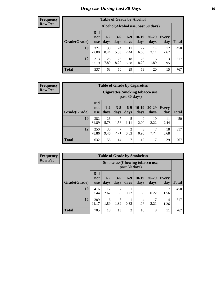# *Drug Use During Last 30 Days* **19**

#### **Frequency Row Pct**

| <b>Table of Grade by Alcohol</b> |                                 |                                     |                 |                 |                 |                   |                     |              |  |  |  |
|----------------------------------|---------------------------------|-------------------------------------|-----------------|-----------------|-----------------|-------------------|---------------------|--------------|--|--|--|
|                                  |                                 | Alcohol (Alcohol use, past 30 days) |                 |                 |                 |                   |                     |              |  |  |  |
| Grade(Grade)                     | <b>Did</b><br>not<br><b>use</b> | $1 - 2$<br>days                     | $3 - 5$<br>days | $6 - 9$<br>days | $10-19$<br>days | $20 - 29$<br>days | <b>Every</b><br>day | <b>Total</b> |  |  |  |
| 10                               | 324<br>72.00                    | 38<br>8.44                          | 24<br>5.33      | 11<br>2.44      | 27<br>6.00      | 14<br>3.11        | 12<br>2.67          | 450          |  |  |  |
| 12                               | 213<br>67.19                    | 25<br>7.89                          | 26<br>8.20      | 18<br>5.68      | 26<br>8.20      | 6<br>1.89         | 3<br>0.95           | 317          |  |  |  |
| <b>Total</b>                     | 537                             | 63                                  | 50              | 29              | 53              | 20                | 15                  | 767          |  |  |  |

#### **Frequency Row Pct**

| <b>Table of Grade by Cigarettes</b> |                                 |                                                          |                 |                        |                 |                   |                     |              |  |  |  |
|-------------------------------------|---------------------------------|----------------------------------------------------------|-----------------|------------------------|-----------------|-------------------|---------------------|--------------|--|--|--|
|                                     |                                 | <b>Cigarettes</b> (Smoking tobacco use,<br>past 30 days) |                 |                        |                 |                   |                     |              |  |  |  |
| Grade(Grade)                        | <b>Did</b><br>not<br><b>use</b> | $1 - 2$<br>days                                          | $3 - 5$<br>days | $6 - 9$<br>days        | $10-19$<br>days | $20 - 29$<br>days | <b>Every</b><br>day | <b>Total</b> |  |  |  |
| 10                                  | 382<br>84.89                    | 26<br>5.78                                               | 1.56            | 5<br>1.11              | 9<br>2.00       | 10<br>2.22        | 11<br>2.44          | 450          |  |  |  |
| 12                                  | 250<br>78.86                    | 30<br>9.46                                               | 7<br>2.21       | $\overline{c}$<br>0.63 | 3<br>0.95       | 2.21              | 18<br>5.68          | 317          |  |  |  |
| <b>Total</b>                        | 632                             | 56                                                       | 14              | 7                      | 12              | 17                | 29                  | 767          |  |  |  |

| <b>Table of Grade by Smokeless</b> |                                 |                                                        |                 |                 |                 |                   |              |              |  |  |  |
|------------------------------------|---------------------------------|--------------------------------------------------------|-----------------|-----------------|-----------------|-------------------|--------------|--------------|--|--|--|
|                                    |                                 | <b>Smokeless</b> (Chewing tobaccouse,<br>past 30 days) |                 |                 |                 |                   |              |              |  |  |  |
| Grade(Grade)                       | <b>Did</b><br>not<br><b>use</b> | $1 - 2$<br>days                                        | $3 - 5$<br>days | $6 - 9$<br>days | $10-19$<br>days | $20 - 29$<br>days | Every<br>day | <b>Total</b> |  |  |  |
| 10                                 | 416<br>92.44                    | 12<br>2.67                                             | 7<br>1.56       | 0.22            | 6<br>1.33       | 0.22              | 1.56         | 450          |  |  |  |
| 12                                 | 289<br>91.17                    | 6<br>1.89                                              | 6<br>1.89       | 0.32            | 4<br>1.26       | 2.21              | 4<br>1.26    | 317          |  |  |  |
| <b>Total</b>                       | 705                             | 18                                                     | 13              | 2               | 10              | 8                 | 11           | 767          |  |  |  |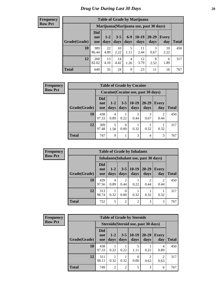| <b>Table of Grade by Marijuana</b> |                                 |               |                 |               |                 |                                         |                     |              |  |  |  |  |
|------------------------------------|---------------------------------|---------------|-----------------|---------------|-----------------|-----------------------------------------|---------------------|--------------|--|--|--|--|
|                                    |                                 |               |                 |               |                 | Marijuana (Marijuana use, past 30 days) |                     |              |  |  |  |  |
| Grade(Grade)                       | <b>Did</b><br>not<br><b>use</b> | $1-2$<br>days | $3 - 5$<br>days | $6-9$<br>days | $10-19$<br>days | 20-29<br>days                           | <b>Every</b><br>day | <b>Total</b> |  |  |  |  |
| 10                                 | 389<br>86.44                    | 22<br>4.89    | 10<br>2.22      | 5<br>1.11     | 11<br>2.44      | 3<br>0.67                               | 10<br>2.22          | 450          |  |  |  |  |
| 12                                 | 260<br>82.02                    | 13<br>4.10    | 14<br>4.42      | 4<br>1.26     | 12<br>3.79      | 8<br>2.52                               | 6<br>1.89           | 317          |  |  |  |  |
| <b>Total</b>                       | 649                             | 35            | 24              | 9             | 23              | 11                                      | 16                  | 767          |  |  |  |  |

| Frequency      | <b>Table of Grade by Cocaine</b>    |                                 |                 |                 |                 |                   |                        |              |
|----------------|-------------------------------------|---------------------------------|-----------------|-----------------|-----------------|-------------------|------------------------|--------------|
| <b>Row Pct</b> | Cocaine (Cocaine use, past 30 days) |                                 |                 |                 |                 |                   |                        |              |
|                | Grade(Grade)                        | <b>Did</b><br>not<br><b>use</b> | $1 - 2$<br>days | $3 - 5$<br>days | $10-19$<br>days | $20 - 29$<br>days | Every<br>day           | <b>Total</b> |
|                | 10                                  | 438<br>97.33                    | 4<br>0.89       | 0.22            | 2<br>0.44       | 3<br>0.67         | $\overline{c}$<br>0.44 | 450          |
|                | 12                                  | 309<br>97.48                    | 1.58            | 0<br>0.00       | 0.32            | 0.32              | 0.32                   | 317          |
|                | <b>Total</b>                        | 747                             | 9               |                 | 3               | $\overline{4}$    | 3                      | 767          |

| <b>Frequency</b> |  |
|------------------|--|
| <b>Row Pct</b>   |  |

| <b>Table of Grade by Inhalants</b>                                                                                                                 |              |           |                |                |                        |                                     |     |  |  |
|----------------------------------------------------------------------------------------------------------------------------------------------------|--------------|-----------|----------------|----------------|------------------------|-------------------------------------|-----|--|--|
| Inhalants (Inhalant use, past 30 days)                                                                                                             |              |           |                |                |                        |                                     |     |  |  |
| <b>Did</b><br>$10-19$<br>20-29<br>$3 - 5$<br>$1 - 2$<br>Every<br>not<br>Grade(Grade)<br>days<br>days<br>days<br>day<br>days<br>Total<br><b>use</b> |              |           |                |                |                        |                                     |     |  |  |
| 10                                                                                                                                                 | 439<br>97.56 | 4<br>0.89 | 2<br>0.44      | 0.22           | $\mathfrak{D}$<br>0.44 | $\mathcal{D}_{\mathcal{L}}$<br>0.44 | 450 |  |  |
| 12                                                                                                                                                 | 313<br>98.74 | 0.32      | 0.00           | 0.32           | 0.32                   | 0.32                                | 317 |  |  |
| <b>Total</b>                                                                                                                                       | 752          | 5         | $\overline{2}$ | $\overline{2}$ | 3                      | 3                                   | 767 |  |  |

| <b>Frequency</b> |
|------------------|
| <b>Row Pct</b>   |

| <b>Table of Grade by Steroids</b>                                                                                                                              |              |                                      |                |           |           |                        |     |  |  |  |
|----------------------------------------------------------------------------------------------------------------------------------------------------------------|--------------|--------------------------------------|----------------|-----------|-----------|------------------------|-----|--|--|--|
|                                                                                                                                                                |              | Steroids (Steroid use, past 30 days) |                |           |           |                        |     |  |  |  |
| <b>Did</b><br>$10-19$<br>20-29<br>$1-2$<br>$3 - 5$<br><b>Every</b><br>not<br>Grade(Grade)<br><b>Total</b><br>days<br>day<br>days<br>days<br>days<br><b>use</b> |              |                                      |                |           |           |                        |     |  |  |  |
| 10                                                                                                                                                             | 438<br>97.33 | 0.22                                 | 0.22           | 5<br>1.11 | 0.22      | 4<br>0.89              | 450 |  |  |  |
| 12                                                                                                                                                             | 311<br>98.11 | 0.32                                 | 0.32           | 0.00      | 2<br>0.63 | $\overline{c}$<br>0.63 | 317 |  |  |  |
| <b>Total</b>                                                                                                                                                   | 749          | $\overline{2}$                       | $\overline{2}$ | 5         | 3         | 6                      | 767 |  |  |  |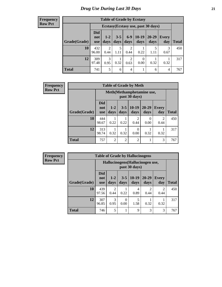| <b>Table of Grade by Ecstasy</b> |                                                                                                                                                          |                                     |           |                        |                  |      |                |     |  |
|----------------------------------|----------------------------------------------------------------------------------------------------------------------------------------------------------|-------------------------------------|-----------|------------------------|------------------|------|----------------|-----|--|
|                                  |                                                                                                                                                          | Ecstasy (Ecstasy use, past 30 days) |           |                        |                  |      |                |     |  |
| Grade(Grade)                     | <b>Did</b><br>$6-9$<br>$10-19$<br>20-29<br>$3 - 5$<br>$1-2$<br>Every<br>not<br>days<br>days<br>days<br><b>Total</b><br>days<br>day<br>days<br><b>use</b> |                                     |           |                        |                  |      |                |     |  |
| 10                               | 432<br>96.00                                                                                                                                             | $\overline{2}$<br>0.44              | 5<br>1.11 | $\overline{2}$<br>0.44 | 0.22             | 1.11 | 3<br>0.67      | 450 |  |
| 12                               | 309<br>97.48                                                                                                                                             | $\mathcal{R}$<br>0.95               | 0.32      | $\overline{2}$<br>0.63 | $\theta$<br>0.00 | 0.32 | 0.32           | 317 |  |
| <b>Total</b>                     | 741                                                                                                                                                      | 5                                   | 6         | $\overline{4}$         |                  | 6    | $\overline{4}$ | 767 |  |

| <b>Frequency</b> | <b>Table of Grade by Meth</b> |                                 |                                            |                 |                        |                       |                        |              |  |  |
|------------------|-------------------------------|---------------------------------|--------------------------------------------|-----------------|------------------------|-----------------------|------------------------|--------------|--|--|
| <b>Row Pct</b>   |                               |                                 | Meth(Methamphetamine use,<br>past 30 days) |                 |                        |                       |                        |              |  |  |
|                  | Grade(Grade)                  | <b>Did</b><br>not<br><b>use</b> | $1-2$<br>days                              | $3 - 5$<br>days | $10-19$<br>days        | $20 - 29$<br>days     | Every<br>day           | <b>Total</b> |  |  |
|                  | <b>10</b>                     | 444<br>98.67                    | 0.22                                       | 0.22            | $\overline{2}$<br>0.44 | $\mathcal{L}$<br>0.00 | $\overline{2}$<br>0.44 | 450          |  |  |
|                  | 12                            | 313<br>98.74                    | 0.32                                       | 0.32            | 0<br>0.00              | 0.32                  | 0.32                   | 317          |  |  |
|                  | <b>Total</b>                  | 757                             | $\overline{c}$                             | $\overline{2}$  | $\overline{2}$         |                       | 3                      | 767          |  |  |

| Frequency      | <b>Table of Grade by Hallucinogens</b> |                                 |                                                   |                  |                 |                   |                        |              |  |
|----------------|----------------------------------------|---------------------------------|---------------------------------------------------|------------------|-----------------|-------------------|------------------------|--------------|--|
| <b>Row Pct</b> |                                        |                                 | Hallucinogens (Hallucinogen use,<br>past 30 days) |                  |                 |                   |                        |              |  |
|                | Grade(Grade)                           | <b>Did</b><br>not<br><b>use</b> | $1-2$<br>days                                     | $3 - 5$<br>days  | $10-19$<br>days | $20 - 29$<br>days | Every<br>day           | <b>Total</b> |  |
|                | 10                                     | 439<br>97.56                    | 2<br>0.44                                         | 0.22             | 4<br>0.89       | っ<br>0.44         | $\overline{2}$<br>0.44 | 450          |  |
|                | 12                                     | 307<br>96.85                    | 3<br>0.95                                         | $\Omega$<br>0.00 | 5<br>1.58       | 0.32              | 0.32                   | 317          |  |
|                | <b>Total</b>                           | 746                             | 5                                                 |                  | 9               | 3                 | 3                      | 767          |  |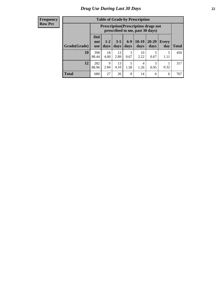| <b>Table of Grade by Prescription</b> |                                                                                                                                              |                                                                                  |            |           |            |           |           |              |  |
|---------------------------------------|----------------------------------------------------------------------------------------------------------------------------------------------|----------------------------------------------------------------------------------|------------|-----------|------------|-----------|-----------|--------------|--|
|                                       |                                                                                                                                              | <b>Prescription</b> (Prescription drugs not<br>prescribed to me, past 30 days)   |            |           |            |           |           |              |  |
| Grade(Grade)                          | <b>Did</b><br>$10-19$<br>$6 - 9$<br>20-29<br>$3 - 5$<br>$1 - 2$<br>Every<br>not<br>days<br>days<br>days<br>day<br>days<br>days<br><b>use</b> |                                                                                  |            |           |            |           |           | <b>Total</b> |  |
| 10                                    | 398<br>88.44                                                                                                                                 | 18<br>4.00                                                                       | 13<br>2.89 | 3<br>0.67 | 10<br>2.22 | 3<br>0.67 | 5<br>1.11 | 450          |  |
| 12                                    | 282<br>88.96                                                                                                                                 | $\mathbf Q$<br>5<br>13<br>3<br>4<br>1.58<br>0.95<br>4.10<br>1.26<br>0.32<br>2.84 |            |           |            |           |           |              |  |
| <b>Total</b>                          | 680                                                                                                                                          | 27                                                                               | 26         | 8         | 14         | 6         | 6         | 767          |  |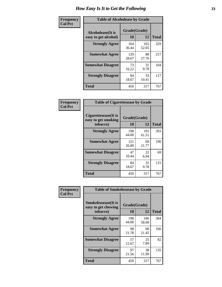| Frequency      | <b>Table of Alcoholease by Grade</b>              |                    |              |              |  |  |  |  |
|----------------|---------------------------------------------------|--------------------|--------------|--------------|--|--|--|--|
| <b>Col Pct</b> | <b>Alcoholease</b> (It is<br>easy to get alcohol) | Grade(Grade)<br>10 | 12           | <b>Total</b> |  |  |  |  |
|                | <b>Strongly Agree</b>                             | 164<br>36.44       | 165<br>52.05 | 329          |  |  |  |  |
|                | <b>Somewhat Agree</b>                             | 129<br>28.67       | 88<br>27.76  | 217          |  |  |  |  |
|                | <b>Somewhat Disagree</b>                          | 73<br>16.22        | 31<br>9.78   | 104          |  |  |  |  |
|                | <b>Strongly Disagree</b>                          | 84<br>18.67        | 33<br>10.41  | 117          |  |  |  |  |
|                | <b>Total</b>                                      | 450                | 317          | 767          |  |  |  |  |

| Frequency      | <b>Table of Cigarettesease by Grade</b>                  |                    |              |              |  |  |  |
|----------------|----------------------------------------------------------|--------------------|--------------|--------------|--|--|--|
| <b>Col Pct</b> | Cigarettesease (It is<br>easy to get smoking<br>tobacco) | Grade(Grade)<br>10 | 12           | <b>Total</b> |  |  |  |
|                | <b>Strongly Agree</b>                                    | 198<br>44.00       | 195<br>61.51 | 393          |  |  |  |
|                | <b>Somewhat Agree</b>                                    | 121<br>26.89       | 69<br>21.77  | 190          |  |  |  |
|                | <b>Somewhat Disagree</b>                                 | 47<br>10.44        | 22<br>6.94   | 69           |  |  |  |
|                | <b>Strongly Disagree</b>                                 | 84<br>18.67        | 31<br>9.78   | 115          |  |  |  |
|                | <b>Total</b>                                             | 450                | 317          | 767          |  |  |  |

| Frequency      | <b>Table of Smokelessease by Grade</b>                         |                    |              |              |  |  |  |  |  |  |
|----------------|----------------------------------------------------------------|--------------------|--------------|--------------|--|--|--|--|--|--|
| <b>Col Pct</b> | <b>Smokelessease</b> (It is<br>easy to get chewing<br>tobacco) | Grade(Grade)<br>10 | 12           | <b>Total</b> |  |  |  |  |  |  |
|                | <b>Strongly Agree</b>                                          | 198<br>44.00       | 186<br>58.68 | 384          |  |  |  |  |  |  |
|                | <b>Somewhat Agree</b>                                          | 98<br>21.78        | 68<br>21.45  | 166          |  |  |  |  |  |  |
|                | <b>Somewhat Disagree</b>                                       | 57<br>12.67        | 25<br>7.89   | 82           |  |  |  |  |  |  |
|                | <b>Strongly Disagree</b>                                       | 97<br>21.56        | 38<br>11.99  | 135          |  |  |  |  |  |  |
|                | <b>Total</b>                                                   | 450                | 317          | 767          |  |  |  |  |  |  |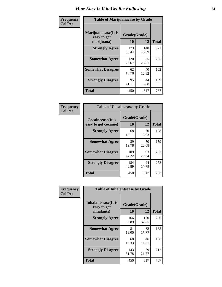| Frequency      | <b>Table of Marijuanaease by Grade</b>           |                    |              |              |  |  |  |  |  |  |
|----------------|--------------------------------------------------|--------------------|--------------|--------------|--|--|--|--|--|--|
| <b>Col Pct</b> | Marijuanaease(It is<br>easy to get<br>marijuana) | Grade(Grade)<br>10 | 12           | <b>Total</b> |  |  |  |  |  |  |
|                | <b>Strongly Agree</b>                            | 173<br>38.44       | 148<br>46.69 | 321          |  |  |  |  |  |  |
|                | <b>Somewhat Agree</b>                            | 120<br>26.67       | 85<br>26.81  | 205          |  |  |  |  |  |  |
|                | <b>Somewhat Disagree</b>                         | 62<br>13.78        | 40<br>12.62  | 102          |  |  |  |  |  |  |
|                | <b>Strongly Disagree</b>                         | 95<br>21.11        | 44<br>13.88  | 139          |  |  |  |  |  |  |
|                | <b>Total</b>                                     | 450                | 317          | 767          |  |  |  |  |  |  |

| <b>Table of Cocaineease by Grade</b>              |                    |             |              |  |  |  |  |  |  |
|---------------------------------------------------|--------------------|-------------|--------------|--|--|--|--|--|--|
| <b>Cocaineease</b> (It is<br>easy to get cocaine) | Grade(Grade)<br>10 | 12          | <b>Total</b> |  |  |  |  |  |  |
| <b>Strongly Agree</b>                             | 68<br>15.11        | 60<br>18.93 | 128          |  |  |  |  |  |  |
| <b>Somewhat Agree</b>                             | 89<br>19.78        | 70<br>22.08 | 159          |  |  |  |  |  |  |
| <b>Somewhat Disagree</b>                          | 109<br>24.22       | 93<br>29.34 | 202          |  |  |  |  |  |  |
| <b>Strongly Disagree</b>                          | 184<br>40.89       | 94<br>29.65 | 278          |  |  |  |  |  |  |
| <b>Total</b>                                      | 450                | 317         | 767          |  |  |  |  |  |  |

| Frequency      | <b>Table of Inhalantsease by Grade</b>     |              |              |              |  |  |  |  |  |
|----------------|--------------------------------------------|--------------|--------------|--------------|--|--|--|--|--|
| <b>Col Pct</b> | <b>Inhalantsease</b> (It is<br>easy to get | Grade(Grade) |              |              |  |  |  |  |  |
|                | inhalants)                                 | <b>10</b>    | 12           | <b>Total</b> |  |  |  |  |  |
|                | <b>Strongly Agree</b>                      | 166<br>36.89 | 120<br>37.85 | 286          |  |  |  |  |  |
|                | <b>Somewhat Agree</b>                      | 81<br>18.00  | 82<br>25.87  | 163          |  |  |  |  |  |
|                | <b>Somewhat Disagree</b>                   | 60<br>13.33  | 46<br>14.51  | 106          |  |  |  |  |  |
|                | <b>Strongly Disagree</b>                   | 143<br>31.78 | 69<br>21.77  | 212          |  |  |  |  |  |
|                | <b>Total</b>                               | 450          | 317          | 767          |  |  |  |  |  |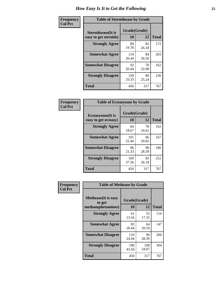| Frequency      |                                                     | <b>Table of Steroidsease by Grade</b> |             |              |  |  |  |  |  |
|----------------|-----------------------------------------------------|---------------------------------------|-------------|--------------|--|--|--|--|--|
| <b>Col Pct</b> | <b>Steroidsease</b> (It is<br>easy to get steroids) | Grade(Grade)<br>10                    | 12          | <b>Total</b> |  |  |  |  |  |
|                | <b>Strongly Agree</b>                               | 89<br>19.78                           | 83<br>26.18 | 172          |  |  |  |  |  |
|                | <b>Somewhat Agree</b>                               | 119<br>26.44                          | 84<br>26.50 | 203          |  |  |  |  |  |
|                | <b>Somewhat Disagree</b>                            | 92<br>20.44                           | 70<br>22.08 | 162          |  |  |  |  |  |
|                | <b>Strongly Disagree</b>                            | 150<br>33.33                          | 80<br>25.24 | 230          |  |  |  |  |  |
|                | <b>Total</b>                                        | 450                                   | 317         | 767          |  |  |  |  |  |

| Frequency      | <b>Table of Ecstasyease by Grade</b>              |                    |             |              |  |  |  |  |  |  |
|----------------|---------------------------------------------------|--------------------|-------------|--------------|--|--|--|--|--|--|
| <b>Col Pct</b> | <b>Ecstasyease</b> (It is<br>easy to get ecstasy) | Grade(Grade)<br>10 | 12          | <b>Total</b> |  |  |  |  |  |  |
|                | <b>Strongly Agree</b>                             | 84<br>18.67        | 78<br>24.61 | 162          |  |  |  |  |  |  |
|                | <b>Somewhat Agree</b>                             | 101<br>22.44       | 66<br>20.82 | 167          |  |  |  |  |  |  |
|                | <b>Somewhat Disagree</b>                          | 96<br>21.33        | 90<br>28.39 | 186          |  |  |  |  |  |  |
|                | <b>Strongly Disagree</b>                          | 169<br>37.56       | 83<br>26.18 | 252          |  |  |  |  |  |  |
|                | <b>Total</b>                                      | 450                | 317         | 767          |  |  |  |  |  |  |

| Frequency      | <b>Table of Methease by Grade</b>                          |                    |              |              |
|----------------|------------------------------------------------------------|--------------------|--------------|--------------|
| <b>Col Pct</b> | <b>Methease</b> (It is easy<br>to get<br>methamphetamines) | Grade(Grade)<br>10 | 12           | <b>Total</b> |
|                | <b>Strongly Agree</b>                                      | 61<br>13.56        | 55<br>17.35  | 116          |
|                | <b>Somewhat Agree</b>                                      | 83<br>18.44        | 64<br>20.19  | 147          |
|                | <b>Somewhat Disagree</b>                                   | 110<br>24.44       | 90<br>28.39  | 200          |
|                | <b>Strongly Disagree</b>                                   | 196<br>43.56       | 108<br>34.07 | 304          |
|                | Total                                                      | 450                | 317          | 767          |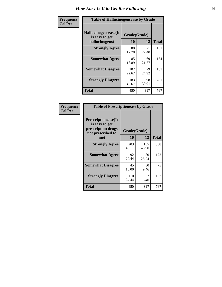| <b>Frequency</b> | <b>Table of Hallucinogensease by Grade</b>               |                    |             |              |  |  |  |  |  |  |
|------------------|----------------------------------------------------------|--------------------|-------------|--------------|--|--|--|--|--|--|
| <b>Col Pct</b>   | Hallucinogensease(It<br>is easy to get<br>hallucinogens) | Grade(Grade)<br>10 | 12          | <b>Total</b> |  |  |  |  |  |  |
|                  | <b>Strongly Agree</b>                                    | 80<br>17.78        | 71<br>22.40 | 151          |  |  |  |  |  |  |
|                  | <b>Somewhat Agree</b>                                    | 85<br>18.89        | 69<br>21.77 | 154          |  |  |  |  |  |  |
|                  | <b>Somewhat Disagree</b>                                 | 102<br>22.67       | 79<br>24.92 | 181          |  |  |  |  |  |  |
|                  | <b>Strongly Disagree</b>                                 | 183<br>40.67       | 98<br>30.91 | 281          |  |  |  |  |  |  |
|                  | <b>Total</b>                                             | 450                | 317         | 767          |  |  |  |  |  |  |

| Frequency<br>  Col Pct |
|------------------------|

| <b>Table of Prescriptionease by Grade</b>                                                |              |              |              |  |  |  |  |  |  |
|------------------------------------------------------------------------------------------|--------------|--------------|--------------|--|--|--|--|--|--|
| <b>Prescriptionease</b> (It<br>is easy to get<br>prescription drugs<br>not prescribed to |              | Grade(Grade) |              |  |  |  |  |  |  |
| me)                                                                                      | 10           | 12           | <b>Total</b> |  |  |  |  |  |  |
| <b>Strongly Agree</b>                                                                    | 203<br>45.11 | 155<br>48.90 | 358          |  |  |  |  |  |  |
| <b>Somewhat Agree</b>                                                                    | 92<br>20.44  | 80<br>25.24  | 172          |  |  |  |  |  |  |
| <b>Somewhat Disagree</b>                                                                 | 45<br>10.00  | 30<br>9.46   | 75           |  |  |  |  |  |  |
| <b>Strongly Disagree</b>                                                                 | 110<br>24.44 | 52<br>16.40  | 162          |  |  |  |  |  |  |
| <b>Total</b>                                                                             | 450          | 317          | 767          |  |  |  |  |  |  |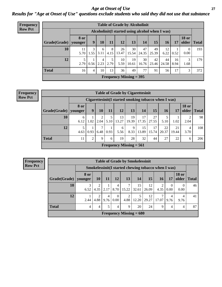*Age at Onset of Use* **27** *Results for "Age at Onset of Use" questions exclude students who said they did not use that substance*

| <b>Frequency</b> |              |                        |                                                  |           |           |             | <b>Table of Grade by Alcoholinit</b> |             |             |             |            |                       |              |
|------------------|--------------|------------------------|--------------------------------------------------|-----------|-----------|-------------|--------------------------------------|-------------|-------------|-------------|------------|-----------------------|--------------|
| <b>Row Pct</b>   |              |                        | Alcoholinit (I started using alcohol when I was) |           |           |             |                                      |             |             |             |            |                       |              |
|                  | Grade(Grade) | <b>8 or</b><br>younger | 9                                                | 10        | 11        | 12          | 13                                   | 14          | 15          | 16          | 17         | <b>18 or</b><br>older | <b>Total</b> |
|                  | 10           | 5.70                   | 3<br>1.55                                        | 6<br>3.11 | 8<br>4.15 | 26<br>13.47 | 30<br>15.54                          | 47<br>24.35 | 49<br>25.39 | 12<br>6.22  | 0.52       | $\Omega$<br>0.00      | 193          |
|                  | 12           | 2.79                   | 0.56                                             | 4<br>2.23 | 5<br>2.79 | 10<br>5.59  | 19<br>10.61                          | 30<br>16.76 | 42<br>23.46 | 44<br>24.58 | 16<br>8.94 | 3<br>1.68             | 179          |
|                  | <b>Total</b> | 16                     | 4                                                | 10        | 13        | 36          | 49                                   | 77          | 91          | 56          | 17         | 3                     | 372          |
|                  |              |                        |                                                  |           |           |             | Frequency Missing $=$ 395            |             |             |             |            |                       |              |

| <b>Table of Grade by Cigarettesinit</b> |                                                            |                                                                                            |           |           |                           |             |             |             |             |             |           |     |
|-----------------------------------------|------------------------------------------------------------|--------------------------------------------------------------------------------------------|-----------|-----------|---------------------------|-------------|-------------|-------------|-------------|-------------|-----------|-----|
|                                         | Cigarettesinit(I started smoking tobacco when I was)       |                                                                                            |           |           |                           |             |             |             |             |             |           |     |
| Grade(Grade)                            | 8 or<br>younger                                            | <b>18 or</b><br>9<br>12<br>13<br>15<br>11<br>14<br>older<br>17<br><b>Total</b><br>10<br>16 |           |           |                           |             |             |             |             |             |           |     |
| 10                                      | 6<br>6.12                                                  | 1.02                                                                                       | 2.04      | 5<br>5.10 | 13<br>13.27               | 19<br>19.39 | 17<br>17.35 | 27<br>27.55 | 5.10        | 1.02        | 2.04      | 98  |
| 12                                      | 4.63                                                       | 0.93                                                                                       | ⇁<br>6.48 | 0.93      | 6<br>5.56                 | 9<br>8.33   | 15<br>13.89 | 17<br>15.74 | 22<br>20.37 | 21<br>19.44 | 4<br>3.70 | 108 |
| <b>Total</b>                            | 28<br>32<br>27<br>22<br>11<br>↑<br>6<br>19<br>9<br>44<br>6 |                                                                                            |           |           |                           |             |             |             |             | 206         |           |     |
|                                         |                                                            |                                                                                            |           |           | Frequency Missing $= 561$ |             |             |             |             |             |           |     |

| <b>Table of Grade by Smokelessinit</b> |                                                      |                |                        |                  |                           |             |             |       |                  |                       |              |  |
|----------------------------------------|------------------------------------------------------|----------------|------------------------|------------------|---------------------------|-------------|-------------|-------|------------------|-----------------------|--------------|--|
|                                        | Smokelessinit (I started chewing tobacco when I was) |                |                        |                  |                           |             |             |       |                  |                       |              |  |
| Grade(Grade)                           | 8 or<br>younger                                      | <b>10</b>      | 11                     | 12               | 13                        | <b>14</b>   | 15          | 16    | 17               | <b>18 or</b><br>older | <b>Total</b> |  |
| 10                                     | 3<br>6.52                                            | 4.35           | 2.17                   | 4<br>8.70        | 7<br>15.22                | 15<br>32.61 | 12<br>26.09 | 4.35  | $\theta$<br>0.00 | $\Omega$<br>0.00      | 46           |  |
| 12                                     | 2.44                                                 | 4.88           | $\overline{4}$<br>9.76 | $\theta$<br>0.00 | $\overline{c}$<br>4.88    | 5<br>12.20  | 12<br>29.27 | 17.07 | 9.76             | 4<br>9.76             | 41           |  |
| <b>Total</b>                           | 4                                                    | $\overline{4}$ | 5                      | 4                | 9                         | 20          | 24          | 9     | 4                | 4                     | 87           |  |
|                                        |                                                      |                |                        |                  | Frequency Missing $= 680$ |             |             |       |                  |                       |              |  |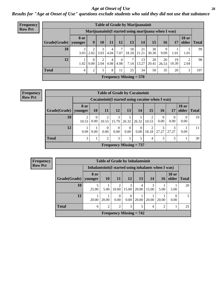#### *Age at Onset of Use* **28**

*Results for "Age at Onset of Use" questions exclude students who said they did not use that substance*

| <b>Frequency</b> |              |                        |                  |           |           |           |                                             | <b>Table of Grade by Marijuanainit</b>               |             |             |             |                                |              |
|------------------|--------------|------------------------|------------------|-----------|-----------|-----------|---------------------------------------------|------------------------------------------------------|-------------|-------------|-------------|--------------------------------|--------------|
| <b>Row Pct</b>   |              |                        |                  |           |           |           |                                             | Marijuanainit (I started using marijuana when I was) |             |             |             |                                |              |
|                  | Grade(Grade) | <b>8 or</b><br>vounger | 9                | 10        | 11        | 12        | 13                                          | 14                                                   | 15          | 16          | 17          | <b>18 or</b><br>$\Omega$ older | <b>Total</b> |
|                  | 10           | 3<br>3.03              | 2<br>2.02        | 3<br>3.03 | 4<br>4.04 | 7.07      | 18<br>18.18                                 | 21<br>21.21                                          | 30<br>30.30 | 9.09        | 1.01        | 1.01                           | 99           |
|                  | 12           | 1.02                   | $\Omega$<br>0.00 | 2.04      | 4.08      | 4<br>4.08 | 7<br>7.14                                   | 13<br>13.27                                          | 20<br>20.41 | 26<br>26.53 | 19<br>19.39 | ာ<br>2.04                      | 98           |
|                  | <b>Total</b> | $\overline{4}$         | 2                | 5         | 8         | 11        | 25                                          | 34                                                   | 50          | 35          | 20          | 3                              | 197          |
|                  |              |                        |                  |           |           |           | <b>Frequency Missing = <math>570</math></b> |                                                      |             |             |             |                                |              |

**Frequency Row Pct**

|                           | <b>Table of Grade by Cocaineinit</b>            |                                                                                                                              |                                                    |                  |                  |                  |            |            |            |      |    |  |  |  |  |
|---------------------------|-------------------------------------------------|------------------------------------------------------------------------------------------------------------------------------|----------------------------------------------------|------------------|------------------|------------------|------------|------------|------------|------|----|--|--|--|--|
|                           |                                                 |                                                                                                                              | Cocaine in it (I started using cocaine when I was) |                  |                  |                  |            |            |            |      |    |  |  |  |  |
| Grade(Grade)              | 8 or<br>younger                                 | <b>18 or</b><br><b>12</b><br>13<br>15<br>10<br>older<br><b>16</b><br><b>11</b><br>14<br>17<br><b>Total</b>                   |                                                    |                  |                  |                  |            |            |            |      |    |  |  |  |  |
| 10                        | 2<br>10.53                                      | 3<br>5<br>2<br>$\theta$<br>$\theta$<br>$\theta$<br>0.00<br>15.79<br>26.32<br>26.32<br>0.00<br>0.00<br>10.53<br>10.53<br>0.00 |                                                    |                  |                  |                  |            |            |            |      |    |  |  |  |  |
| 12                        | 9.09                                            | 9.09                                                                                                                         | 0.00                                               | $\theta$<br>0.00 | $\theta$<br>0.00 | $\Omega$<br>0.00 | 2<br>18.18 | 3<br>27.27 | 3<br>27.27 | 9.09 | 11 |  |  |  |  |
| <b>Total</b>              | 3<br>3<br>5<br>5<br>3<br>3<br>30<br>1<br>2<br>4 |                                                                                                                              |                                                    |                  |                  |                  |            |            |            |      |    |  |  |  |  |
| Frequency Missing $= 737$ |                                                 |                                                                                                                              |                                                    |                  |                  |                  |            |            |            |      |    |  |  |  |  |

| <b>Frequency</b> |                        |                                                      |                |                             | <b>Table of Grade by Inhalantsinit</b> |                 |            |                |                       |               |
|------------------|------------------------|------------------------------------------------------|----------------|-----------------------------|----------------------------------------|-----------------|------------|----------------|-----------------------|---------------|
| <b>Row Pct</b>   |                        | Inhalantsinit (I started using inhalants when I was) |                |                             |                                        |                 |            |                |                       |               |
|                  | Grade(Grade)   younger | 8 or                                                 | <b>10</b>      | 11                          | <b>12</b>                              | 13 <sup>1</sup> | 14         | 16             | <b>18 or</b><br>older | <b>Total</b>  |
|                  | 10                     | 25.00                                                | 5.00           | 10.00                       | 3<br>15.00                             | 4<br>20.00      | 3<br>15.00 | 5.00           | 5.00                  | 20            |
|                  | 12                     | 20.00                                                | 20.00          | $\Omega$<br>0.00            | $\theta$<br>0.00                       | 20.00           | 20.00      | 20.00          | $\Omega$<br>0.00      | $\mathcal{F}$ |
|                  | <b>Total</b>           | 6                                                    | $\overline{2}$ | $\mathcal{D}_{\mathcal{L}}$ | 3                                      | 5               | 4          | $\overline{2}$ |                       | 25            |
|                  |                        |                                                      |                |                             | <b>Frequency Missing = 742</b>         |                 |            |                |                       |               |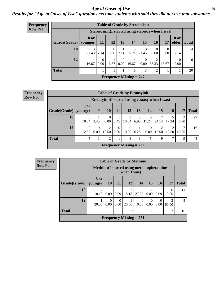#### *Age at Onset of Use* **29**

*Results for "Age at Onset of Use" questions exclude students who said they did not use that substance*

| <b>Frequency</b> |              |                        |                  |                                     |                  | <b>Table of Grade by Steroidsinit</b>              |                  |                  |                  |                  |               |
|------------------|--------------|------------------------|------------------|-------------------------------------|------------------|----------------------------------------------------|------------------|------------------|------------------|------------------|---------------|
| <b>Row Pct</b>   |              |                        |                  |                                     |                  | Steroidsinit (I started using steroids when I was) |                  |                  |                  |                  |               |
|                  | Grade(Grade) | <b>8 or</b><br>younger | <b>11</b>        | <b>12</b>                           | 13               | 14                                                 | 15               | 16 <sup>1</sup>  | 17               | <b>18 or</b>     | older   Total |
|                  | 10           | 3<br>21.43             | 7.14             | $\overline{0}$<br>0.00 <sub>1</sub> | 7.14             | 5<br>35.71                                         | 3<br>21.43       | $\Omega$<br>0.00 | $\Omega$<br>0.00 | 7.14             | 14            |
|                  | 12           | 16.67                  | $\Omega$<br>0.00 | 16.67                               | $\Omega$<br>0.00 | 16.67                                              | $\theta$<br>0.00 | 2<br>33.33       | 16.67            | $\Omega$<br>0.00 | 6             |
|                  | <b>Total</b> | 4                      |                  |                                     |                  | 6                                                  | 3                | 2                |                  |                  | 20            |
|                  |              |                        |                  |                                     |                  | <b>Frequency Missing = <math>747</math></b>        |                  |                  |                  |                  |               |

**Frequency Row Pct**

|                                                      |                   |                                                                                                                                                | <b>Table of Grade by Ecstasyinit</b>             |                  |                  |      |                  |                         |       |       |    |  |  |  |
|------------------------------------------------------|-------------------|------------------------------------------------------------------------------------------------------------------------------------------------|--------------------------------------------------|------------------|------------------|------|------------------|-------------------------|-------|-------|----|--|--|--|
|                                                      |                   |                                                                                                                                                | Ecstasyinit (I started using ecstasy when I was) |                  |                  |      |                  |                         |       |       |    |  |  |  |
| <b>Grade</b> (Grade)                                 | 8 or<br>  vounger | 9<br>12<br><b>14</b><br>15<br><b>10</b><br>13<br><b>16</b><br>11<br>17                                                                         |                                                  |                  |                  |      |                  |                         |       |       |    |  |  |  |
| 10                                                   | 3<br>10.34        | <b>Total</b><br>7<br>3<br>$\overline{2}$<br>ി<br>$\mathbf{0}$<br>5<br>10.34<br>17.24<br>0.00<br>17.24<br>3.45<br>24.14<br>3.45<br>6.90<br>6.90 |                                                  |                  |                  |      |                  |                         |       |       |    |  |  |  |
| 12                                                   | 2<br>12.50        | $\Omega$<br>0.00                                                                                                                               | 2<br>12.50                                       | $\Omega$<br>0.00 | $\Omega$<br>0.00 | 6.25 | $\Omega$<br>0.00 | $\overline{c}$<br>12.50 | 12.50 | 43.75 | 16 |  |  |  |
| <b>Total</b><br>3<br>3<br>5<br>2<br>7<br>5<br>9<br>9 |                   |                                                                                                                                                |                                                  |                  |                  |      |                  |                         |       |       |    |  |  |  |
| <b>Frequency Missing = <math>722</math></b>          |                   |                                                                                                                                                |                                                  |                  |                  |      |                  |                         |       |       |    |  |  |  |

| <b>Frequency</b> |              |                 |           |                  | <b>Table of Grade by Methinit</b>                         |            |                |                  |                  |              |
|------------------|--------------|-----------------|-----------|------------------|-----------------------------------------------------------|------------|----------------|------------------|------------------|--------------|
| <b>Row Pct</b>   |              |                 |           |                  | Methinit (I started using methamphetamines<br>when I was) |            |                |                  |                  |              |
|                  | Grade(Grade) | 8 or<br>vounger | <b>10</b> | <b>11</b>        | <b>12</b>                                                 | <b>14</b>  | 15             | <b>16</b>        | 17               | <b>Total</b> |
|                  | 10           | 2<br>18.18      | 9.09      | 9.09             | 2<br>18.18                                                | 3<br>27.27 | 9.09           | 9.09             | $\Omega$<br>0.00 | 11           |
|                  | 12           | 20.00           | 0.00      | $\theta$<br>0.00 | 20.00                                                     | 0.00       | $0.00^{\circ}$ | $\Omega$<br>0.00 | 3<br>60.00       | 5            |
|                  | <b>Total</b> | 3               |           |                  | 3                                                         | 3          |                |                  | 3                | 16           |
|                  |              |                 |           |                  | Frequency Missing $= 751$                                 |            |                |                  |                  |              |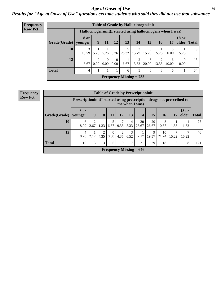#### Age at Onset of Use **30**

### *Results for "Age at Onset of Use" questions exclude students who said they did not use that substance*

| <b>Frequency</b> |                        | <b>Table of Grade by Hallucinogensinit</b>                  |                           |                  |                  |                                    |                         |            |            |            |                               |    |  |  |  |
|------------------|------------------------|-------------------------------------------------------------|---------------------------|------------------|------------------|------------------------------------|-------------------------|------------|------------|------------|-------------------------------|----|--|--|--|
| <b>Row Pct</b>   |                        | Hallucinogensinit(I started using hallucinogens when I was) |                           |                  |                  |                                    |                         |            |            |            |                               |    |  |  |  |
|                  | Grade(Grade)   younger | <b>8 or</b>                                                 | 9 <sup>1</sup>            | $\mathbf{11}$    | 12               | 13                                 | 14                      | 15         | 16         | 17         | <b>18 or</b><br>older   Total |    |  |  |  |
|                  | 10                     | 15.79                                                       |                           |                  |                  | $5.26$   $5.26$   $5.26$   $26.32$ | 3<br>15.79              | 15.79      | 5.26       | 0.00       | 5.26                          | 19 |  |  |  |
|                  | 12                     | 6.67                                                        | 0.00                      | $\theta$<br>0.00 | $\Omega$<br>0.00 | 6.67                               | $\mathfrak{D}$<br>13.33 | 3<br>20.00 | 2<br>13.33 | 6<br>40.00 | $\Omega$<br>0.00              | 15 |  |  |  |
|                  | <b>Total</b>           | 4                                                           |                           |                  |                  | 6                                  | 5                       | 6          | 3          | 6          |                               | 34 |  |  |  |
|                  |                        |                                                             | Frequency Missing $= 733$ |                  |                  |                                    |                         |            |            |            |                               |    |  |  |  |

| Frequency      |                        |                        |                                                                                          |           |                  |           |                 | <b>Table of Grade by Prescriptioninit</b> |             |             |            |                       |              |  |
|----------------|------------------------|------------------------|------------------------------------------------------------------------------------------|-----------|------------------|-----------|-----------------|-------------------------------------------|-------------|-------------|------------|-----------------------|--------------|--|
| <b>Row Pct</b> |                        |                        | Prescriptioninit (I started using prescription drugs not prescribed to<br>me when I was) |           |                  |           |                 |                                           |             |             |            |                       |              |  |
|                | Grade(Grade)   younger | <b>8 or</b>            | $\boldsymbol{9}$                                                                         | 10        | 11               | 12        | 13 <sup>1</sup> | 14                                        | 15          | 16          | 17         | <b>18 or</b><br>older | <b>Total</b> |  |
|                | 10                     | 6<br>8.00              | 2<br>2.67                                                                                | 1.33      | 6.67             | 9.33      | 4<br>5.33       | 20<br>26.67                               | 20<br>26.67 | 8<br>10.67  | 1.33       | 1.33                  | 75           |  |
|                | 12                     | $\overline{4}$<br>8.70 | 2.17                                                                                     | 2<br>4.35 | $\theta$<br>0.00 | 2<br>4.35 | 3<br>6.52       | 2.17                                      | 9<br>19.57  | 10<br>21.74 | 7<br>15.22 | 15.22                 | 46           |  |
|                | <b>Total</b>           | 10                     | 3                                                                                        | 3         | 5                | 9         | 7               | 21                                        | 29          | 18          | 8          | 8                     | 121          |  |
|                |                        |                        |                                                                                          |           |                  |           |                 | Frequency Missing $= 646$                 |             |             |            |                       |              |  |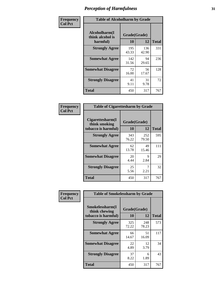| Frequency      |                                               | <b>Table of Alcoholharm by Grade</b> |              |              |  |  |  |  |  |
|----------------|-----------------------------------------------|--------------------------------------|--------------|--------------|--|--|--|--|--|
| <b>Col Pct</b> | Alcoholharm(I<br>think alcohol is<br>harmful) | Grade(Grade)<br>10                   | 12           | <b>Total</b> |  |  |  |  |  |
|                | <b>Strongly Agree</b>                         | 195<br>43.33                         | 136<br>42.90 | 331          |  |  |  |  |  |
|                | <b>Somewhat Agree</b>                         | 142<br>31.56                         | 94<br>29.65  | 236          |  |  |  |  |  |
|                | <b>Somewhat Disagree</b>                      | 72<br>16.00                          | 56<br>17.67  | 128          |  |  |  |  |  |
|                | <b>Strongly Disagree</b>                      | 41<br>9.11                           | 31<br>9.78   | 72           |  |  |  |  |  |
|                | <b>Total</b>                                  | 450                                  | 317          | 767          |  |  |  |  |  |

| <b>Table of Cigarettesharm by Grade</b>                  |                    |              |              |
|----------------------------------------------------------|--------------------|--------------|--------------|
| Cigarettesharm(I<br>think smoking<br>tobacco is harmful) | Grade(Grade)<br>10 | 12           | <b>Total</b> |
| <b>Strongly Agree</b>                                    | 343<br>76.22       | 252<br>79.50 | 595          |
| <b>Somewhat Agree</b>                                    | 62<br>13.78        | 49<br>15.46  | 111          |
| <b>Somewhat Disagree</b>                                 | 20<br>4.44         | 9<br>2.84    | 29           |
| <b>Strongly Disagree</b>                                 | 25<br>5.56         | 7<br>2.21    | 32           |
| <b>Total</b>                                             | 450                | 317          | 767          |

| Frequency      | <b>Table of Smokelessharm by Grade</b>                  |                    |              |              |
|----------------|---------------------------------------------------------|--------------------|--------------|--------------|
| <b>Col Pct</b> | Smokelessharm(I<br>think chewing<br>tobacco is harmful) | Grade(Grade)<br>10 | 12           | <b>Total</b> |
|                | <b>Strongly Agree</b>                                   | 325<br>72.22       | 248<br>78.23 | 573          |
|                | <b>Somewhat Agree</b>                                   | 66<br>14.67        | 51<br>16.09  | 117          |
|                | <b>Somewhat Disagree</b>                                | 22<br>4.89         | 12<br>3.79   | 34           |
|                | <b>Strongly Disagree</b>                                | 37<br>8.22         | 6<br>1.89    | 43           |
|                | <b>Total</b>                                            | 450                | 317          | 767          |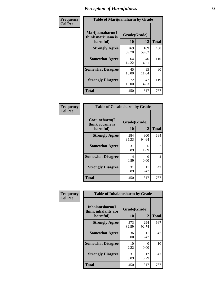| Frequency      | <b>Table of Marijuanaharm by Grade</b>            |                    |              |              |
|----------------|---------------------------------------------------|--------------------|--------------|--------------|
| <b>Col Pct</b> | Marijuanaharm(I<br>think marijuana is<br>harmful) | Grade(Grade)<br>10 | 12           | <b>Total</b> |
|                | <b>Strongly Agree</b>                             | 269<br>59.78       | 189<br>59.62 | 458          |
|                | <b>Somewhat Agree</b>                             | 64<br>14.22        | 46<br>14.51  | 110          |
|                | <b>Somewhat Disagree</b>                          | 45<br>10.00        | 35<br>11.04  | 80           |
|                | <b>Strongly Disagree</b>                          | 72<br>16.00        | 47<br>14.83  | 119          |
|                | <b>Total</b>                                      | 450                | 317          | 767          |

| <b>Table of Cocaineharm by Grade</b>          |                    |              |     |  |
|-----------------------------------------------|--------------------|--------------|-----|--|
| Cocaineharm(I<br>think cocaine is<br>harmful) | Grade(Grade)<br>10 | <b>Total</b> |     |  |
| <b>Strongly Agree</b>                         | 384<br>85.33       | 300<br>94.64 | 684 |  |
| <b>Somewhat Agree</b>                         | 31<br>6.89         | 6<br>1.89    | 37  |  |
| <b>Somewhat Disagree</b>                      | 4<br>0.89          | 0<br>0.00    | 4   |  |
| <b>Strongly Disagree</b>                      | 31<br>6.89         | 11<br>3.47   | 42  |  |
| <b>Total</b>                                  | 450                | 317          | 767 |  |

| Frequency      | <b>Table of Inhalantsharm by Grade</b>             |                    |              |              |  |
|----------------|----------------------------------------------------|--------------------|--------------|--------------|--|
| <b>Col Pct</b> | Inhalantsharm(I<br>think inhalants are<br>harmful) | Grade(Grade)<br>10 | 12           | <b>Total</b> |  |
|                | <b>Strongly Agree</b>                              | 373<br>82.89       | 294<br>92.74 | 667          |  |
|                | <b>Somewhat Agree</b>                              | 36<br>8.00         | 11<br>3.47   | 47           |  |
|                | <b>Somewhat Disagree</b>                           | 10<br>2.22         | 0<br>0.00    | 10           |  |
|                | <b>Strongly Disagree</b>                           | 31<br>6.89         | 12<br>3.79   | 43           |  |
|                | <b>Total</b>                                       | 450                | 317          | 767          |  |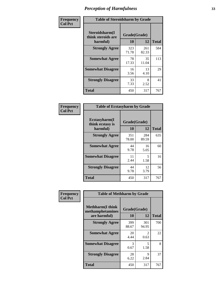| Frequency      | <b>Table of Steroidsharm by Grade</b>            |                    |              |              |
|----------------|--------------------------------------------------|--------------------|--------------|--------------|
| <b>Col Pct</b> | Steroidsharm(I<br>think steroids are<br>harmful) | Grade(Grade)<br>10 | 12           | <b>Total</b> |
|                | <b>Strongly Agree</b>                            | 323<br>71.78       | 261<br>82.33 | 584          |
|                | <b>Somewhat Agree</b>                            | 78<br>17.33        | 35<br>11.04  | 113          |
|                | <b>Somewhat Disagree</b>                         | 16<br>3.56         | 13<br>4.10   | 29           |
|                | <b>Strongly Disagree</b>                         | 33<br>7.33         | 8<br>2.52    | 41           |
|                | <b>Total</b>                                     | 450                | 317          | 767          |

| <b>Table of Ecstasyharm by Grade</b>          |                    |              |     |  |  |  |
|-----------------------------------------------|--------------------|--------------|-----|--|--|--|
| Ecstasyharm(I<br>think ecstasy is<br>harmful) | Grade(Grade)<br>10 | <b>Total</b> |     |  |  |  |
| <b>Strongly Agree</b>                         | 351<br>78.00       | 284<br>89.59 | 635 |  |  |  |
| <b>Somewhat Agree</b>                         | 44<br>9.78         | 16<br>5.05   | 60  |  |  |  |
| <b>Somewhat Disagree</b>                      | 11<br>2.44         | 5<br>1.58    | 16  |  |  |  |
| <b>Strongly Disagree</b>                      | 44<br>9.78         | 12<br>3.79   | 56  |  |  |  |
| <b>Total</b>                                  | 450                | 317          | 767 |  |  |  |

| Frequency      | <b>Table of Methharm by Grade</b>                            |                           |                       |              |  |
|----------------|--------------------------------------------------------------|---------------------------|-----------------------|--------------|--|
| <b>Col Pct</b> | <b>Methharm</b> (I think<br>methamphetamines<br>are harmful) | Grade(Grade)<br><b>10</b> | 12                    | <b>Total</b> |  |
|                | <b>Strongly Agree</b>                                        | 399<br>88.67              | 301<br>94.95          | 700          |  |
|                | <b>Somewhat Agree</b>                                        | 20<br>4.44                | $\mathcal{L}$<br>0.63 | 22           |  |
|                | <b>Somewhat Disagree</b>                                     | 3<br>0.67                 | 5<br>1.58             | 8            |  |
|                | <b>Strongly Disagree</b>                                     | 28<br>6.22                | 9<br>2.84             | 37           |  |
|                | <b>Total</b>                                                 | 450                       | 317                   | 767          |  |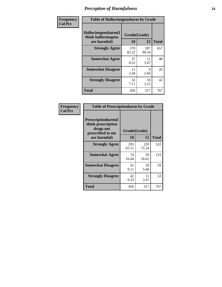| Frequency      | <b>Table of Hallucinogensharm by Grade</b>                 |                    |              |              |
|----------------|------------------------------------------------------------|--------------------|--------------|--------------|
| <b>Col Pct</b> | Hallucinogensharm(I<br>think hallucinogens<br>are harmful) | Grade(Grade)<br>10 | 12           | <b>Total</b> |
|                | <b>Strongly Agree</b>                                      | 370<br>82.22       | 287<br>90.54 | 657          |
|                | <b>Somewhat Agree</b>                                      | 37<br>8.22         | 11<br>3.47   | 48           |
|                | <b>Somewhat Disagree</b>                                   | 11<br>2.44         | 9<br>2.84    | 20           |
|                | <b>Strongly Disagree</b>                                   | 32<br>7.11         | 10<br>3.15   | 42           |
|                | <b>Total</b>                                               | 450                | 317          | 767          |

| <b>Table of Prescriptionharm by Grade</b>                                                 |                    |              |              |  |
|-------------------------------------------------------------------------------------------|--------------------|--------------|--------------|--|
| Prescriptionharm(I<br>think prescription<br>drugs not<br>prescribed to me<br>are harmful) | Grade(Grade)<br>10 | 12           | <b>Total</b> |  |
| <b>Strongly Agree</b>                                                                     | 293<br>65.11       | 229<br>72.24 | 522          |  |
| <b>Somewhat Agree</b>                                                                     | 74<br>16.44        | 59<br>18.61  | 133          |  |
| <b>Somewhat Disagree</b>                                                                  | 41<br>9.11         | 18<br>5.68   | 59           |  |
| <b>Strongly Disagree</b>                                                                  | 42<br>9.33         | 11<br>3.47   | 53           |  |
| <b>Total</b>                                                                              | 450                | 317          | 767          |  |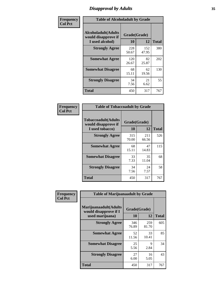# *Disapproval by Adults* **35**

| Frequency      | <b>Table of Alcoholadult by Grade</b>                                 |                    |              |              |  |
|----------------|-----------------------------------------------------------------------|--------------------|--------------|--------------|--|
| <b>Col Pct</b> | <b>Alcoholadult</b> (Adults<br>would disapprove if<br>I used alcohol) | Grade(Grade)<br>10 | 12           | <b>Total</b> |  |
|                | <b>Strongly Agree</b>                                                 | 228<br>50.67       | 152<br>47.95 | 380          |  |
|                | <b>Somewhat Agree</b>                                                 | 120<br>26.67       | 82<br>25.87  | 202          |  |
|                | <b>Somewhat Disagree</b>                                              | 68<br>15.11        | 62<br>19.56  | 130          |  |
|                | <b>Strongly Disagree</b>                                              | 34<br>7.56         | 21<br>6.62   | 55           |  |
|                | <b>Total</b>                                                          | 450                | 317          | 767          |  |

| <b>Table of Tobaccoadult by Grade</b>                                 |                    |              |              |  |  |
|-----------------------------------------------------------------------|--------------------|--------------|--------------|--|--|
| <b>Tobaccoadult</b> (Adults<br>would disapprove if<br>I used tobacco) | Grade(Grade)<br>10 | 12           | <b>Total</b> |  |  |
| <b>Strongly Agree</b>                                                 | 315<br>70.00       | 211<br>66.56 | 526          |  |  |
| <b>Somewhat Agree</b>                                                 | 68<br>15.11        | 47<br>14.83  | 115          |  |  |
| <b>Somewhat Disagree</b>                                              | 33<br>7.33         | 35<br>11.04  | 68           |  |  |
| <b>Strongly Disagree</b>                                              | 34<br>7.56         | 24<br>7.57   | 58           |  |  |
| <b>Total</b>                                                          | 450                | 317          | 767          |  |  |

| Frequency      | <b>Table of Marijuanaadult by Grade</b>                           |                    |              |              |  |
|----------------|-------------------------------------------------------------------|--------------------|--------------|--------------|--|
| <b>Col Pct</b> | Marijuanaadult(Adults<br>would disapprove if I<br>used marijuana) | Grade(Grade)<br>10 | 12           | <b>Total</b> |  |
|                | <b>Strongly Agree</b>                                             | 346<br>76.89       | 259<br>81.70 | 605          |  |
|                | <b>Somewhat Agree</b>                                             | 52<br>11.56        | 33<br>10.41  | 85           |  |
|                | <b>Somewhat Disagree</b>                                          | 25<br>5.56         | 9<br>2.84    | 34           |  |
|                | <b>Strongly Disagree</b>                                          | 27<br>6.00         | 16<br>5.05   | 43           |  |
|                | <b>Total</b>                                                      | 450                | 317          | 767          |  |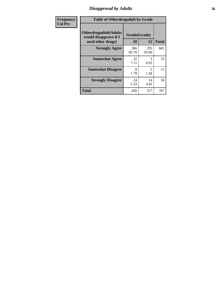# *Disapproval by Adults* **36**

| Frequency      | <b>Table of Otherdrugadult by Grade</b>                |              |              |              |  |
|----------------|--------------------------------------------------------|--------------|--------------|--------------|--|
| <b>Col Pct</b> | <b>Otherdrugadult</b> (Adults<br>would disapprove if I | Grade(Grade) |              |              |  |
|                | used other drugs)                                      | 10           | 12           | <b>Total</b> |  |
|                | <b>Strongly Agree</b>                                  | 386<br>85.78 | 295<br>93.06 | 681          |  |
|                | <b>Somewhat Agree</b>                                  | 32<br>7.11   | 3<br>0.95    | 35           |  |
|                | <b>Somewhat Disagree</b>                               | 8<br>1.78    | 5<br>1.58    | 13           |  |
|                | <b>Strongly Disagree</b>                               | 24<br>5.33   | 14<br>4.42   | 38           |  |
|                | <b>Total</b>                                           | 450          | 317          | 767          |  |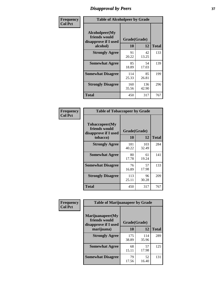# *Disapproval by Peers* **37**

| Frequency      | <b>Table of Alcoholpeer by Grade</b>                    |              |              |              |
|----------------|---------------------------------------------------------|--------------|--------------|--------------|
| <b>Col Pct</b> | Alcoholpeer(My<br>friends would<br>disapprove if I used | Grade(Grade) |              |              |
|                | alcohol)                                                | 10           | 12           | <b>Total</b> |
|                | <b>Strongly Agree</b>                                   | 91<br>20.22  | 42<br>13.25  | 133          |
|                | <b>Somewhat Agree</b>                                   | 85<br>18.89  | 54<br>17.03  | 139          |
|                | <b>Somewhat Disagree</b>                                | 114<br>25.33 | 85<br>26.81  | 199          |
|                | <b>Strongly Disagree</b>                                | 160<br>35.56 | 136<br>42.90 | 296          |
|                | Total                                                   | 450          | 317          | 767          |

| Frequency      | <b>Table of Tobaccopeer by Grade</b>                                |                    |              |              |
|----------------|---------------------------------------------------------------------|--------------------|--------------|--------------|
| <b>Col Pct</b> | Tobaccopeer(My<br>friends would<br>disapprove if I used<br>tobacco) | Grade(Grade)<br>10 | 12           | <b>Total</b> |
|                | <b>Strongly Agree</b>                                               | 181<br>40.22       | 103<br>32.49 | 284          |
|                | <b>Somewhat Agree</b>                                               | 80<br>17.78        | 61<br>19.24  | 141          |
|                | <b>Somewhat Disagree</b>                                            | 76<br>16.89        | 57<br>17.98  | 133          |
|                | <b>Strongly Disagree</b>                                            | 113<br>25.11       | 96<br>30.28  | 209          |
|                | <b>Total</b>                                                        | 450                | 317          | 767          |

| cy | <b>Table of Marijuanapeer by Grade</b>                                  |                    |              |              |  |
|----|-------------------------------------------------------------------------|--------------------|--------------|--------------|--|
|    | Marijuanapeer(My<br>friends would<br>disapprove if I used<br>marijuana) | Grade(Grade)<br>10 | 12           | <b>Total</b> |  |
|    | <b>Strongly Agree</b>                                                   | 175<br>38.89       | 114<br>35.96 | 289          |  |
|    | <b>Somewhat Agree</b>                                                   | 68<br>15.11        | 57<br>17.98  | 125          |  |
|    | <b>Somewhat Disagree</b>                                                | 79<br>17.56        | 52<br>16.40  | 131          |  |

| Frequenc |
|----------|
|          |
| Col Pet  |
|          |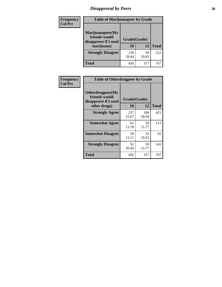# *Disapproval by Peers* **38**

| Frequency<br><b>Col Pct</b> | <b>Table of Marijuanapeer by Grade</b>                                  |                    |             |              |
|-----------------------------|-------------------------------------------------------------------------|--------------------|-------------|--------------|
|                             | Marijuanapeer(My<br>friends would<br>disapprove if I used<br>marijuana) | Grade(Grade)<br>10 | 12          | <b>Total</b> |
|                             | <b>Strongly Disagree</b>                                                | 128<br>28.44       | 94<br>29.65 | 222          |
|                             | Total                                                                   | 450                | 317         | 767          |

| Frequency      | <b>Table of Otherdrugpeer by Grade</b>                                    |                    |              |              |
|----------------|---------------------------------------------------------------------------|--------------------|--------------|--------------|
| <b>Col Pct</b> | Otherdrugpeer(My<br>friends would<br>disapprove if I used<br>other drugs) | Grade(Grade)<br>10 | 12           | <b>Total</b> |
|                | <b>Strongly Agree</b>                                                     | 237<br>52.67       | 184<br>58.04 | 421          |
|                | <b>Somewhat Agree</b>                                                     | 62<br>13.78        | 50<br>15.77  | 112          |
|                | <b>Somewhat Disagree</b>                                                  | 59<br>13.11        | 33<br>10.41  | 92           |
|                | <b>Strongly Disagree</b>                                                  | 92<br>20.44        | 50<br>15.77  | 142          |
|                | <b>Total</b>                                                              | 450                | 317          | 767          |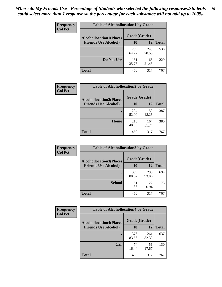| Frequency      | <b>Table of Alcohollocation1 by Grade</b>      |              |              |              |
|----------------|------------------------------------------------|--------------|--------------|--------------|
| <b>Col Pct</b> | Grade(Grade)<br><b>Alcohollocation1(Places</b> |              |              |              |
|                | <b>Friends Use Alcohol)</b>                    | 10           | 12           | <b>Total</b> |
|                |                                                | 289<br>64.22 | 249<br>78.55 | 538          |
|                | Do Not Use                                     | 161<br>35.78 | 68<br>21.45  | 229          |
|                | <b>Total</b>                                   | 450          | 317          | 767          |

| <b>Frequency</b> | <b>Table of Alcohollocation2 by Grade</b> |              |              |              |
|------------------|-------------------------------------------|--------------|--------------|--------------|
| <b>Col Pct</b>   | <b>Alcohollocation2(Places</b>            | Grade(Grade) |              |              |
|                  | <b>Friends Use Alcohol)</b>               | 10           | 12           | <b>Total</b> |
|                  |                                           | 234<br>52.00 | 153<br>48.26 | 387          |
|                  | Home                                      | 216<br>48.00 | 164<br>51.74 | 380          |
|                  | <b>Total</b>                              | 450          | 317          | 767          |

| Frequency<br><b>Col Pct</b> | <b>Table of Alcohollocation 3 by Grade</b>                    |                    |              |              |
|-----------------------------|---------------------------------------------------------------|--------------------|--------------|--------------|
|                             | <b>Alcohollocation3(Places</b><br><b>Friends Use Alcohol)</b> | Grade(Grade)<br>10 | 12           | <b>Total</b> |
|                             |                                                               | 399<br>88.67       | 295<br>93.06 | 694          |
|                             | <b>School</b>                                                 | 51<br>11.33        | 22<br>6.94   | 73           |
|                             | Total                                                         | 450                | 317          | 767          |

| <b>Frequency</b> | <b>Table of Alcohollocation4 by Grade</b> |              |              |              |
|------------------|-------------------------------------------|--------------|--------------|--------------|
| <b>Col Pct</b>   | <b>Alcohollocation4(Places</b>            | Grade(Grade) |              |              |
|                  | <b>Friends Use Alcohol)</b>               | 10           | 12           | <b>Total</b> |
|                  |                                           | 376<br>83.56 | 261<br>82.33 | 637          |
|                  | Car                                       | 74<br>16.44  | 56<br>17.67  | 130          |
|                  | <b>Total</b>                              | 450          | 317          | 767          |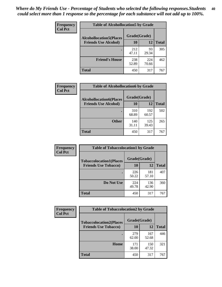| <b>Frequency</b><br><b>Col Pct</b> | <b>Table of Alcohollocation5 by Grade</b> |              |              |              |
|------------------------------------|-------------------------------------------|--------------|--------------|--------------|
|                                    | <b>Alcohollocation5</b> (Places           | Grade(Grade) |              |              |
|                                    | <b>Friends Use Alcohol)</b>               | 10           | 12           | <b>Total</b> |
|                                    |                                           | 212<br>47.11 | 93<br>29.34  | 305          |
|                                    | <b>Friend's House</b>                     | 238<br>52.89 | 224<br>70.66 | 462          |
|                                    | <b>Total</b>                              | 450          | 317          | 767          |

| <b>Frequency</b> | <b>Table of Alcohollocation6 by Grade</b>                     |                    |              |              |
|------------------|---------------------------------------------------------------|--------------------|--------------|--------------|
| <b>Col Pct</b>   | <b>Alcohollocation6(Places</b><br><b>Friends Use Alcohol)</b> | Grade(Grade)<br>10 | <b>12</b>    | <b>Total</b> |
|                  |                                                               | 310<br>68.89       | 192<br>60.57 | 502          |
|                  | <b>Other</b>                                                  | 140<br>31.11       | 125<br>39.43 | 265          |
|                  | <b>Total</b>                                                  | 450                | 317          | 767          |

| Frequency      | <b>Table of Tobaccolocation1 by Grade</b> |              |              |              |
|----------------|-------------------------------------------|--------------|--------------|--------------|
| <b>Col Pct</b> | <b>Tobaccolocation1(Places</b>            | Grade(Grade) |              |              |
|                | <b>Friends Use Tobacco)</b>               | 10           | 12           | <b>Total</b> |
|                |                                           | 226<br>50.22 | 181<br>57.10 | 407          |
|                | Do Not Use                                | 224<br>49.78 | 136<br>42.90 | 360          |
|                | <b>Total</b>                              | 450          | 317          | 767          |

| <b>Frequency</b> | <b>Table of Tobaccolocation2 by Grade</b> |              |              |              |  |
|------------------|-------------------------------------------|--------------|--------------|--------------|--|
| <b>Col Pct</b>   | <b>Tobaccolocation2(Places</b>            | Grade(Grade) |              |              |  |
|                  | <b>Friends Use Tobacco)</b>               | 10           | 12           | <b>Total</b> |  |
|                  |                                           | 279<br>62.00 | 167<br>52.68 | 446          |  |
|                  | Home                                      | 171<br>38.00 | 150<br>47.32 | 321          |  |
|                  | <b>Total</b>                              | 450          | 317          | 767          |  |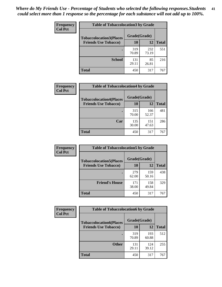| Frequency      | <b>Table of Tobaccolocation3 by Grade</b> |              |              |              |
|----------------|-------------------------------------------|--------------|--------------|--------------|
| <b>Col Pct</b> | <b>Tobaccolocation3(Places</b>            | Grade(Grade) |              |              |
|                | <b>Friends Use Tobacco)</b>               | 10           | 12           | <b>Total</b> |
|                |                                           | 319<br>70.89 | 232<br>73.19 | 551          |
|                | <b>School</b>                             | 131<br>29.11 | 85<br>26.81  | 216          |
|                | <b>Total</b>                              | 450          | 317          | 767          |

| Frequency      | <b>Table of Tobaccolocation4 by Grade</b> |              |              |              |
|----------------|-------------------------------------------|--------------|--------------|--------------|
| <b>Col Pct</b> | <b>Tobaccolocation4(Places</b>            | Grade(Grade) |              |              |
|                | <b>Friends Use Tobacco)</b>               | 10           | <b>12</b>    | <b>Total</b> |
|                |                                           | 315<br>70.00 | 166<br>52.37 | 481          |
|                | Car                                       | 135<br>30.00 | 151<br>47.63 | 286          |
|                | <b>Total</b>                              | 450          | 317          | 767          |

| Frequency      | <b>Table of Tobaccolocation5 by Grade</b>                     |                    |              |              |
|----------------|---------------------------------------------------------------|--------------------|--------------|--------------|
| <b>Col Pct</b> | <b>Tobaccolocation5(Places</b><br><b>Friends Use Tobacco)</b> | Grade(Grade)<br>10 | 12           | <b>Total</b> |
|                |                                                               | 279<br>62.00       | 159<br>50.16 | 438          |
|                | <b>Friend's House</b>                                         | 171<br>38.00       | 158<br>49.84 | 329          |
|                | <b>Total</b>                                                  | 450                | 317          | 767          |

| Frequency      | <b>Table of Tobaccolocation6 by Grade</b> |              |              |              |
|----------------|-------------------------------------------|--------------|--------------|--------------|
| <b>Col Pct</b> | <b>Tobaccolocation6(Places</b>            | Grade(Grade) |              |              |
|                | <b>Friends Use Tobacco)</b>               | 10           | 12           | <b>Total</b> |
|                |                                           | 319<br>70.89 | 193<br>60.88 | 512          |
|                | <b>Other</b>                              | 131<br>29.11 | 124<br>39.12 | 255          |
|                | <b>Total</b>                              | 450          | 317          | 767          |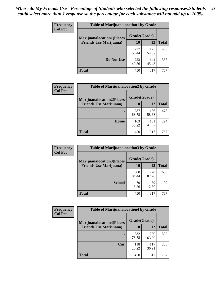| <b>Frequency</b> | <b>Table of Marijuanalocation1 by Grade</b> |              |              |              |
|------------------|---------------------------------------------|--------------|--------------|--------------|
| <b>Col Pct</b>   | <b>Marijuanalocation1(Places</b>            | Grade(Grade) |              |              |
|                  | <b>Friends Use Marijuana</b> )              | 10           | 12           | <b>Total</b> |
|                  |                                             | 227<br>50.44 | 173<br>54.57 | 400          |
|                  | Do Not Use                                  | 223<br>49.56 | 144<br>45.43 | 367          |
|                  | <b>Total</b>                                | 450          | 317          | 767          |

| <b>Frequency</b> | <b>Table of Marijuanalocation2 by Grade</b>                        |                    |              |              |
|------------------|--------------------------------------------------------------------|--------------------|--------------|--------------|
| <b>Col Pct</b>   | <b>Marijuanalocation2(Places</b><br><b>Friends Use Marijuana</b> ) | Grade(Grade)<br>10 | 12           | <b>Total</b> |
|                  |                                                                    | 287<br>63.78       | 186<br>58.68 | 473          |
|                  | Home                                                               | 163<br>36.22       | 131<br>41.32 | 294          |
|                  | <b>Total</b>                                                       | 450                | 317          | 767          |

| <b>Frequency</b><br><b>Col Pct</b> | <b>Table of Marijuanalocation3 by Grade</b> |              |              |              |
|------------------------------------|---------------------------------------------|--------------|--------------|--------------|
|                                    | <b>Marijuanalocation3</b> (Places           | Grade(Grade) |              |              |
|                                    | <b>Friends Use Marijuana</b> )              | <b>10</b>    | 12           | <b>Total</b> |
|                                    |                                             | 380<br>84.44 | 278<br>87.70 | 658          |
|                                    | <b>School</b>                               | 70<br>15.56  | 39<br>12.30  | 109          |
|                                    | <b>Total</b>                                | 450          | 317          | 767          |

| <b>Frequency</b><br><b>Col Pct</b> | <b>Table of Marijuanalocation4 by Grade</b> |              |                     |              |  |
|------------------------------------|---------------------------------------------|--------------|---------------------|--------------|--|
|                                    | <b>Marijuanalocation4(Places</b>            | Grade(Grade) |                     |              |  |
|                                    | <b>Friends Use Marijuana</b> )              | <b>10</b>    | 12                  | <b>Total</b> |  |
|                                    |                                             | 332<br>73.78 | <b>200</b><br>63.09 | 532          |  |
|                                    | Car                                         | 118<br>26.22 | 117<br>36.91        | 235          |  |
|                                    | Total                                       | 450          | 317                 | 767          |  |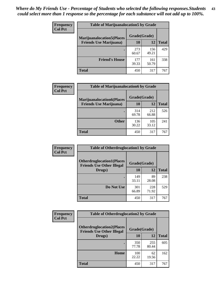| <b>Frequency</b> | <b>Table of Marijuanalocation5 by Grade</b> |              |              |              |
|------------------|---------------------------------------------|--------------|--------------|--------------|
| <b>Col Pct</b>   | <b>Marijuanalocation5</b> (Places           | Grade(Grade) |              |              |
|                  | <b>Friends Use Marijuana</b> )              | 10           | 12           | <b>Total</b> |
|                  |                                             | 273<br>60.67 | 156<br>49.21 | 429          |
|                  | <b>Friend's House</b>                       | 177<br>39.33 | 161<br>50.79 | 338          |
|                  | <b>Total</b>                                | 450          | 317          | 767          |

| <b>Frequency</b> | <b>Table of Marijuanalocation6 by Grade</b>                        |                    |              |              |
|------------------|--------------------------------------------------------------------|--------------------|--------------|--------------|
| <b>Col Pct</b>   | <b>Marijuanalocation6(Places</b><br><b>Friends Use Marijuana</b> ) | Grade(Grade)<br>10 | 12           | <b>Total</b> |
|                  |                                                                    | 314<br>69.78       | 212<br>66.88 | 526          |
|                  | <b>Other</b>                                                       | 136<br>30.22       | 105<br>33.12 | 241          |
|                  | <b>Total</b>                                                       | 450                | 317          | 767          |

| <b>Frequency</b> | <b>Table of Otherdruglocation1 by Grade</b>                          |              |              |              |
|------------------|----------------------------------------------------------------------|--------------|--------------|--------------|
| <b>Col Pct</b>   | <b>Otherdruglocation1(Places</b><br><b>Friends Use Other Illegal</b> | Grade(Grade) |              |              |
|                  | Drugs)                                                               | 10           | 12           | <b>Total</b> |
|                  |                                                                      | 149<br>33.11 | 89<br>28.08  | 238          |
|                  | Do Not Use                                                           | 301<br>66.89 | 228<br>71.92 | 529          |
|                  | <b>Total</b>                                                         | 450          | 317          | 767          |

| <b>Frequency</b> | <b>Table of Otherdruglocation2 by Grade</b>                           |              |              |              |
|------------------|-----------------------------------------------------------------------|--------------|--------------|--------------|
| <b>Col Pct</b>   | <b>Otherdruglocation2(Places)</b><br><b>Friends Use Other Illegal</b> | Grade(Grade) |              |              |
|                  | Drugs)                                                                | 10           | 12           | <b>Total</b> |
|                  |                                                                       | 350<br>77.78 | 255<br>80.44 | 605          |
|                  | Home                                                                  | 100<br>22.22 | 62<br>19.56  | 162          |
|                  | <b>Total</b>                                                          | 450          | 317          | 767          |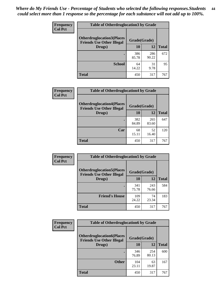| <b>Frequency</b> | <b>Table of Otherdruglocation3 by Grade</b>                           |              |              |              |
|------------------|-----------------------------------------------------------------------|--------------|--------------|--------------|
| <b>Col Pct</b>   | <b>Otherdruglocation3(Places)</b><br><b>Friends Use Other Illegal</b> | Grade(Grade) |              |              |
|                  | Drugs)                                                                | 10           | 12           | <b>Total</b> |
|                  |                                                                       | 386<br>85.78 | 286<br>90.22 | 672          |
|                  | <b>School</b>                                                         | 64<br>14.22  | 31<br>9.78   | 95           |
|                  | <b>Total</b>                                                          | 450          | 317          | 767          |

| <b>Frequency</b> | <b>Table of Otherdruglocation4 by Grade</b>                          |              |              |              |  |
|------------------|----------------------------------------------------------------------|--------------|--------------|--------------|--|
| <b>Col Pct</b>   | <b>Otherdruglocation4(Places</b><br><b>Friends Use Other Illegal</b> | Grade(Grade) |              |              |  |
|                  | Drugs)                                                               | 10           | 12           | <b>Total</b> |  |
|                  |                                                                      | 382<br>84.89 | 265<br>83.60 | 647          |  |
|                  | Car                                                                  | 68<br>15.11  | 52<br>16.40  | 120          |  |
|                  | <b>Total</b>                                                         | 450          | 317          | 767          |  |

| Frequency      | <b>Table of Otherdruglocation5 by Grade</b>                          |              |              |              |
|----------------|----------------------------------------------------------------------|--------------|--------------|--------------|
| <b>Col Pct</b> | <b>Otherdruglocation5(Places</b><br><b>Friends Use Other Illegal</b> | Grade(Grade) |              |              |
|                | Drugs)                                                               | 10           | 12           | <b>Total</b> |
|                |                                                                      | 341<br>75.78 | 243<br>76.66 | 584          |
|                | <b>Friend's House</b>                                                | 109<br>24.22 | 74<br>23.34  | 183          |
|                | <b>Total</b>                                                         | 450          | 317          | 767          |

| Frequency      | <b>Table of Otherdruglocation6 by Grade</b>                          |              |              |              |
|----------------|----------------------------------------------------------------------|--------------|--------------|--------------|
| <b>Col Pct</b> | <b>Otherdruglocation6(Places</b><br><b>Friends Use Other Illegal</b> | Grade(Grade) |              |              |
|                | Drugs)                                                               | 10           | 12           | <b>Total</b> |
|                |                                                                      | 346<br>76.89 | 254<br>80.13 | 600          |
|                | <b>Other</b>                                                         | 104<br>23.11 | 63<br>19.87  | 167          |
|                | <b>Total</b>                                                         | 450          | 317          | 767          |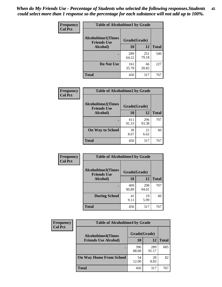| Frequency      | <b>Table of Alcoholtime1 by Grade</b>                           |              |              |              |
|----------------|-----------------------------------------------------------------|--------------|--------------|--------------|
| <b>Col Pct</b> | <b>Alcoholtime1(Times</b><br>Grade(Grade)<br><b>Friends Use</b> |              |              |              |
|                | Alcohol)                                                        | 10           | 12           | <b>Total</b> |
|                |                                                                 | 289<br>64.22 | 251<br>79.18 | 540          |
|                | Do Not Use                                                      | 161<br>35.78 | 66<br>20.82  | 227          |
|                | <b>Total</b>                                                    | 450          | 317          | 767          |

| Frequency      | <b>Table of Alcoholtime2 by Grade</b><br><b>Alcoholtime2(Times</b><br>Grade(Grade)<br><b>Friends Use</b> |              |              |              |
|----------------|----------------------------------------------------------------------------------------------------------|--------------|--------------|--------------|
| <b>Col Pct</b> |                                                                                                          |              |              |              |
|                | Alcohol)                                                                                                 | 10           | 12           | <b>Total</b> |
|                |                                                                                                          | 411<br>91.33 | 296<br>93.38 | 707          |
|                | <b>On Way to School</b>                                                                                  | 39<br>8.67   | 21<br>6.62   | 60           |
|                | <b>Total</b>                                                                                             | 450          | 317          | 767          |

| <b>Frequency</b> | <b>Table of Alcoholtime3 by Grade</b>    |              |              |              |  |
|------------------|------------------------------------------|--------------|--------------|--------------|--|
| <b>Col Pct</b>   | Alcoholtime3(Times<br><b>Friends Use</b> | Grade(Grade) |              |              |  |
|                  | <b>Alcohol</b> )                         | 10           | 12           | <b>Total</b> |  |
|                  |                                          | 409<br>90.89 | 298<br>94.01 | 707          |  |
|                  | <b>During School</b>                     | 41<br>9.11   | 19<br>5.99   | 60           |  |
|                  | <b>Total</b>                             | 450          | 317          | 767          |  |

| <b>Frequency</b> | <b>Table of Alcoholtime4 by Grade</b> |              |              |              |  |
|------------------|---------------------------------------|--------------|--------------|--------------|--|
| <b>Col Pct</b>   | <b>Alcoholtime4(Times</b>             | Grade(Grade) |              |              |  |
|                  | <b>Friends Use Alcohol)</b>           | 10           | 12           | <b>Total</b> |  |
|                  |                                       | 396<br>88.00 | 289<br>91.17 | 685          |  |
|                  | <b>On Way Home From School</b>        | 54<br>12.00  | 28<br>8.83   | 82           |  |
|                  | <b>Total</b>                          | 450          | 317          | 767          |  |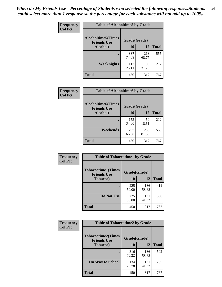*When do My Friends Use - Percentage of Students who selected the following responses.Students could select more than 1 response so the percentage for each substance will not add up to 100%.* **46**

| Frequency      | <b>Table of Alcoholtime5 by Grade</b>           |              |              |              |
|----------------|-------------------------------------------------|--------------|--------------|--------------|
| <b>Col Pct</b> | <b>Alcoholtime5(Times</b><br><b>Friends Use</b> | Grade(Grade) |              |              |
|                | Alcohol)                                        | 10           | 12           | <b>Total</b> |
|                |                                                 | 337<br>74.89 | 218<br>68.77 | 555          |
|                | Weeknights                                      | 113<br>25.11 | 99<br>31.23  | 212          |
|                | <b>Total</b>                                    | 450          | 317          | 767          |

| <b>Frequency</b> | <b>Table of Alcoholtime6 by Grade</b>           |              |              |              |  |
|------------------|-------------------------------------------------|--------------|--------------|--------------|--|
| <b>Col Pct</b>   | <b>Alcoholtime6(Times</b><br><b>Friends Use</b> | Grade(Grade) |              |              |  |
|                  | Alcohol)                                        | 10           | 12           | <b>Total</b> |  |
|                  |                                                 | 153<br>34.00 | 59<br>18.61  | 212          |  |
|                  | Weekends                                        | 297<br>66.00 | 258<br>81.39 | 555          |  |
|                  | <b>Total</b>                                    | 450          | 317          | 767          |  |

| Frequency<br><b>Col Pct</b> | <b>Table of Tobaccotime1 by Grade</b>                           |              |              |              |
|-----------------------------|-----------------------------------------------------------------|--------------|--------------|--------------|
|                             | <b>Tobaccotime1(Times</b><br>Grade(Grade)<br><b>Friends Use</b> |              |              |              |
|                             | <b>Tobacco</b> )                                                | 10           | 12           | <b>Total</b> |
|                             | ٠                                                               | 225<br>50.00 | 186<br>58.68 | 411          |
|                             | Do Not Use                                                      | 225<br>50.00 | 131<br>41.32 | 356          |
|                             | <b>Total</b>                                                    | 450          | 317          | 767          |

| <b>Frequency</b> | <b>Table of Tobaccotime2 by Grade</b>           |              |              |              |
|------------------|-------------------------------------------------|--------------|--------------|--------------|
| <b>Col Pct</b>   | <b>Tobaccotime2(Times</b><br><b>Friends Use</b> | Grade(Grade) |              |              |
|                  | <b>Tobacco</b> )                                | 10           | 12           | <b>Total</b> |
|                  |                                                 | 316<br>70.22 | 186<br>58.68 | 502          |
|                  | <b>On Way to School</b>                         | 134<br>29.78 | 131<br>41.32 | 265          |
|                  | <b>Total</b>                                    | 450          | 317          | 767          |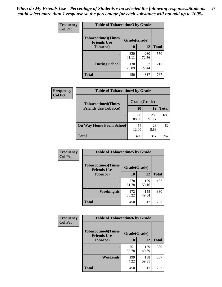*When do My Friends Use - Percentage of Students who selected the following responses.Students could select more than 1 response so the percentage for each substance will not add up to 100%.* **47**

| <b>Frequency</b> | <b>Table of Tobaccotime3 by Grade</b>           |              |              |              |  |
|------------------|-------------------------------------------------|--------------|--------------|--------------|--|
| <b>Col Pct</b>   | <b>Tobaccotime3(Times</b><br><b>Friends Use</b> | Grade(Grade) |              |              |  |
|                  | <b>Tobacco</b> )                                | 10           | 12           | <b>Total</b> |  |
|                  |                                                 | 320<br>71.11 | 230<br>72.56 | 550          |  |
|                  | <b>During School</b>                            | 130<br>28.89 | 87<br>27.44  | 217          |  |
|                  | <b>Total</b>                                    | 450          | 317          | 767          |  |

| <b>Frequency</b><br><b>Col Pct</b> | <b>Table of Tobaccotime4 by Grade</b> |              |              |              |
|------------------------------------|---------------------------------------|--------------|--------------|--------------|
|                                    | <b>Tobaccotime4(Times</b>             | Grade(Grade) |              |              |
|                                    | <b>Friends Use Tobacco)</b>           | 10           | 12           | <b>Total</b> |
|                                    |                                       | 396<br>88.00 | 289<br>91.17 | 685          |
|                                    | <b>On Way Home From School</b>        | 54<br>12.00  | 28<br>8.83   | 82           |
|                                    | <b>Total</b>                          | 450          | 317          | 767          |

| <b>Frequency</b> | <b>Table of Tobaccotime5 by Grade</b>           |              |              |              |
|------------------|-------------------------------------------------|--------------|--------------|--------------|
| <b>Col Pct</b>   | <b>Tobaccotime5(Times</b><br><b>Friends Use</b> | Grade(Grade) |              |              |
|                  | <b>Tobacco</b> )                                | 10           | 12           | <b>Total</b> |
|                  |                                                 | 278<br>61.78 | 159<br>50.16 | 437          |
|                  | Weeknights                                      | 172<br>38.22 | 158<br>49.84 | 330          |
|                  | <b>Total</b>                                    | 450          | 317          | 767          |

| Frequency      | <b>Table of Tobaccotime6 by Grade</b>           |              |              |              |
|----------------|-------------------------------------------------|--------------|--------------|--------------|
| <b>Col Pct</b> | <b>Tobaccotime6(Times</b><br><b>Friends Use</b> | Grade(Grade) |              |              |
|                | <b>Tobacco</b> )                                | 10           | 12           | <b>Total</b> |
|                |                                                 | 251<br>55.78 | 129<br>40.69 | 380          |
|                | Weekends                                        | 199<br>44.22 | 188<br>59.31 | 387          |
|                | <b>Total</b>                                    | 450          | 317          | 767          |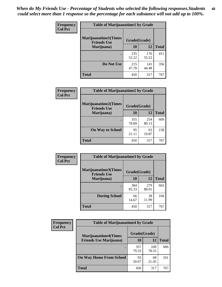| Frequency      | <b>Table of Marijuanatime1 by Grade</b>           |              |              |              |
|----------------|---------------------------------------------------|--------------|--------------|--------------|
| <b>Col Pct</b> | <b>Marijuanatime1(Times</b><br><b>Friends Use</b> | Grade(Grade) |              |              |
|                | Marijuana)                                        | 10           | 12           | <b>Total</b> |
|                |                                                   | 235<br>52.22 | 176<br>55.52 | 411          |
|                | Do Not Use                                        | 215<br>47.78 | 141<br>44.48 | 356          |
|                | <b>Total</b>                                      | 450          | 317          | 767          |

| <b>Frequency</b> | <b>Table of Marijuanatime2 by Grade</b>           |              |              |              |
|------------------|---------------------------------------------------|--------------|--------------|--------------|
| <b>Col Pct</b>   | <b>Marijuanatime2(Times</b><br><b>Friends Use</b> | Grade(Grade) |              |              |
|                  | Marijuana)                                        | 10           | 12           | <b>Total</b> |
|                  |                                                   | 355<br>78.89 | 254<br>80.13 | 609          |
|                  | <b>On Way to School</b>                           | 95<br>21.11  | 63<br>19.87  | 158          |
|                  | <b>Total</b>                                      | 450          | 317          | 767          |

| <b>Frequency</b> | <b>Table of Marijuanatime3 by Grade</b>    |              |              |              |  |
|------------------|--------------------------------------------|--------------|--------------|--------------|--|
| <b>Col Pct</b>   | Marijuanatime3(Times<br><b>Friends Use</b> | Grade(Grade) |              |              |  |
|                  | Marijuana)                                 | 10           | 12           | <b>Total</b> |  |
|                  |                                            | 384<br>85.33 | 279<br>88.01 | 663          |  |
|                  | <b>During School</b>                       | 66<br>14.67  | 38<br>11.99  | 104          |  |
|                  | <b>Total</b>                               | 450          | 317          | 767          |  |

| <b>Frequency</b><br><b>Col Pct</b> | <b>Table of Marijuanatime4 by Grade</b> |              |              |              |
|------------------------------------|-----------------------------------------|--------------|--------------|--------------|
|                                    | <b>Marijuanatime4</b> (Times            | Grade(Grade) |              |              |
|                                    | <b>Friends Use Marijuana</b> )          | 10           | 12           | <b>Total</b> |
|                                    |                                         | 357<br>79.33 | 249<br>78.55 | 606          |
|                                    | <b>On Way Home From School</b>          | 93<br>20.67  | 68<br>21.45  | 161          |
|                                    | <b>Total</b>                            | 450          | 317          | 767          |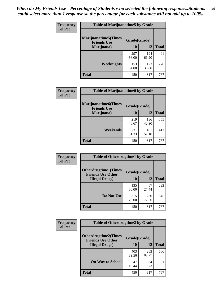| Frequency<br><b>Col Pct</b> | <b>Table of Marijuanatime5 by Grade</b>            |              |              |              |  |
|-----------------------------|----------------------------------------------------|--------------|--------------|--------------|--|
|                             | <b>Marijuanatime5</b> (Times<br><b>Friends Use</b> | Grade(Grade) |              |              |  |
|                             | Marijuana)                                         | 10           | 12           | <b>Total</b> |  |
|                             |                                                    | 297<br>66.00 | 194<br>61.20 | 491          |  |
|                             | Weeknights                                         | 153<br>34.00 | 123<br>38.80 | 276          |  |
|                             | <b>Total</b>                                       | 450          | 317          | 767          |  |

| Frequency      | <b>Table of Marijuanatime6 by Grade</b>            |              |              |              |
|----------------|----------------------------------------------------|--------------|--------------|--------------|
| <b>Col Pct</b> | <b>Marijuanatime6</b> (Times<br><b>Friends Use</b> | Grade(Grade) |              |              |
|                | Marijuana)                                         | 10           | 12           | <b>Total</b> |
|                |                                                    | 219<br>48.67 | 136<br>42.90 | 355          |
|                | Weekends                                           | 231<br>51.33 | 181<br>57.10 | 412          |
|                | <b>Total</b>                                       | 450          | 317          | 767          |

| <b>Frequency</b> | <b>Table of Otherdrugtime1 by Grade</b>                 |              |              |              |
|------------------|---------------------------------------------------------|--------------|--------------|--------------|
| <b>Col Pct</b>   | <b>Otherdrugtime1(Times</b><br><b>Friends Use Other</b> | Grade(Grade) |              |              |
|                  | <b>Illegal Drugs</b> )                                  | 10           | 12           | <b>Total</b> |
|                  |                                                         | 135<br>30.00 | 87<br>27.44  | 222          |
|                  | Do Not Use                                              | 315<br>70.00 | 230<br>72.56 | 545          |
|                  | Total                                                   | 450          | 317          | 767          |

| Frequency      | <b>Table of Otherdrugtime2 by Grade</b>                 |              |              |              |
|----------------|---------------------------------------------------------|--------------|--------------|--------------|
| <b>Col Pct</b> | <b>Otherdrugtime2(Times</b><br><b>Friends Use Other</b> | Grade(Grade) |              |              |
|                | <b>Illegal Drugs</b> )                                  | 10           | 12           | <b>Total</b> |
|                |                                                         | 403<br>89.56 | 283<br>89.27 | 686          |
|                | <b>On Way to School</b>                                 | 47<br>10.44  | 34<br>10.73  | 81           |
|                | Total                                                   | 450          | 317          | 767          |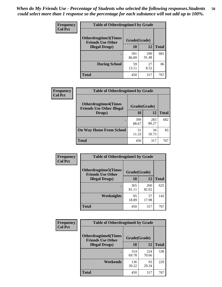| <b>Frequency</b> | <b>Table of Otherdrugtime3 by Grade</b>          |              |              |              |
|------------------|--------------------------------------------------|--------------|--------------|--------------|
| <b>Col Pct</b>   | Otherdrugtime3(Times<br><b>Friends Use Other</b> | Grade(Grade) |              |              |
|                  | <b>Illegal Drugs</b> )                           | 10           | 12           | <b>Total</b> |
|                  |                                                  | 391<br>86.89 | 290<br>91.48 | 681          |
|                  | <b>During School</b>                             | 59<br>13.11  | 27<br>8.52   | 86           |
|                  | Total                                            | 450          | 317          | 767          |

| Frequency<br><b>Col Pct</b> | <b>Table of Otherdrugtime4 by Grade</b>                         |              |              |              |  |
|-----------------------------|-----------------------------------------------------------------|--------------|--------------|--------------|--|
|                             | <b>Otherdrugtime4(Times</b><br><b>Friends Use Other Illegal</b> | Grade(Grade) |              |              |  |
|                             | Drugs)                                                          | 10           | 12           | <b>Total</b> |  |
|                             | ٠                                                               | 399<br>88.67 | 283<br>89.27 | 682          |  |
|                             | <b>On Way Home From School</b>                                  | 51<br>11.33  | 34<br>10.73  | 85           |  |
|                             | Total                                                           | 450          | 317          | 767          |  |

| <b>Frequency</b> | <b>Table of Otherdrugtime5 by Grade</b>                  |              |              |              |
|------------------|----------------------------------------------------------|--------------|--------------|--------------|
| <b>Col Pct</b>   | <b>Otherdrugtime5</b> (Times<br><b>Friends Use Other</b> | Grade(Grade) |              |              |
|                  | <b>Illegal Drugs</b> )                                   | 10           | 12           | <b>Total</b> |
|                  |                                                          | 365<br>81.11 | 260<br>82.02 | 625          |
|                  | Weeknights                                               | 85<br>18.89  | 57<br>17.98  | 142          |
|                  | Total                                                    | 450          | 317          | 767          |

| <b>Frequency</b> | <b>Table of Otherdrugtime6 by Grade</b>                                 |              |              |              |
|------------------|-------------------------------------------------------------------------|--------------|--------------|--------------|
| <b>Col Pct</b>   | <b>Otherdrugtime6(Times</b><br>Grade(Grade)<br><b>Friends Use Other</b> |              |              |              |
|                  | <b>Illegal Drugs</b> )                                                  | 10           | 12           | <b>Total</b> |
|                  |                                                                         | 314<br>69.78 | 224<br>70.66 | 538          |
|                  | Weekends                                                                | 136<br>30.22 | 93<br>29.34  | 229          |
|                  | <b>Total</b>                                                            | 450          | 317          | 767          |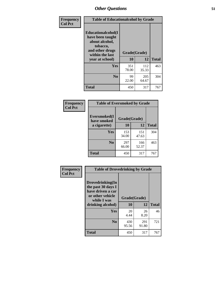| Frequency      | <b>Table of Educationalcohol by Grade</b>                                                                  |              |              |              |
|----------------|------------------------------------------------------------------------------------------------------------|--------------|--------------|--------------|
| <b>Col Pct</b> | Educationalcohol(I<br>have been taught<br>about alcohol,<br>tobacco,<br>and other drugs<br>within the last | Grade(Grade) |              |              |
|                | year at school)                                                                                            | 10           | 12           | <b>Total</b> |
|                | <b>Yes</b>                                                                                                 | 351<br>78.00 | 112<br>35.33 | 463          |
|                | N <sub>0</sub>                                                                                             | 99<br>22.00  | 205<br>64.67 | 304          |
|                | <b>Total</b>                                                                                               | 450          | 317          | 767          |

| Frequency      | <b>Table of Eversmoked by Grade</b> |              |              |              |  |
|----------------|-------------------------------------|--------------|--------------|--------------|--|
| <b>Col Pct</b> | Eversmoked(I<br>have smoked         | Grade(Grade) |              |              |  |
|                | a cigarette)                        | 10           | 12           | <b>Total</b> |  |
|                | Yes                                 | 153<br>34.00 | 151<br>47.63 | 304          |  |
|                | N <sub>0</sub>                      | 297<br>66.00 | 166<br>52.37 | 463          |  |
|                | <b>Total</b>                        | 450          | 317          | 767          |  |

| Frequency<br><b>Col Pct</b> | <b>Table of Drovedrinking by Grade</b>                                                                              |                    |              |              |
|-----------------------------|---------------------------------------------------------------------------------------------------------------------|--------------------|--------------|--------------|
|                             | Drovedrinking(In<br>the past 30 days I<br>have driven a car<br>or other vehicle<br>while I was<br>drinking alcohol) | Grade(Grade)<br>10 | 12           | <b>Total</b> |
|                             | <b>Yes</b>                                                                                                          | 20<br>4.44         | 26<br>8.20   | 46           |
|                             | N <sub>0</sub>                                                                                                      | 430<br>95.56       | 291<br>91.80 | 721          |
|                             | <b>Total</b>                                                                                                        | 450                | 317          | 767          |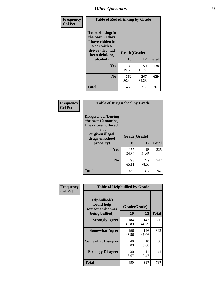| Frequency<br><b>Col Pct</b> | <b>Table of Rodedrinking by Grade</b>                                                                      |              |              |              |
|-----------------------------|------------------------------------------------------------------------------------------------------------|--------------|--------------|--------------|
|                             | Rodedrinking(In<br>the past 30 days<br>I have ridden in<br>a car with a<br>driver who had<br>been drinking | Grade(Grade) |              |              |
|                             | alcohol)                                                                                                   | 10           | 12           | <b>Total</b> |
|                             | <b>Yes</b>                                                                                                 | 88<br>19.56  | 50<br>15.77  | 138          |
|                             | N <sub>0</sub>                                                                                             | 362<br>80.44 | 267<br>84.23 | 629          |
|                             | <b>Total</b>                                                                                               | 450          | 317          | 767          |

#### **Frequency Col Pct**

| <b>Table of Drugsschool by Grade</b>                                                                                      |              |              |              |
|---------------------------------------------------------------------------------------------------------------------------|--------------|--------------|--------------|
| <b>Drugsschool</b> (During<br>the past 12 months,<br>I have been offered,<br>sold,<br>or given illegal<br>drugs on school | Grade(Grade) |              |              |
| property)                                                                                                                 | 10           | 12           | <b>Total</b> |
| Yes                                                                                                                       | 157          | 68           | 225          |
|                                                                                                                           | 34.89        | 21.45        |              |
| N <sub>0</sub>                                                                                                            | 293<br>65.11 | 249<br>78.55 | 542          |

| Frequency      | <b>Table of Helpbullied by Grade</b>                 |              |              |              |  |
|----------------|------------------------------------------------------|--------------|--------------|--------------|--|
| <b>Col Pct</b> | $Helpb$ ullied $(I$<br>would help<br>someone who was | Grade(Grade) |              |              |  |
|                | being bullied)                                       | 10           | 12           | <b>Total</b> |  |
|                | <b>Strongly Agree</b>                                | 184<br>40.89 | 142<br>44.79 | 326          |  |
|                | <b>Somewhat Agree</b>                                | 196<br>43.56 | 146<br>46.06 | 342          |  |
|                | <b>Somewhat Disagree</b>                             | 40<br>8.89   | 18<br>5.68   | 58           |  |
|                | <b>Strongly Disagree</b>                             | 30<br>6.67   | 11<br>3.47   | 41           |  |
|                | <b>Total</b>                                         | 450          | 317          | 767          |  |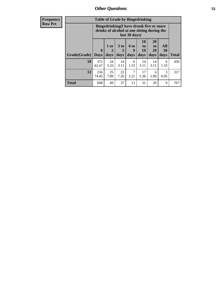| <b>Frequency</b> | <b>Table of Grade by Bingedrinking</b> |                                                                                                         |                                |                              |                              |                        |                               |                       |              |
|------------------|----------------------------------------|---------------------------------------------------------------------------------------------------------|--------------------------------|------------------------------|------------------------------|------------------------|-------------------------------|-----------------------|--------------|
| <b>Row Pct</b>   |                                        | Bingedrinking(I have drunk five or more<br>drinks of alcohol at one sitting during the<br>last 30 days) |                                |                              |                              |                        |                               |                       |              |
|                  | Grade(Grade)                           | $\boldsymbol{0}$<br><b>Days</b>                                                                         | 1 or<br>$\overline{2}$<br>days | 3 <sub>to</sub><br>5<br>days | 6 <sup>to</sup><br>9<br>days | 10<br>to<br>19<br>days | <b>20</b><br>to<br>29<br>days | All<br>30<br>days     | <b>Total</b> |
|                  | 10                                     | 372<br>82.67                                                                                            | 24<br>5.33                     | 14<br>3.11                   | 6<br>1.33                    | 14<br>3.11             | 14<br>3.11                    | 6<br>1.33             | 450          |
|                  | 12                                     | 236<br>74.45                                                                                            | 25<br>7.89                     | 23<br>7.26                   | 7<br>2.21                    | 17<br>5.36             | 6<br>1.89                     | $\mathcal{R}$<br>0.95 | 317          |
|                  | <b>Total</b>                           | 608                                                                                                     | 49                             | 37                           | 13                           | 31                     | 20                            | 9                     | 767          |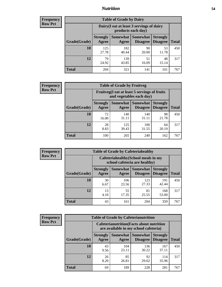### *Nutrition* **54**

| <b>Frequency</b><br>Row Pct |
|-----------------------------|
|                             |

| <b>Table of Grade by Dairy</b> |                          |                                                                 |                                    |                                    |              |  |  |  |
|--------------------------------|--------------------------|-----------------------------------------------------------------|------------------------------------|------------------------------------|--------------|--|--|--|
|                                |                          | Dairy (I eat at least 3 servings of dairy<br>products each day) |                                    |                                    |              |  |  |  |
| Grade(Grade)                   | <b>Strongly</b><br>Agree | Somewhat<br>Agree                                               | <b>Somewhat</b><br><b>Disagree</b> | <b>Strongly</b><br><b>Disagree</b> | <b>Total</b> |  |  |  |
| 10                             | 125<br>27.78             | 182<br>40.44                                                    | 90<br>20.00                        | 53<br>11.78                        | 450          |  |  |  |
| 12                             | 79<br>24.92              | 139<br>43.85                                                    | 51<br>16.09                        | 48<br>15.14                        | 317          |  |  |  |
| <b>Total</b>                   | 204                      | 321                                                             | 141                                | 101                                | 767          |  |  |  |

| <b>Frequency</b> |  |
|------------------|--|
| <b>Row Pct</b>   |  |

| <b>Table of Grade by Fruitveg</b>                                        |                          |                     |                      |                                    |              |  |  |
|--------------------------------------------------------------------------|--------------------------|---------------------|----------------------|------------------------------------|--------------|--|--|
| Fruitveg(I eat at least 5 servings of fruits<br>and vegetables each day) |                          |                     |                      |                                    |              |  |  |
| Grade(Grade)                                                             | <b>Strongly</b><br>Agree | Somewhat  <br>Agree | Somewhat<br>Disagree | <b>Strongly</b><br><b>Disagree</b> | <b>Total</b> |  |  |
| 10                                                                       | 72<br>16.00              | 140<br>31.11        | 140<br>31.11         | 98<br>21.78                        | 450          |  |  |
| 12                                                                       | 28<br>8.83               | 125<br>39.43        | 100<br>31.55         | 64<br>20.19                        | 317          |  |  |
| Total                                                                    | 100                      | 265                 | 240                  | 162                                | 767          |  |  |

| <b>Frequency</b> |
|------------------|
| <b>Row Pct</b>   |

| <b>Table of Grade by Cafeteriahealthy</b> |                          |                                                                       |                             |                                    |              |  |  |  |  |
|-------------------------------------------|--------------------------|-----------------------------------------------------------------------|-----------------------------|------------------------------------|--------------|--|--|--|--|
|                                           |                          | Cafeteriahealthy (School meals in my<br>school cafeteria are healthy) |                             |                                    |              |  |  |  |  |
| Grade(Grade)                              | <b>Strongly</b><br>Agree | <b>Somewhat</b><br>Agree                                              | <b>Somewhat</b><br>Disagree | <b>Strongly</b><br><b>Disagree</b> | <b>Total</b> |  |  |  |  |
| <b>10</b>                                 | 30<br>6.67               | 106<br>23.56                                                          | 123<br>27.33                | 191<br>42.44                       | 450          |  |  |  |  |
| 12                                        | 13<br>4.10               | 55<br>17.35                                                           | 81<br>25.55                 | 168<br>53.00                       | 317          |  |  |  |  |
| <b>Total</b>                              | 43                       | 161                                                                   | 204                         | 359                                | 767          |  |  |  |  |

**Frequency Row Pct**

| <b>Table of Grade by Cafeterianutrition</b> |                          |                                                                                           |                      |                                    |              |  |  |  |  |
|---------------------------------------------|--------------------------|-------------------------------------------------------------------------------------------|----------------------|------------------------------------|--------------|--|--|--|--|
|                                             |                          | <b>Cafeterianutrition</b> (Facts about nutrition<br>are available in my school cafeteria) |                      |                                    |              |  |  |  |  |
| Grade(Grade)                                | <b>Strongly</b><br>Agree | Somewhat<br>Agree                                                                         | Somewhat<br>Disagree | <b>Strongly</b><br><b>Disagree</b> | <b>Total</b> |  |  |  |  |
| 10                                          | 43<br>9.56               | 104<br>23.11                                                                              | 136<br>30.22         | 167<br>37.11                       | 450          |  |  |  |  |
| 12                                          | 26<br>8.20               | 85<br>26.81                                                                               | 92<br>29.02          | 114<br>35.96                       | 317          |  |  |  |  |
| <b>Total</b>                                | 69                       | 189                                                                                       | 228                  | 281                                | 767          |  |  |  |  |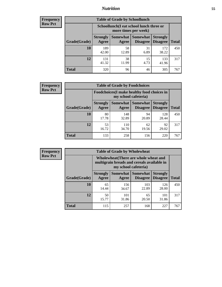## *Nutrition* **55**

| <b>Frequency</b><br>Row Pct |
|-----------------------------|
|                             |

| <b>Table of Grade by Schoollunch</b> |                          |                                                                 |                                    |                                    |              |  |  |  |
|--------------------------------------|--------------------------|-----------------------------------------------------------------|------------------------------------|------------------------------------|--------------|--|--|--|
|                                      |                          | Schoollunch(I eat school lunch three or<br>more times per week) |                                    |                                    |              |  |  |  |
| Grade(Grade)                         | <b>Strongly</b><br>Agree | Somewhat  <br>Agree                                             | <b>Somewhat</b><br><b>Disagree</b> | <b>Strongly</b><br><b>Disagree</b> | <b>Total</b> |  |  |  |
| 10                                   | 189<br>42.00             | 58<br>12.89                                                     | 31<br>6.89                         | 172<br>38.22                       | 450          |  |  |  |
| 12                                   | 131<br>41.32             | 38<br>11.99                                                     | 15<br>4.73                         | 133<br>41.96                       | 317          |  |  |  |
| <b>Total</b>                         | 320                      | 96                                                              | 46                                 | 305                                | 767          |  |  |  |

| <b>Frequency</b> |  |
|------------------|--|
| <b>Row Pct</b>   |  |

| <b>Table of Grade by Foodchoices</b>                                |                          |              |                                             |                                    |              |  |  |
|---------------------------------------------------------------------|--------------------------|--------------|---------------------------------------------|------------------------------------|--------------|--|--|
| Foodchoices (I make healthy food choices in<br>my school cafeteria) |                          |              |                                             |                                    |              |  |  |
| Grade(Grade)                                                        | <b>Strongly</b><br>Agree | Agree        | <b>Somewhat</b> Somewhat<br><b>Disagree</b> | <b>Strongly</b><br><b>Disagree</b> | <b>Total</b> |  |  |
| 10                                                                  | 80<br>17.78              | 148<br>32.89 | 94<br>20.89                                 | 128<br>28.44                       | 450          |  |  |
| 12                                                                  | 53<br>16.72              | 110<br>34.70 | 62<br>19.56                                 | 92<br>29.02                        | 317          |  |  |
| <b>Total</b>                                                        | 133                      | 258          | 156                                         | 220                                | 767          |  |  |

| <b>Frequency</b> |
|------------------|
| <b>Row Pct</b>   |

| <b>Table of Grade by Wholewheat</b> |                          |                                                                                                             |                                      |                                    |              |  |
|-------------------------------------|--------------------------|-------------------------------------------------------------------------------------------------------------|--------------------------------------|------------------------------------|--------------|--|
|                                     |                          | Wholewheat (There are whole wheat and<br>multigrain breads and cereals available in<br>my school cafeteria) |                                      |                                    |              |  |
| Grade(Grade)                        | <b>Strongly</b><br>Agree | Agree                                                                                                       | <b>Somewhat</b> Somewhat<br>Disagree | <b>Strongly</b><br><b>Disagree</b> | <b>Total</b> |  |
| 10                                  | 65<br>14.44              | 156<br>34.67                                                                                                | 103<br>22.89                         | 126<br>28.00                       | 450          |  |
| 12                                  | 50<br>15.77              | 101<br>31.86                                                                                                | 65<br>20.50                          | 101<br>31.86                       | 317          |  |
| <b>Total</b>                        | 115                      | 257                                                                                                         | 168                                  | 227                                | 767          |  |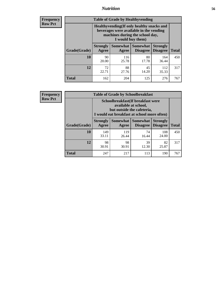## *Nutrition* **56**

**Frequency Row Pct**

| <b>Table of Grade by Healthyvending</b> |                                                                                                                                               |                          |                                    |                                    |              |  |
|-----------------------------------------|-----------------------------------------------------------------------------------------------------------------------------------------------|--------------------------|------------------------------------|------------------------------------|--------------|--|
|                                         | Healthyvending (If only healthy snacks and<br>beverages were available in the vending<br>machines during the school day,<br>I would buy them) |                          |                                    |                                    |              |  |
| Grade(Grade)                            | <b>Strongly</b><br>Agree                                                                                                                      | <b>Somewhat</b><br>Agree | <b>Somewhat</b><br><b>Disagree</b> | <b>Strongly</b><br><b>Disagree</b> | <b>Total</b> |  |
| 10                                      | 90<br>20.00                                                                                                                                   | 116<br>25.78             | 80<br>17.78                        | 164<br>36.44                       | 450          |  |
| 12                                      | 72<br>22.71                                                                                                                                   | 88<br>27.76              | 45<br>14.20                        | 112<br>35.33                       | 317          |  |
| Total                                   | 162                                                                                                                                           | 204                      | 125                                | 276                                | 767          |  |

**Frequency Row Pct**

| <b>Table of Grade by Schoolbreakfast</b> |                                                                                                                                         |              |                                        |                                    |              |  |
|------------------------------------------|-----------------------------------------------------------------------------------------------------------------------------------------|--------------|----------------------------------------|------------------------------------|--------------|--|
|                                          | Schoolbreakfast (If breakfast were<br>available at school,<br>but outside the cafeteria,<br>I would eat breakfast at school more often) |              |                                        |                                    |              |  |
| Grade(Grade)                             | <b>Strongly</b><br>Agree                                                                                                                | Agree        | Somewhat   Somewhat<br><b>Disagree</b> | <b>Strongly</b><br><b>Disagree</b> | <b>Total</b> |  |
| 10                                       | 149<br>33.11                                                                                                                            | 119<br>26.44 | 74<br>16.44                            | 108<br>24.00                       | 450          |  |
| 12                                       | 98<br>30.91                                                                                                                             | 98<br>30.91  | 39<br>12.30                            | 82<br>25.87                        | 317          |  |
| <b>Total</b>                             | 247                                                                                                                                     | 217          | 113                                    | 190                                | 767          |  |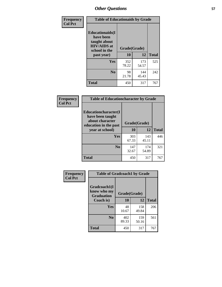| Frequency<br><b>Col Pct</b> | <b>Table of Educationaids by Grade</b>                                                                    |                    |              |              |
|-----------------------------|-----------------------------------------------------------------------------------------------------------|--------------------|--------------|--------------|
|                             | <b>Educationaids</b> (I<br>have been<br>taught about<br><b>HIV/AIDS</b> at<br>school in the<br>past year) | Grade(Grade)<br>10 | 12           | <b>Total</b> |
|                             | Yes                                                                                                       | 352<br>78.22       | 173<br>54.57 | 525          |
|                             | N <sub>0</sub>                                                                                            | 98<br>21.78        | 144<br>45.43 | 242          |
|                             | <b>Total</b>                                                                                              | 450                | 317          | 767          |

| <b>Frequency</b> | <b>Table of Educationcharacter by Grade</b>                                          |              |              |              |
|------------------|--------------------------------------------------------------------------------------|--------------|--------------|--------------|
| <b>Col Pct</b>   | Educationcharacter(I<br>have been taught<br>about character<br>education in the past | Grade(Grade) |              |              |
|                  | year at school)                                                                      | 10           | 12           | <b>Total</b> |
|                  | Yes                                                                                  | 303<br>67.33 | 143<br>45.11 | 446          |
|                  | N <sub>0</sub>                                                                       | 147<br>32.67 | 174<br>54.89 | 321          |
|                  | <b>Total</b>                                                                         | 450          | 317          | 767          |

| Frequency      | <b>Table of Gradcoach1 by Grade</b> |              |              |              |
|----------------|-------------------------------------|--------------|--------------|--------------|
| <b>Col Pct</b> | Gradcoach1(I<br>know who my         | Grade(Grade) |              |              |
|                | <b>Graduation</b><br>Coach is)      | 10           | 12           | <b>Total</b> |
|                | Yes                                 | 48<br>10.67  | 158<br>49.84 | 206          |
|                | N <sub>0</sub>                      | 402<br>89.33 | 159<br>50.16 | 561          |
|                | <b>Total</b>                        | 450          | 317          | 767          |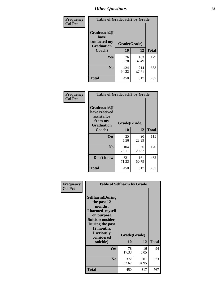| Frequency      | <b>Table of Gradcoach2 by Grade</b> |              |              |              |
|----------------|-------------------------------------|--------------|--------------|--------------|
| <b>Col Pct</b> | Gradcoach2(I<br>have                |              |              |              |
|                | contacted my<br><b>Graduation</b>   | Grade(Grade) |              |              |
|                | Coach)                              | 10           | 12           | <b>Total</b> |
|                | Yes                                 | 26<br>5.78   | 103<br>32.49 | 129          |
|                | N <sub>0</sub>                      | 424<br>94.22 | 214<br>67.51 | 638          |
|                | <b>Total</b>                        | 450          | 317          | 767          |

| Frequency<br><b>Col Pct</b> | <b>Table of Gradcoach3 by Grade</b>                                         |              |              |              |
|-----------------------------|-----------------------------------------------------------------------------|--------------|--------------|--------------|
|                             | Gradcoach3(I<br>have received<br>assistance<br>from my<br><b>Graduation</b> | Grade(Grade) |              |              |
|                             | Coach)                                                                      | 10           | 12           | <b>Total</b> |
|                             | Yes                                                                         | 25<br>5.56   | 90<br>28.39  | 115          |
|                             | N <sub>0</sub>                                                              | 104<br>23.11 | 66<br>20.82  | 170          |
|                             | Don't know                                                                  | 321<br>71.33 | 161<br>50.79 | 482          |
|                             | <b>Total</b>                                                                | 450          | 317          | 767          |

| Frequency      | <b>Table of Selfharm by Grade</b>                                                                                                                                                      |                    |              |              |  |
|----------------|----------------------------------------------------------------------------------------------------------------------------------------------------------------------------------------|--------------------|--------------|--------------|--|
| <b>Col Pct</b> | <b>Selfharm</b> (During<br>the past 12<br>months,<br>I harmed myself<br>on purpose<br><b>Suicideconsider</b><br>During the past<br>12 months,<br>I seriously<br>considered<br>suicide) | Grade(Grade)<br>10 | 12           | <b>Total</b> |  |
|                | Yes                                                                                                                                                                                    | 78<br>17.33        | 16<br>5.05   | 94           |  |
|                | N <sub>0</sub>                                                                                                                                                                         | 372<br>82.67       | 301<br>94.95 | 673          |  |
|                | <b>Total</b>                                                                                                                                                                           | 450                | 317          | 767          |  |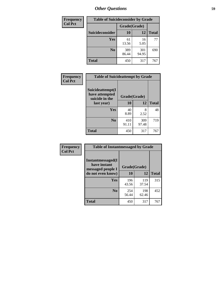| <b>Frequency</b> | <b>Table of Suicideconsider by Grade</b> |              |              |              |  |  |
|------------------|------------------------------------------|--------------|--------------|--------------|--|--|
| <b>Col Pct</b>   |                                          | Grade(Grade) |              |              |  |  |
|                  | Suicideconsider                          | <b>10</b>    | 12           | <b>Total</b> |  |  |
|                  | Yes                                      | 61<br>13.56  | 16<br>5.05   | 77           |  |  |
|                  | N <sub>0</sub>                           | 389<br>86.44 | 301<br>94.95 | 690          |  |  |
|                  | <b>Total</b>                             | 450          | 317          | 767          |  |  |

| Frequency      | <b>Table of Suicideattempt by Grade</b>              |              |              |              |
|----------------|------------------------------------------------------|--------------|--------------|--------------|
| <b>Col Pct</b> | Suicideattempt(I<br>have attempted<br>suicide in the | Grade(Grade) |              |              |
|                | last year)                                           | <b>10</b>    | 12           | <b>Total</b> |
|                | Yes                                                  | 40<br>8.89   | 8<br>2.52    | 48           |
|                | N <sub>0</sub>                                       | 410<br>91.11 | 309<br>97.48 | 719          |
|                | <b>Total</b>                                         | 450          | 317          | 767          |

| Frequency      | <b>Table of Instantmessaged by Grade</b>               |              |              |              |
|----------------|--------------------------------------------------------|--------------|--------------|--------------|
| <b>Col Pct</b> | Instantmessaged(I<br>have instant<br>messaged people I | Grade(Grade) |              |              |
|                | do not even know)                                      | 10           | 12           | <b>Total</b> |
|                | Yes                                                    | 196<br>43.56 | 119<br>37.54 | 315          |
|                | N <sub>0</sub>                                         | 254<br>56.44 | 198<br>62.46 | 452          |
|                | <b>Total</b>                                           | 450          | 317          | 767          |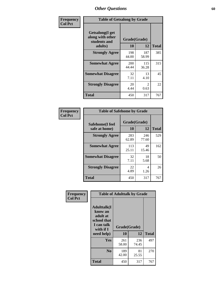| Frequency      | <b>Table of Getsalong by Grade</b>                          |                     |                        |              |
|----------------|-------------------------------------------------------------|---------------------|------------------------|--------------|
| <b>Col Pct</b> | <b>Getsalong</b> (I get<br>along with other<br>students and | Grade(Grade)        |                        |              |
|                | adults)                                                     | 10                  | 12                     | <b>Total</b> |
|                | <b>Strongly Agree</b>                                       | 198<br>44.00        | 187<br>58.99           | 385          |
|                | <b>Somewhat Agree</b>                                       | <b>200</b><br>44.44 | 115<br>36.28           | 315          |
|                | <b>Somewhat Disagree</b>                                    | 32<br>7.11          | 13<br>4.10             | 45           |
|                | <b>Strongly Disagree</b>                                    | 20<br>4.44          | $\mathfrak{D}$<br>0.63 | 22           |
|                | Total                                                       | 450                 | 317                    | 767          |

| Frequency      | <b>Table of Safehome by Grade</b> |                    |              |              |  |  |  |  |  |  |
|----------------|-----------------------------------|--------------------|--------------|--------------|--|--|--|--|--|--|
| <b>Col Pct</b> | Safehome(I feel<br>safe at home)  | Grade(Grade)<br>10 | 12           | <b>Total</b> |  |  |  |  |  |  |
|                | <b>Strongly Agree</b>             | 283<br>62.89       | 246<br>77.60 | 529          |  |  |  |  |  |  |
|                | <b>Somewhat Agree</b>             | 113<br>25.11       | 49<br>15.46  | 162          |  |  |  |  |  |  |
|                | <b>Somewhat Disagree</b>          | 32<br>7.11         | 18<br>5.68   | 50           |  |  |  |  |  |  |
|                | <b>Strongly Disagree</b>          | 22<br>4.89         | 4<br>1.26    | 26           |  |  |  |  |  |  |

| Frequency<br><b>Col Pct</b> | <b>Table of Adulttalk by Grade</b>                                                  |              |              |              |  |  |  |  |  |
|-----------------------------|-------------------------------------------------------------------------------------|--------------|--------------|--------------|--|--|--|--|--|
|                             | <b>Adulttalk(I</b><br>know an<br>adult at<br>school that<br>I can talk<br>with if I | Grade(Grade) |              |              |  |  |  |  |  |
|                             | need help)                                                                          | 10           | 12           | <b>Total</b> |  |  |  |  |  |
|                             | <b>Yes</b>                                                                          | 261<br>58.00 | 236<br>74.45 | 497          |  |  |  |  |  |
|                             | N <sub>0</sub>                                                                      | 189<br>42.00 | 81<br>25.55  | 270          |  |  |  |  |  |
|                             | <b>Total</b>                                                                        | 450          | 317          | 767          |  |  |  |  |  |

**Total** 450 317 767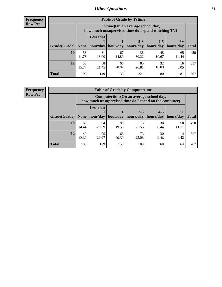**Frequency Row Pct**

| <b>Table of Grade by Tytime</b> |             |                                                                                        |             |              |             |             |              |  |  |  |  |
|---------------------------------|-------------|----------------------------------------------------------------------------------------|-------------|--------------|-------------|-------------|--------------|--|--|--|--|
|                                 |             | Tvtime(On an average school day,<br>how much unsupervised time do I spend watching TV) |             |              |             |             |              |  |  |  |  |
|                                 |             | <b>Less that</b><br>$2 - 3$<br>$4 - 5$<br>$6+$                                         |             |              |             |             |              |  |  |  |  |
| Grade(Grade)                    | None        | hour/day                                                                               | hour/day    | hours/day    | hours/day   | hours/day   | <b>Total</b> |  |  |  |  |
| 10                              | 53<br>11.78 | 81<br>18.00                                                                            | 67<br>14.89 | 136<br>30.22 | 48<br>10.67 | 65<br>14.44 | 450          |  |  |  |  |
| 12                              | 50<br>15.77 | 68<br>21.45                                                                            | 66<br>20.82 | 85<br>26.81  | 32<br>10.09 | 16<br>5.05  | 317          |  |  |  |  |
| <b>Total</b>                    | 103         | 149                                                                                    | 133         | 221          | 80          | 81          | 767          |  |  |  |  |

**Frequency Row Pct**

| <b>Table of Grade by Computertime</b> |             |                                                                                                                              |             |              |            |             |     |  |  |  |  |
|---------------------------------------|-------------|------------------------------------------------------------------------------------------------------------------------------|-------------|--------------|------------|-------------|-----|--|--|--|--|
|                                       |             | Computertime (On an average school day,<br>how much unsupervised time do I spend on the computer)                            |             |              |            |             |     |  |  |  |  |
| Grade(Grade)                          | None        | <b>Less that</b><br>$2 - 3$<br>$4 - 5$<br>$6+$<br>hour/day   hour/day<br>hours/day<br>hours/day<br>hours/day<br><b>Total</b> |             |              |            |             |     |  |  |  |  |
| 10                                    | 65<br>14.44 | 94<br>20.89                                                                                                                  | 88<br>19.56 | 115<br>25.56 | 38<br>8.44 | 50<br>11.11 | 450 |  |  |  |  |
| 12                                    | 40<br>12.62 | 95<br>29.97                                                                                                                  | 65<br>20.50 | 73<br>23.03  | 30<br>9.46 | 14<br>4.42  | 317 |  |  |  |  |
| <b>Total</b>                          | 105         | 189                                                                                                                          | 153         | 188          | 68         | 64          | 767 |  |  |  |  |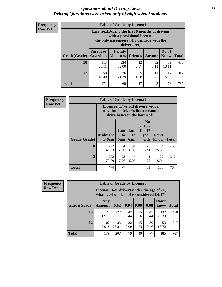#### *Questions about Driving Laws* **62** *Driving Questions were asked only of high school students.*

| <b>Frequency</b> |
|------------------|
| <b>Row Pct</b>   |

| <b>Table of Grade by License1</b> |                                     |                                                                                                                                           |            |            |             |     |  |  |  |  |
|-----------------------------------|-------------------------------------|-------------------------------------------------------------------------------------------------------------------------------------------|------------|------------|-------------|-----|--|--|--|--|
|                                   |                                     | License1(During the first 6 months of driving<br>with a provisional license,<br>the only passengers who can ride with the<br>driver are:) |            |            |             |     |  |  |  |  |
| Grade(Grade)                      | <b>Parent or</b><br><b>Guardian</b> | Don't<br>Family<br><b>Members</b><br><b>Friends</b><br><b>Know</b><br><b>Total</b><br>Anyone                                              |            |            |             |     |  |  |  |  |
| 10                                | 113<br>25.11                        | 234<br>52.00                                                                                                                              | 12<br>2.67 | 32<br>7.11 | 59<br>13.11 | 450 |  |  |  |  |
| 12                                | 58<br>18.30                         | 226<br>71.29                                                                                                                              | 5<br>1.58  | 11<br>3.47 | 17<br>5.36  | 317 |  |  |  |  |
| <b>Total</b>                      | 171                                 | 460                                                                                                                                       | 17         | 43         | 76          | 767 |  |  |  |  |

| Frequency      |              | <b>Table of Grade by License2</b>                                                                        |                  |                  |                                                      |                      |              |  |  |  |  |
|----------------|--------------|----------------------------------------------------------------------------------------------------------|------------------|------------------|------------------------------------------------------|----------------------|--------------|--|--|--|--|
| <b>Row Pct</b> |              | License2(17 yr old drivers with a<br>provisional driver's license cannot<br>drive between the hours of:) |                  |                  |                                                      |                      |              |  |  |  |  |
|                | Grade(Grade) | <b>Midnight</b><br>to 6am                                                                                | 1am<br>to<br>5am | 1am<br>to<br>6am | N <sub>0</sub><br>curfew<br>for $17$<br>year<br>olds | Don't<br><b>Know</b> | <b>Total</b> |  |  |  |  |
|                | 10           | 222<br>49.33                                                                                             | 54<br>12.00      | 31<br>6.89       | 29<br>6.44                                           | 114<br>25.33         | 450          |  |  |  |  |
|                | 12           | 252<br>79.50                                                                                             | 23<br>7.26       | 16<br>5.05       | 4<br>1.26                                            | 22<br>6.94           | 317          |  |  |  |  |
|                | <b>Total</b> | 474                                                                                                      | 77               | 47               | 33                                                   | 136                  | 767          |  |  |  |  |

| Frequency      | <b>Table of Grade by License3</b> |                      |                                                                                        |             |            |             |               |              |  |  |
|----------------|-----------------------------------|----------------------|----------------------------------------------------------------------------------------|-------------|------------|-------------|---------------|--------------|--|--|
| <b>Row Pct</b> |                                   |                      | License3(For drivers under the age of 21,<br>what level of alcohol is considered DUI?) |             |            |             |               |              |  |  |
|                | Grade(Grade)                      | Any<br><b>Amount</b> | 0.02                                                                                   | 0.04        | 0.06       | 0.08        | Don't<br>know | <b>Total</b> |  |  |
|                | 10                                | 77<br>17.11          | 122<br>27.11                                                                           | 47<br>10.44 | 25<br>5.56 | 47<br>10.44 | 132<br>29.33  | 450          |  |  |
|                | 12                                | 102<br>32.18         | 85<br>26.81                                                                            | 32<br>10.09 | 15<br>4.73 | 30<br>9.46  | 53<br>16.72   | 317          |  |  |
|                | <b>Total</b>                      | 179                  | 207                                                                                    | 79          | 40         | 77          | 185           | 767          |  |  |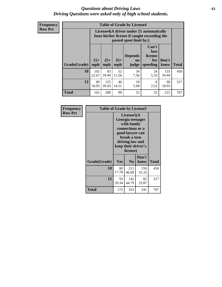#### *Questions about Driving Laws* **63** *Driving Questions were asked only of high school students.*

**Frequency Row Pct**

| <b>Table of Grade by License4</b> |              |                                                                                                                                               |             |            |            |              |     |  |  |  |
|-----------------------------------|--------------|-----------------------------------------------------------------------------------------------------------------------------------------------|-------------|------------|------------|--------------|-----|--|--|--|
|                                   |              | License4(A driver under 21 automatically<br>loses his/her license if caught exceeding the<br>posted speet limit by:)                          |             |            |            |              |     |  |  |  |
| Grade(Grade)                      | $15+$<br>mph | Can't<br>lose<br><b>Depends</b><br>license<br>$25+$<br>$35+$<br>Don't<br>for<br>on<br><b>Total</b><br>mph<br>speeding<br>know<br>mph<br>judge |             |            |            |              |     |  |  |  |
| 10                                | 102<br>22.67 | 83<br>18.44                                                                                                                                   | 52<br>11.56 | 34<br>7.56 | 24<br>5.33 | 155<br>34.44 | 450 |  |  |  |
| 12                                | 60<br>18.93  | 125<br>39.43                                                                                                                                  | 46<br>14.51 | 18<br>5.68 | 8<br>2.52  | 60<br>18.93  | 317 |  |  |  |
| <b>Total</b>                      | 162          | 208                                                                                                                                           | 98          | 52         | 32         | 215          | 767 |  |  |  |

| Frequency      | <b>Table of Grade by License5</b> |             |                                                                                                                                                             |               |       |
|----------------|-----------------------------------|-------------|-------------------------------------------------------------------------------------------------------------------------------------------------------------|---------------|-------|
| <b>Row Pct</b> |                                   |             | License5(A)<br>Georgia teenager<br>with family<br>connections or a<br>good lawyer can<br>break a teen<br>driving law and<br>keep their driver's<br>license) |               |       |
|                | Grade(Grade)                      | <b>Yes</b>  | N <sub>0</sub>                                                                                                                                              | Don't<br>know | Total |
|                | 10                                | 80<br>17.78 | 211<br>46.89                                                                                                                                                | 159<br>35.33  | 450   |
|                | 12                                | 93<br>29.34 | 142<br>44.79                                                                                                                                                | 82<br>25.87   | 317   |
|                | <b>Total</b>                      | 173         | 353                                                                                                                                                         | 241           | 767   |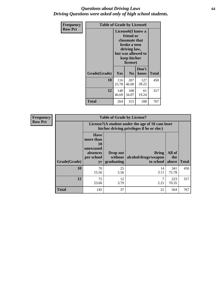### *Questions about Driving Laws* **64** *Driving Questions were asked only of high school students.*

| <b>Frequency</b> | <b>Table of Grade by License6</b> |                                                                                                                                                 |                |               |              |
|------------------|-----------------------------------|-------------------------------------------------------------------------------------------------------------------------------------------------|----------------|---------------|--------------|
| <b>Row Pct</b>   |                                   | License <sub>6</sub> (I know a<br>friend or<br>classmate that<br>broke a teen<br>driving law,<br>but was allowed to<br>keep his/her<br>license) |                |               |              |
|                  | Grade(Grade)                      | Yes                                                                                                                                             | N <sub>0</sub> | Don't<br>know | <b>Total</b> |
|                  | 10                                | 116<br>25.78                                                                                                                                    | 207<br>46.00   | 127<br>28.22  | 450          |
|                  | 12                                | 148<br>46.69                                                                                                                                    | 108<br>34.07   | 61<br>19.24   | 317          |
|                  | Total                             | 264                                                                                                                                             | 315            | 188           | 767          |

| Frequency      | <b>Table of Grade by License7</b> |                                                                             |                                     |                                                                                               |                        |              |
|----------------|-----------------------------------|-----------------------------------------------------------------------------|-------------------------------------|-----------------------------------------------------------------------------------------------|------------------------|--------------|
| <b>Row Pct</b> |                                   |                                                                             |                                     | License7(A student under the age of 18 cam loser<br>his/her driving privileges if he or she:) |                        |              |
|                | Grade(Grade)                      | <b>Have</b><br>more than<br>10<br>unexcused<br>absences<br>per school<br>yr | Drop out<br>without  <br>graduating | <b>Bring</b><br>alcohol/drugs/weapon<br>to school                                             | All of<br>the<br>above | <b>Total</b> |
|                | 10                                | 70<br>15.56                                                                 | 25<br>5.56                          | 14<br>3.11                                                                                    | 341<br>75.78           | 450          |
|                | 12                                | 75<br>23.66                                                                 | 12<br>3.79                          | ⇁<br>2.21                                                                                     | 223<br>70.35           | 317          |
|                | <b>Total</b>                      | 145                                                                         | 37                                  | 21                                                                                            | 564                    | 767          |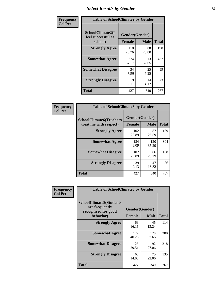# *Select Results by Gender* **65**

| Frequency      | <b>Table of SchoolClimate2 by Gender</b>          |                                 |              |              |  |
|----------------|---------------------------------------------------|---------------------------------|--------------|--------------|--|
| <b>Col Pct</b> | SchoolClimate2(I<br>feel successful at<br>school) | Gender(Gender)<br><b>Female</b> | <b>Male</b>  | <b>Total</b> |  |
|                | <b>Strongly Agree</b>                             | 110<br>25.76                    | 88<br>25.88  | 198          |  |
|                | <b>Somewhat Agree</b>                             | 274<br>64.17                    | 213<br>62.65 | 487          |  |
|                | <b>Somewhat Disagree</b>                          | 34<br>7.96                      | 25<br>7.35   | 59           |  |
|                | <b>Strongly Disagree</b>                          | 9<br>2.11                       | 14<br>4.12   | 23           |  |
|                | <b>Total</b>                                      | 427                             | 340          | 767          |  |

| Frequency      | <b>Table of SchoolClimate6 by Gender</b>                 |                                 |              |              |  |
|----------------|----------------------------------------------------------|---------------------------------|--------------|--------------|--|
| <b>Col Pct</b> | <b>SchoolClimate6(Teachers</b><br>treat me with respect) | Gender(Gender)<br><b>Female</b> | <b>Male</b>  | <b>Total</b> |  |
|                | <b>Strongly Agree</b>                                    | 102<br>23.89                    | 87<br>25.59  | 189          |  |
|                | <b>Somewhat Agree</b>                                    | 184<br>43.09                    | 120<br>35.29 | 304          |  |
|                | <b>Somewhat Disagree</b>                                 | 102<br>23.89                    | 86<br>25.29  | 188          |  |
|                | <b>Strongly Disagree</b>                                 | 39<br>9.13                      | 47<br>13.82  | 86           |  |
|                | Total                                                    | 427                             | 340          | 767          |  |

| Frequency      | <b>Table of SchoolClimate8 by Gender</b>                                             |                                 |              |              |  |
|----------------|--------------------------------------------------------------------------------------|---------------------------------|--------------|--------------|--|
| <b>Col Pct</b> | <b>SchoolClimate8(Students</b><br>are frequently<br>recognized for good<br>behavior) | Gender(Gender)<br><b>Female</b> | <b>Male</b>  | <b>Total</b> |  |
|                | <b>Strongly Agree</b>                                                                | 69<br>16.16                     | 45<br>13.24  | 114          |  |
|                | <b>Somewhat Agree</b>                                                                | 172<br>40.28                    | 128<br>37.65 | 300          |  |
|                | <b>Somewhat Disagree</b>                                                             | 126<br>29.51                    | 92<br>27.06  | 218          |  |
|                | <b>Strongly Disagree</b>                                                             | 60<br>14.05                     | 75<br>22.06  | 135          |  |
|                | Total                                                                                | 427                             | 340          | 767          |  |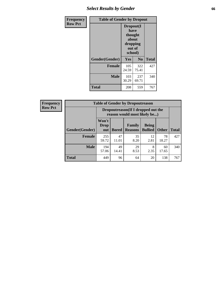# *Select Results by Gender* **66**

| Frequency      | <b>Table of Gender by Dropout</b> |                                                                        |              |              |
|----------------|-----------------------------------|------------------------------------------------------------------------|--------------|--------------|
| <b>Row Pct</b> |                                   | Dropout(I<br>have<br>thought<br>about<br>dropping<br>out of<br>school) |              |              |
|                | Gender(Gender)                    | <b>Yes</b>                                                             | No           | <b>Total</b> |
|                | <b>Female</b>                     | 105<br>24.59                                                           | 322<br>75.41 | 427          |
|                | <b>Male</b>                       | 103<br>30.29                                                           | 237<br>69.71 | 340          |
|                | <b>Total</b>                      | 208                                                                    | 559          | 767          |

| <b>Frequency</b> |
|------------------|
| <b>Row Pct</b>   |

| <b>Table of Gender by Dropoutreason</b> |                             |                                                                     |                          |                                |              |              |
|-----------------------------------------|-----------------------------|---------------------------------------------------------------------|--------------------------|--------------------------------|--------------|--------------|
|                                         |                             | Dropoutreason (If I dropped out the<br>reason would most likely be) |                          |                                |              |              |
| Gender(Gender)                          | Won't<br><b>Drop</b><br>out | <b>Bored</b>                                                        | Family<br><b>Reasons</b> | <b>Being</b><br><b>Bullied</b> | <b>Other</b> | <b>Total</b> |
| <b>Female</b>                           | 255<br>59.72                | 47<br>11.01                                                         | 35<br>8.20               | 12<br>2.81                     | 78<br>18.27  | 427          |
| <b>Male</b>                             | 194<br>57.06                | 49<br>14.41                                                         | 29<br>8.53               | 8<br>2.35                      | 60<br>17.65  | 340          |
| <b>Total</b>                            | 449                         | 96                                                                  | 64                       | 20                             | 138          | 767          |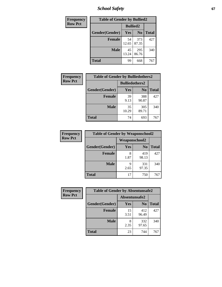*School Safety* **67**

| Frequency      | <b>Table of Gender by Bullied2</b> |                 |                |              |  |
|----------------|------------------------------------|-----------------|----------------|--------------|--|
| <b>Row Pct</b> |                                    | <b>Bullied2</b> |                |              |  |
|                | Gender(Gender)                     | Yes             | N <sub>0</sub> | <b>Total</b> |  |
|                | <b>Female</b>                      | 54<br>12.65     | 373<br>87.35   | 427          |  |
|                | <b>Male</b>                        | 45<br>13.24     | 295<br>86.76   | 340          |  |
|                | <b>Total</b>                       | 99              | 668            | 767          |  |

| Frequency      | <b>Table of Gender by Bulliedothers2</b> |                       |                |              |  |
|----------------|------------------------------------------|-----------------------|----------------|--------------|--|
| <b>Row Pct</b> |                                          | <b>Bulliedothers2</b> |                |              |  |
|                | Gender(Gender)                           | Yes                   | N <sub>0</sub> | <b>Total</b> |  |
|                | <b>Female</b>                            | 39<br>9.13            | 388<br>90.87   | 427          |  |
|                | <b>Male</b>                              | 35<br>10.29           | 305<br>89.71   | 340          |  |
|                | <b>Total</b>                             | 74                    | 693            | 767          |  |

| <b>Frequency</b> | <b>Table of Gender by Weaponschool2</b> |               |                |              |  |
|------------------|-----------------------------------------|---------------|----------------|--------------|--|
| <b>Row Pct</b>   |                                         | Weaponschool2 |                |              |  |
|                  | Gender(Gender)                          | Yes           | N <sub>0</sub> | <b>Total</b> |  |
|                  | <b>Female</b>                           | 8<br>1.87     | 419<br>98.13   | 427          |  |
|                  | <b>Male</b>                             | 9<br>2.65     | 331<br>97.35   | 340          |  |
|                  | <b>Total</b>                            | 17            | 750            | 767          |  |

| Frequency      | <b>Table of Gender by Absentunsafe2</b> |               |                |              |  |
|----------------|-----------------------------------------|---------------|----------------|--------------|--|
| <b>Row Pct</b> |                                         | Absentunsafe2 |                |              |  |
|                | Gender(Gender)                          | Yes           | N <sub>0</sub> | <b>Total</b> |  |
|                | <b>Female</b>                           | 15<br>3.51    | 412<br>96.49   | 427          |  |
|                | <b>Male</b>                             | 2.35          | 332<br>97.65   | 340          |  |
|                | <b>Total</b>                            | 23            | 744            | 767          |  |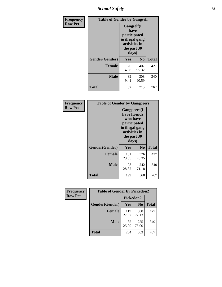*School Safety* **68**

| Frequency      | <b>Table of Gender by Gangself</b> |                                                                                                        |              |              |
|----------------|------------------------------------|--------------------------------------------------------------------------------------------------------|--------------|--------------|
| <b>Row Pct</b> |                                    | <b>Gangself</b> (I<br>have<br>participated<br>in illegal gang<br>activities in<br>the past 30<br>days) |              |              |
|                | Gender(Gender)                     | Yes                                                                                                    | No           | <b>Total</b> |
|                | <b>Female</b>                      | 20<br>4.68                                                                                             | 407<br>95.32 | 427          |
|                | <b>Male</b>                        | 32<br>9.41                                                                                             | 308<br>90.59 | 340          |
|                | <b>Total</b>                       | 52                                                                                                     | 715          | 767          |

| Frequency      | <b>Table of Gender by Gangpeers</b> |                                                                                                                             |                |              |
|----------------|-------------------------------------|-----------------------------------------------------------------------------------------------------------------------------|----------------|--------------|
| <b>Row Pct</b> |                                     | <b>Gangpeers</b> (I<br>have friends<br>who have<br>participated<br>in illegal gang<br>activities in<br>the past 30<br>days) |                |              |
|                | Gender(Gender)                      | Yes                                                                                                                         | N <sub>0</sub> | <b>Total</b> |
|                | <b>Female</b>                       | 101<br>23.65                                                                                                                | 326<br>76.35   | 427          |
|                | <b>Male</b>                         | 98<br>28.82                                                                                                                 | 242<br>71.18   | 340          |
|                | <b>Total</b>                        | 199                                                                                                                         | 568            | 767          |

| Frequency      | <b>Table of Gender by Pickedon2</b> |              |                |              |
|----------------|-------------------------------------|--------------|----------------|--------------|
| <b>Row Pct</b> |                                     | Pickedon2    |                |              |
|                | Gender(Gender)                      | Yes          | N <sub>0</sub> | <b>Total</b> |
|                | <b>Female</b>                       | 119<br>27.87 | 308<br>72.13   | 427          |
|                | <b>Male</b>                         | 85<br>25.00  | 255<br>75.00   | 340          |
|                | <b>Total</b>                        | 204          | 563            | 767          |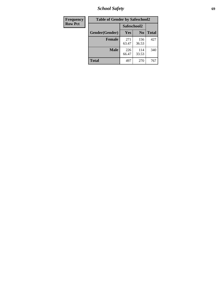*School Safety* **69**

| Frequency      | <b>Table of Gender by Safeschool2</b> |              |                |              |
|----------------|---------------------------------------|--------------|----------------|--------------|
| <b>Row Pct</b> |                                       | Safeschool2  |                |              |
|                | Gender(Gender)                        | <b>Yes</b>   | N <sub>0</sub> | <b>Total</b> |
|                | <b>Female</b>                         | 271<br>63.47 | 156<br>36.53   | 427          |
|                | <b>Male</b>                           | 226<br>66.47 | 114<br>33.53   | 340          |
|                | <b>Total</b>                          | 497          | 270            | 767          |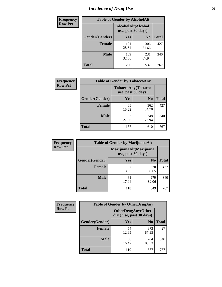# *Incidence of Drug Use* **70**

| <b>Frequency</b> | <b>Table of Gender by AlcoholAlt</b>     |              |                |              |  |
|------------------|------------------------------------------|--------------|----------------|--------------|--|
| <b>Row Pct</b>   | AlcoholAlt(Alcohol<br>use, past 30 days) |              |                |              |  |
|                  | Gender(Gender)                           | <b>Yes</b>   | N <sub>0</sub> | <b>Total</b> |  |
|                  | <b>Female</b>                            | 121<br>28.34 | 306<br>71.66   | 427          |  |
|                  | <b>Male</b>                              | 109<br>32.06 | 231<br>67.94   | 340          |  |
|                  | <b>Total</b>                             | 230          | 537            | 767          |  |

| Frequency      | <b>Table of Gender by TobaccoAny</b> |                    |                    |              |
|----------------|--------------------------------------|--------------------|--------------------|--------------|
| <b>Row Pct</b> |                                      | use, past 30 days) | TobaccoAny(Tobacco |              |
|                | Gender(Gender)                       | Yes                | N <sub>0</sub>     | <b>Total</b> |
|                | <b>Female</b>                        | 65<br>15.22        | 362<br>84.78       | 427          |
|                | <b>Male</b>                          | 92<br>27.06        | 248<br>72.94       | 340          |
|                | Total                                | 157                | 610                | 767          |

| <b>Frequency</b>                                               | <b>Table of Gender by MarijuanaAlt</b> |             |                |              |
|----------------------------------------------------------------|----------------------------------------|-------------|----------------|--------------|
| <b>Row Pct</b><br>MarijuanaAlt(Marijuana<br>use, past 30 days) |                                        |             |                |              |
|                                                                | Gender(Gender)                         | <b>Yes</b>  | N <sub>0</sub> | <b>Total</b> |
|                                                                | <b>Female</b>                          | 57<br>13.35 | 370<br>86.65   | 427          |
|                                                                | <b>Male</b>                            | 61<br>17.94 | 279<br>82.06   | 340          |
|                                                                | <b>Total</b>                           | 118         | 649            | 767          |

| <b>Frequency</b> | <b>Table of Gender by OtherDrugAny</b>               |             |                |              |
|------------------|------------------------------------------------------|-------------|----------------|--------------|
| <b>Row Pct</b>   | <b>OtherDrugAny(Other</b><br>drug use, past 30 days) |             |                |              |
|                  | Gender(Gender)                                       | <b>Yes</b>  | N <sub>0</sub> | <b>Total</b> |
|                  | <b>Female</b>                                        | 54<br>12.65 | 373<br>87.35   | 427          |
|                  | <b>Male</b>                                          | 56<br>16.47 | 284<br>83.53   | 340          |
|                  | <b>Total</b>                                         | 110         | 657            | 767          |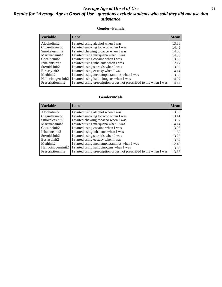### *Average Age at Onset of Use* **71** *Results for "Average Age at Onset of Use" questions exclude students who said they did not use that substance*

#### **Gender=Female**

| <b>Variable</b>                 | <b>Label</b>                                                       | <b>Mean</b> |
|---------------------------------|--------------------------------------------------------------------|-------------|
| Alcoholinit2                    | I started using alcohol when I was                                 | 13.88       |
| Cigarettesinit2                 | I started smoking tobacco when I was                               | 14.45       |
| Smokelessinit2                  | I started chewing tobacco when I was                               | 14.00       |
| Marijuanainit2                  | I started using marijuana when I was                               | 14.53       |
| Cocaineinit2                    | I started using cocaine when I was                                 | 13.93       |
| Inhalantsinit2                  | I started using inhalants when I was                               | 12.17       |
| Steroidsinit2                   | I started using steroids when I was                                | 13.00       |
| Ecstasyinit2                    | I started using ecstasy when I was                                 | 14.14       |
| Methinit2                       | I started using methamphetamines when I was                        | 13.50       |
| Hallucinogensinit2              | I started using hallucinogens when I was                           | 14.07       |
| Prescription in it <sub>2</sub> | I started using prescription drugs not prescribed to me when I was | 14.14       |

#### **Gender=Male**

| <b>Variable</b>    | Label                                                              | <b>Mean</b> |
|--------------------|--------------------------------------------------------------------|-------------|
| Alcoholinit2       | I started using alcohol when I was                                 | 13.85       |
| Cigarettesinit2    | I started smoking tobacco when I was                               | 13.41       |
| Smokelessinit2     | I started chewing tobacco when I was                               | 13.97       |
| Marijuanainit2     | I started using marijuana when I was                               | 14.14       |
| Cocaineinit2       | I started using cocaine when I was                                 | 13.06       |
| Inhalantsinit2     | I started using inhalants when I was                               | 11.62       |
| Steroidsinit2      | I started using steroids when I was                                | 13.25       |
| Ecstasyinit2       | I started using ecstasy when I was                                 | 13.67       |
| Methinit2          | I started using methamphetamines when I was                        | 12.40       |
| Hallucinogensinit2 | I started using hallucinogens when I was                           | 13.65       |
| Prescriptioninit2  | I started using prescription drugs not prescribed to me when I was | 13.68       |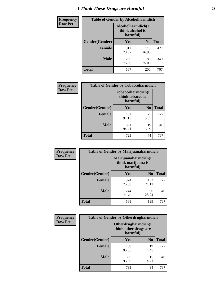# *I Think These Drugs are Harmful* **72**

| <b>Frequency</b> | <b>Table of Gender by Alcoholharmdich</b> |                                                   |                |              |  |
|------------------|-------------------------------------------|---------------------------------------------------|----------------|--------------|--|
| <b>Row Pct</b>   |                                           | Alcoholharmdich(I<br>think alcohol is<br>harmful) |                |              |  |
|                  | Gender(Gender)                            | Yes                                               | N <sub>0</sub> | <b>Total</b> |  |
|                  | <b>Female</b>                             | 312<br>73.07                                      | 115<br>26.93   | 427          |  |
|                  | <b>Male</b>                               | 255<br>75.00                                      | 85<br>25.00    | 340          |  |
|                  | Total                                     | 567                                               | 200            | 767          |  |

| Frequency      | <b>Table of Gender by Tobaccoharmdich</b> |                              |                   |              |
|----------------|-------------------------------------------|------------------------------|-------------------|--------------|
| <b>Row Pct</b> |                                           | think tobacco is<br>harmful) | Tobaccoharmdich(I |              |
|                | Gender(Gender)                            | Yes                          | N <sub>0</sub>    | <b>Total</b> |
|                | <b>Female</b>                             | 402<br>94.15                 | 25<br>5.85        | 427          |
|                | <b>Male</b>                               | 321<br>94.41                 | 19<br>5.59        | 340          |
|                | <b>Total</b>                              | 723                          | 44                | 767          |

| Frequency      | <b>Table of Gender by Marijuanaharmdich</b> |                                                       |                |              |  |
|----------------|---------------------------------------------|-------------------------------------------------------|----------------|--------------|--|
| <b>Row Pct</b> |                                             | Marijuanaharmdich(I<br>think marijuana is<br>harmful) |                |              |  |
|                | Gender(Gender)                              | <b>Yes</b>                                            | N <sub>0</sub> | <b>Total</b> |  |
|                | <b>Female</b>                               | 324<br>75.88                                          | 103<br>24.12   | 427          |  |
|                | <b>Male</b>                                 | 244<br>71.76                                          | 96<br>28.24    | 340          |  |
|                | <b>Total</b>                                | 568                                                   | 199            | 767          |  |

| Frequency      | <b>Table of Gender by Otherdrugharmdich</b> |                                                          |                |              |  |
|----------------|---------------------------------------------|----------------------------------------------------------|----------------|--------------|--|
| <b>Row Pct</b> |                                             | Otherdrugharmdich(I<br>think other drugs are<br>harmful) |                |              |  |
|                | Gender(Gender)                              | <b>Yes</b>                                               | N <sub>0</sub> | <b>Total</b> |  |
|                | <b>Female</b>                               | 408<br>95.55                                             | 19<br>4.45     | 427          |  |
|                | <b>Male</b>                                 | 325<br>95.59                                             | 15<br>4.41     | 340          |  |
|                | <b>Total</b>                                | 733                                                      | 34             | 767          |  |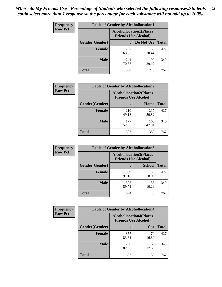| <b>Frequency</b> | <b>Table of Gender by Alcohollocation1</b> |                                                               |              |              |
|------------------|--------------------------------------------|---------------------------------------------------------------|--------------|--------------|
| <b>Row Pct</b>   |                                            | <b>Alcohollocation1(Places</b><br><b>Friends Use Alcohol)</b> |              |              |
|                  | Gender(Gender)                             |                                                               | Do Not Use   | <b>Total</b> |
|                  | <b>Female</b>                              | 297<br>69.56                                                  | 130<br>30.44 | 427          |
|                  | <b>Male</b>                                | 241<br>70.88                                                  | 99<br>29.12  | 340          |
|                  | Total                                      | 538                                                           | 229          | 767          |

| <b>Frequency</b> | <b>Table of Gender by Alcohollocation2</b> |                                                               |              |              |
|------------------|--------------------------------------------|---------------------------------------------------------------|--------------|--------------|
| <b>Row Pct</b>   |                                            | <b>Alcohollocation2(Places</b><br><b>Friends Use Alcohol)</b> |              |              |
|                  | Gender(Gender)                             |                                                               | Home         | <b>Total</b> |
|                  | <b>Female</b>                              | 210<br>49.18                                                  | 217<br>50.82 | 427          |
|                  | <b>Male</b>                                | 177<br>52.06                                                  | 163<br>47.94 | 340          |
|                  | <b>Total</b>                               | 387                                                           | 380          | 767          |

| Frequency      | <b>Table of Gender by Alcohollocation3</b> |                                                               |               |              |
|----------------|--------------------------------------------|---------------------------------------------------------------|---------------|--------------|
| <b>Row Pct</b> |                                            | <b>Alcohollocation3(Places</b><br><b>Friends Use Alcohol)</b> |               |              |
|                | <b>Gender</b> (Gender)                     |                                                               | <b>School</b> | <b>Total</b> |
|                | <b>Female</b>                              | 389<br>91.10                                                  | 38<br>8.90    | 427          |
|                | <b>Male</b>                                | 305<br>89.71                                                  | 35<br>10.29   | 340          |
|                | <b>Total</b>                               | 694                                                           | 73            | 767          |

| Frequency      | <b>Table of Gender by Alcohollocation4</b> |                                                               |             |              |
|----------------|--------------------------------------------|---------------------------------------------------------------|-------------|--------------|
| <b>Row Pct</b> |                                            | <b>Alcohollocation4(Places</b><br><b>Friends Use Alcohol)</b> |             |              |
|                | Gender(Gender)                             |                                                               | Car         | <b>Total</b> |
|                | <b>Female</b>                              | 357<br>83.61                                                  | 70<br>16.39 | 427          |
|                | <b>Male</b>                                | 280<br>82.35                                                  | 60<br>17.65 | 340          |
|                | <b>Total</b>                               | 637                                                           | 130         | 767          |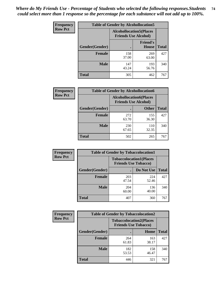| <b>Frequency</b> | <b>Table of Gender by Alcohollocation5</b> |                                                                |                                 |              |
|------------------|--------------------------------------------|----------------------------------------------------------------|---------------------------------|--------------|
| <b>Row Pct</b>   |                                            | <b>Alcohollocation5</b> (Places<br><b>Friends Use Alcohol)</b> |                                 |              |
|                  | Gender(Gender)                             |                                                                | <b>Friend's</b><br><b>House</b> | <b>Total</b> |
|                  | <b>Female</b>                              | 158<br>37.00                                                   | 269<br>63.00                    | 427          |
|                  | <b>Male</b>                                | 147<br>43.24                                                   | 193<br>56.76                    | 340          |
|                  | <b>Total</b>                               | 305                                                            | 462                             | 767          |

| <b>Frequency</b> | <b>Table of Gender by Alcohollocation6</b> |                                                               |              |              |  |
|------------------|--------------------------------------------|---------------------------------------------------------------|--------------|--------------|--|
| <b>Row Pct</b>   |                                            | <b>Alcohollocation6(Places</b><br><b>Friends Use Alcohol)</b> |              |              |  |
|                  | <b>Gender</b> (Gender)                     |                                                               | <b>Other</b> | <b>Total</b> |  |
|                  | <b>Female</b>                              | 272<br>63.70                                                  | 155<br>36.30 | 427          |  |
|                  | <b>Male</b>                                | 230<br>67.65                                                  | 110<br>32.35 | 340          |  |
|                  | <b>Total</b>                               | 502                                                           | 265          | 767          |  |

| Frequency      | <b>Table of Gender by Tobaccolocation1</b> |                                                               |              |              |  |
|----------------|--------------------------------------------|---------------------------------------------------------------|--------------|--------------|--|
| <b>Row Pct</b> |                                            | <b>Tobaccolocation1(Places</b><br><b>Friends Use Tobacco)</b> |              |              |  |
|                | Gender(Gender)                             |                                                               | Do Not Use   | <b>Total</b> |  |
|                | Female                                     | 203<br>47.54                                                  | 224<br>52.46 | 427          |  |
|                | <b>Male</b>                                | 204<br>60.00                                                  | 136<br>40.00 | 340          |  |
|                | <b>Total</b>                               | 407                                                           | 360          | 767          |  |

| <b>Frequency</b> | <b>Table of Gender by Tobaccolocation2</b> |                                                               |              |              |  |
|------------------|--------------------------------------------|---------------------------------------------------------------|--------------|--------------|--|
| <b>Row Pct</b>   |                                            | <b>Tobaccolocation2(Places</b><br><b>Friends Use Tobacco)</b> |              |              |  |
|                  | Gender(Gender)                             |                                                               | Home         | <b>Total</b> |  |
|                  | Female                                     | 264<br>61.83                                                  | 163<br>38.17 | 427          |  |
|                  | <b>Male</b>                                | 182<br>53.53                                                  | 158<br>46.47 | 340          |  |
|                  | <b>Total</b>                               | 446                                                           | 321          | 767          |  |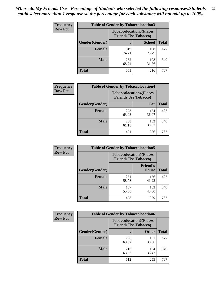| <b>Frequency</b> | <b>Table of Gender by Tobaccolocation3</b> |                                                               |               |              |  |
|------------------|--------------------------------------------|---------------------------------------------------------------|---------------|--------------|--|
| <b>Row Pct</b>   |                                            | <b>Tobaccolocation3(Places</b><br><b>Friends Use Tobacco)</b> |               |              |  |
|                  | Gender(Gender)                             |                                                               | <b>School</b> | <b>Total</b> |  |
|                  | <b>Female</b>                              | 319<br>74.71                                                  | 108<br>25.29  | 427          |  |
|                  | <b>Male</b>                                | 232<br>68.24                                                  | 108<br>31.76  | 340          |  |
|                  | <b>Total</b>                               | 551                                                           | 216           | 767          |  |

| <b>Frequency</b> | <b>Table of Gender by Tobaccolocation4</b> |              |                                                               |              |
|------------------|--------------------------------------------|--------------|---------------------------------------------------------------|--------------|
| <b>Row Pct</b>   |                                            |              | <b>Tobaccolocation4(Places</b><br><b>Friends Use Tobacco)</b> |              |
|                  | Gender(Gender)                             |              | Car                                                           | <b>Total</b> |
|                  | <b>Female</b>                              | 273<br>63.93 | 154<br>36.07                                                  | 427          |
|                  | <b>Male</b>                                | 208<br>61.18 | 132<br>38.82                                                  | 340          |
|                  | <b>Total</b>                               | 481          | 286                                                           | 767          |

| <b>Frequency</b> | <b>Table of Gender by Tobaccolocation5</b> |                                                               |                                 |              |
|------------------|--------------------------------------------|---------------------------------------------------------------|---------------------------------|--------------|
| <b>Row Pct</b>   |                                            | <b>Tobaccolocation5(Places</b><br><b>Friends Use Tobacco)</b> |                                 |              |
|                  | Gender(Gender)                             |                                                               | <b>Friend's</b><br><b>House</b> | <b>Total</b> |
|                  | <b>Female</b>                              | 251<br>58.78                                                  | 176<br>41.22                    | 427          |
|                  | <b>Male</b>                                | 187<br>55.00                                                  | 153<br>45.00                    | 340          |
|                  | <b>Total</b>                               | 438                                                           | 329                             | 767          |

| <b>Frequency</b> | <b>Table of Gender by Tobaccolocation6</b> |                                                               |              |              |
|------------------|--------------------------------------------|---------------------------------------------------------------|--------------|--------------|
| <b>Row Pct</b>   |                                            | <b>Tobaccolocation6(Places</b><br><b>Friends Use Tobacco)</b> |              |              |
|                  | Gender(Gender)                             |                                                               | <b>Other</b> | <b>Total</b> |
|                  | Female                                     | 296<br>69.32                                                  | 131<br>30.68 | 427          |
|                  | <b>Male</b>                                | 216<br>63.53                                                  | 124<br>36.47 | 340          |
|                  | <b>Total</b>                               | 512                                                           | 255          | 767          |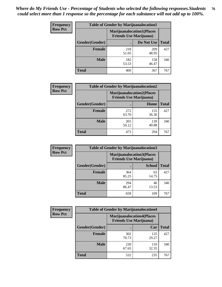| <b>Frequency</b> | <b>Table of Gender by Marijuanalocation1</b> |                                                                    |              |              |  |
|------------------|----------------------------------------------|--------------------------------------------------------------------|--------------|--------------|--|
| <b>Row Pct</b>   |                                              | <b>Marijuanalocation1(Places</b><br><b>Friends Use Marijuana</b> ) |              |              |  |
|                  | Gender(Gender)                               |                                                                    | Do Not Use   | <b>Total</b> |  |
|                  | <b>Female</b>                                | 218<br>51.05                                                       | 209<br>48.95 | 427          |  |
|                  | <b>Male</b>                                  | 182<br>53.53                                                       | 158<br>46.47 | 340          |  |
|                  | <b>Total</b>                                 | 400                                                                | 367          | 767          |  |

| <b>Frequency</b> | <b>Table of Gender by Marijuanalocation2</b> |                                                                     |              |              |
|------------------|----------------------------------------------|---------------------------------------------------------------------|--------------|--------------|
| <b>Row Pct</b>   |                                              | <b>Marijuanalocation2(Places)</b><br><b>Friends Use Marijuana</b> ) |              |              |
|                  | Gender(Gender)                               |                                                                     | Home         | <b>Total</b> |
|                  | <b>Female</b>                                | 272<br>63.70                                                        | 155<br>36.30 | 427          |
|                  | <b>Male</b>                                  | 201<br>59.12                                                        | 139<br>40.88 | 340          |
|                  | Total                                        | 473                                                                 | 294          | 767          |

| <b>Frequency</b> | <b>Table of Gender by Marijuanalocation3</b> |                                                                    |               |              |
|------------------|----------------------------------------------|--------------------------------------------------------------------|---------------|--------------|
| <b>Row Pct</b>   |                                              | <b>Marijuanalocation3(Places</b><br><b>Friends Use Marijuana</b> ) |               |              |
|                  | <b>Gender</b> (Gender)                       |                                                                    | <b>School</b> | <b>Total</b> |
|                  | <b>Female</b>                                | 364<br>85.25                                                       | 63<br>14.75   | 427          |
|                  | <b>Male</b>                                  | 294<br>86.47                                                       | 46<br>13.53   | 340          |
|                  | <b>Total</b>                                 | 658                                                                | 109           | 767          |

| Frequency      | <b>Table of Gender by Marijuanalocation4</b> |                                                                    |              |              |
|----------------|----------------------------------------------|--------------------------------------------------------------------|--------------|--------------|
| <b>Row Pct</b> |                                              | <b>Marijuanalocation4(Places</b><br><b>Friends Use Marijuana</b> ) |              |              |
|                | Gender(Gender)                               |                                                                    | Car          | <b>Total</b> |
|                | <b>Female</b>                                | 302<br>70.73                                                       | 125<br>29.27 | 427          |
|                | <b>Male</b>                                  | 230<br>67.65                                                       | 110<br>32.35 | 340          |
|                | <b>Total</b>                                 | 532                                                                | 235          | 767          |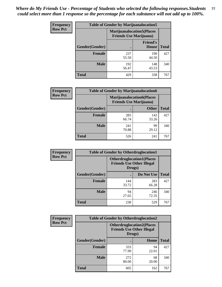| <b>Frequency</b> | <b>Table of Gender by Marijuanalocation5</b> |                                                                     |                                 |              |
|------------------|----------------------------------------------|---------------------------------------------------------------------|---------------------------------|--------------|
| <b>Row Pct</b>   |                                              | <b>Marijuanalocation5</b> (Places<br><b>Friends Use Marijuana</b> ) |                                 |              |
|                  | Gender(Gender)                               |                                                                     | <b>Friend's</b><br><b>House</b> | <b>Total</b> |
|                  | <b>Female</b>                                | 237<br>55.50                                                        | 190<br>44.50                    | 427          |
|                  | <b>Male</b>                                  | 192<br>56.47                                                        | 148<br>43.53                    | 340          |
|                  | <b>Total</b>                                 | 429                                                                 | 338                             | 767          |

| <b>Frequency</b> | <b>Table of Gender by Marijuanalocation6</b> |                                                                    |              |              |
|------------------|----------------------------------------------|--------------------------------------------------------------------|--------------|--------------|
| <b>Row Pct</b>   |                                              | <b>Marijuanalocation6(Places</b><br><b>Friends Use Marijuana</b> ) |              |              |
|                  | <b>Gender</b> (Gender)                       |                                                                    | <b>Other</b> | <b>Total</b> |
|                  | Female                                       | 285<br>66.74                                                       | 142<br>33.26 | 427          |
|                  | <b>Male</b>                                  | 241<br>70.88                                                       | 99<br>29.12  | 340          |
|                  | Total                                        | 526                                                                | 241          | 767          |

| <b>Frequency</b> | <b>Table of Gender by Otherdruglocation1</b> |                                                                                |              |              |
|------------------|----------------------------------------------|--------------------------------------------------------------------------------|--------------|--------------|
| <b>Row Pct</b>   |                                              | <b>Otherdruglocation1(Places</b><br><b>Friends Use Other Illegal</b><br>Drugs) |              |              |
|                  | Gender(Gender)                               |                                                                                | Do Not Use   | <b>Total</b> |
|                  | <b>Female</b>                                | 144<br>33.72                                                                   | 283<br>66.28 | 427          |
|                  | <b>Male</b>                                  | 94<br>27.65                                                                    | 246<br>72.35 | 340          |
|                  | <b>Total</b>                                 | 238                                                                            | 529          | 767          |

| Frequency      | <b>Table of Gender by Otherdruglocation2</b> |                                                                                |             |              |
|----------------|----------------------------------------------|--------------------------------------------------------------------------------|-------------|--------------|
| <b>Row Pct</b> |                                              | <b>Otherdruglocation2(Places</b><br><b>Friends Use Other Illegal</b><br>Drugs) |             |              |
|                | Gender(Gender)                               |                                                                                | Home        | <b>Total</b> |
|                | <b>Female</b>                                | 333<br>77.99                                                                   | 94<br>22.01 | 427          |
|                | <b>Male</b>                                  | 272<br>80.00                                                                   | 68<br>20.00 | 340          |
|                | <b>Total</b>                                 | 605                                                                            | 162         | 767          |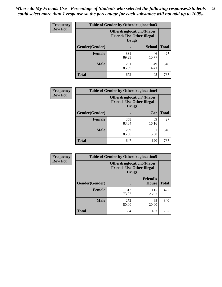| <b>Frequency</b> | <b>Table of Gender by Otherdruglocation3</b> |                                                                                |               |              |
|------------------|----------------------------------------------|--------------------------------------------------------------------------------|---------------|--------------|
| <b>Row Pct</b>   |                                              | <b>Otherdruglocation3(Places</b><br><b>Friends Use Other Illegal</b><br>Drugs) |               |              |
|                  | Gender(Gender)                               |                                                                                | <b>School</b> | <b>Total</b> |
|                  | <b>Female</b>                                | 381<br>89.23                                                                   | 46<br>10.77   | 427          |
|                  | <b>Male</b>                                  | 291<br>85.59                                                                   | 49<br>14.41   | 340          |
|                  | <b>Total</b>                                 | 672                                                                            | 95            | 767          |

| <b>Frequency</b> | <b>Table of Gender by Otherdruglocation4</b> |                                                                                |             |              |
|------------------|----------------------------------------------|--------------------------------------------------------------------------------|-------------|--------------|
| <b>Row Pct</b>   |                                              | <b>Otherdruglocation4(Places</b><br><b>Friends Use Other Illegal</b><br>Drugs) |             |              |
|                  | Gender(Gender)                               |                                                                                | Car         | <b>Total</b> |
|                  | Female                                       | 358<br>83.84                                                                   | 69<br>16.16 | 427          |
|                  | <b>Male</b>                                  | 289<br>85.00                                                                   | 51<br>15.00 | 340          |
|                  | <b>Total</b>                                 | 647                                                                            | 120         | 767          |

| <b>Frequency</b> | <b>Table of Gender by Otherdruglocation5</b> |              |                                                                      |              |
|------------------|----------------------------------------------|--------------|----------------------------------------------------------------------|--------------|
| <b>Row Pct</b>   |                                              | Drugs)       | <b>Otherdruglocation5(Places</b><br><b>Friends Use Other Illegal</b> |              |
|                  | Gender(Gender)                               |              | <b>Friend's</b><br><b>House</b>                                      | <b>Total</b> |
|                  | <b>Female</b>                                | 312<br>73.07 | 115<br>26.93                                                         | 427          |
|                  | <b>Male</b>                                  | 272<br>80.00 | 68<br>20.00                                                          | 340          |
|                  | <b>Total</b>                                 | 584          | 183                                                                  | 767          |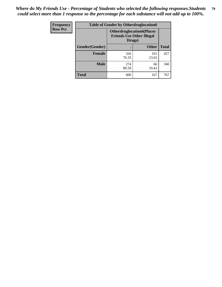| <b>Frequency</b> | <b>Table of Gender by Otherdruglocation6</b> |                                            |                                  |              |
|------------------|----------------------------------------------|--------------------------------------------|----------------------------------|--------------|
| <b>Row Pct</b>   |                                              | <b>Friends Use Other Illegal</b><br>Drugs) | <b>Otherdruglocation6(Places</b> |              |
|                  | Gender(Gender)                               |                                            | <b>Other</b>                     | <b>Total</b> |
|                  | <b>Female</b>                                | 326<br>76.35                               | 101<br>23.65                     | 427          |
|                  | <b>Male</b>                                  | 274<br>80.59                               | 66<br>19.41                      | 340          |
|                  | <b>Total</b>                                 | 600                                        | 167                              | 767          |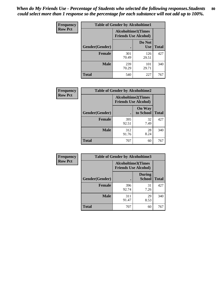| <b>Frequency</b> | <b>Table of Gender by Alcoholtime1</b> |                                                          |                      |              |
|------------------|----------------------------------------|----------------------------------------------------------|----------------------|--------------|
| <b>Row Pct</b>   |                                        | <b>Alcoholtime1(Times</b><br><b>Friends Use Alcohol)</b> |                      |              |
|                  | Gender(Gender)                         | ٠                                                        | Do Not<br><b>Use</b> | <b>Total</b> |
|                  | <b>Female</b>                          | 301<br>70.49                                             | 126<br>29.51         | 427          |
|                  | <b>Male</b>                            | 239<br>70.29                                             | 101<br>29.71         | 340          |
|                  | <b>Total</b>                           | 540                                                      | 227                  | 767          |

| Frequency      | <b>Table of Gender by Alcoholtime2</b> |                                                          |                            |              |
|----------------|----------------------------------------|----------------------------------------------------------|----------------------------|--------------|
| <b>Row Pct</b> |                                        | <b>Alcoholtime2(Times</b><br><b>Friends Use Alcohol)</b> |                            |              |
|                | Gender(Gender)                         |                                                          | <b>On Way</b><br>to School | <b>Total</b> |
|                | <b>Female</b>                          | 395<br>92.51                                             | 32<br>7.49                 | 427          |
|                | <b>Male</b>                            | 312<br>91.76                                             | 28<br>8.24                 | 340          |
|                | <b>Total</b>                           | 707                                                      | 60                         | 767          |

| Frequency      | <b>Table of Gender by Alcoholtime3</b> |                                                          |                                |              |
|----------------|----------------------------------------|----------------------------------------------------------|--------------------------------|--------------|
| <b>Row Pct</b> |                                        | <b>Alcoholtime3(Times</b><br><b>Friends Use Alcohol)</b> |                                |              |
|                | Gender(Gender)                         |                                                          | <b>During</b><br><b>School</b> | <b>Total</b> |
|                | <b>Female</b>                          | 396<br>92.74                                             | 31<br>7.26                     | 427          |
|                | <b>Male</b>                            | 311<br>91.47                                             | 29<br>8.53                     | 340          |
|                | <b>Total</b>                           | 707                                                      | 60                             | 767          |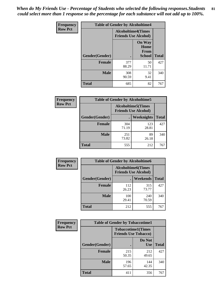*When do My Friends Use - Percentage of Students who selected the following responses.Students could select more than 1 response so the percentage for each substance will not add up to 100%.* **81**

| <b>Frequency</b> | <b>Table of Gender by Alcoholtime4</b> |                           |                                                |              |
|------------------|----------------------------------------|---------------------------|------------------------------------------------|--------------|
| <b>Row Pct</b>   |                                        | <b>Alcoholtime4(Times</b> | <b>Friends Use Alcohol)</b>                    |              |
|                  | Gender(Gender)                         |                           | <b>On Way</b><br>Home<br>From<br><b>School</b> | <b>Total</b> |
|                  | <b>Female</b>                          | 377<br>88.29              | 50<br>11.71                                    | 427          |
|                  | <b>Male</b>                            | 308<br>90.59              | 32<br>9.41                                     | 340          |
|                  | <b>Total</b>                           | 685                       | 82                                             | 767          |

| <b>Frequency</b> | <b>Table of Gender by Alcoholtime5</b> |                                                           |                   |              |
|------------------|----------------------------------------|-----------------------------------------------------------|-------------------|--------------|
| <b>Row Pct</b>   |                                        | <b>Alcoholtime5</b> (Times<br><b>Friends Use Alcohol)</b> |                   |              |
|                  | Gender(Gender)                         |                                                           | <b>Weeknights</b> | <b>Total</b> |
|                  | <b>Female</b>                          | 304<br>71.19                                              | 123<br>28.81      | 427          |
|                  | <b>Male</b>                            | 251<br>73.82                                              | 89<br>26.18       | 340          |
|                  | <b>Total</b>                           | 555                                                       | 212               | 767          |

| <b>Frequency</b> |                | <b>Table of Gender by Alcoholtime6</b> |                                                          |              |
|------------------|----------------|----------------------------------------|----------------------------------------------------------|--------------|
| <b>Row Pct</b>   |                |                                        | <b>Alcoholtime6(Times</b><br><b>Friends Use Alcohol)</b> |              |
|                  | Gender(Gender) |                                        | <b>Weekends</b>                                          | <b>Total</b> |
|                  | Female         | 112<br>26.23                           | 315<br>73.77                                             | 427          |
|                  | <b>Male</b>    | 100<br>29.41                           | 240<br>70.59                                             | 340          |
|                  | <b>Total</b>   | 212                                    | 555                                                      | 767          |

| Frequency      | <b>Table of Gender by Tobaccotime1</b> |                                                          |                      |              |
|----------------|----------------------------------------|----------------------------------------------------------|----------------------|--------------|
| <b>Row Pct</b> |                                        | <b>Tobaccotime1(Times</b><br><b>Friends Use Tobacco)</b> |                      |              |
|                | Gender(Gender)                         |                                                          | Do Not<br><b>Use</b> | <b>Total</b> |
|                | <b>Female</b>                          | 215<br>50.35                                             | 212<br>49.65         | 427          |
|                | <b>Male</b>                            | 196<br>57.65                                             | 144<br>42.35         | 340          |
|                | <b>Total</b>                           | 411                                                      | 356                  | 767          |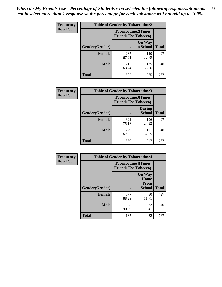*When do My Friends Use - Percentage of Students who selected the following responses.Students could select more than 1 response so the percentage for each substance will not add up to 100%.* **82**

| Frequency      | <b>Table of Gender by Tobaccotime2</b> |                                                          |                            |              |
|----------------|----------------------------------------|----------------------------------------------------------|----------------------------|--------------|
| <b>Row Pct</b> |                                        | <b>Tobaccotime2(Times</b><br><b>Friends Use Tobacco)</b> |                            |              |
|                | Gender(Gender)                         | $\bullet$                                                | <b>On Way</b><br>to School | <b>Total</b> |
|                | Female                                 | 287<br>67.21                                             | 140<br>32.79               | 427          |
|                | <b>Male</b>                            | 215<br>63.24                                             | 125<br>36.76               | 340          |
|                | <b>Total</b>                           | 502                                                      | 265                        | 767          |

| Frequency      | <b>Table of Gender by Tobaccotime3</b> |                                                          |                                |              |
|----------------|----------------------------------------|----------------------------------------------------------|--------------------------------|--------------|
| <b>Row Pct</b> |                                        | <b>Tobaccotime3(Times</b><br><b>Friends Use Tobacco)</b> |                                |              |
|                | Gender(Gender)                         |                                                          | <b>During</b><br><b>School</b> | <b>Total</b> |
|                | Female                                 | 321<br>75.18                                             | 106<br>24.82                   | 427          |
|                | <b>Male</b>                            | 229<br>67.35                                             | 111<br>32.65                   | 340          |
|                | <b>Total</b>                           | 550                                                      | 217                            | 767          |

| <b>Frequency</b> | <b>Table of Gender by Tobaccotime4</b> |                                                          |                                                       |              |
|------------------|----------------------------------------|----------------------------------------------------------|-------------------------------------------------------|--------------|
| <b>Row Pct</b>   |                                        | <b>Tobaccotime4(Times</b><br><b>Friends Use Tobacco)</b> |                                                       |              |
|                  | Gender(Gender)                         |                                                          | <b>On Way</b><br>Home<br><b>From</b><br><b>School</b> | <b>Total</b> |
|                  | <b>Female</b>                          | 377<br>88.29                                             | 50<br>11.71                                           | 427          |
|                  | <b>Male</b>                            | 308<br>90.59                                             | 32<br>9.41                                            | 340          |
|                  | <b>Total</b>                           | 685                                                      | 82                                                    | 767          |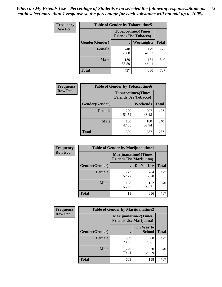| Frequency      | <b>Table of Gender by Tobaccotime5</b> |              |                                                          |              |
|----------------|----------------------------------------|--------------|----------------------------------------------------------|--------------|
| <b>Row Pct</b> |                                        |              | <b>Tobaccotime5(Times</b><br><b>Friends Use Tobacco)</b> |              |
|                | <b>Gender</b> (Gender)                 |              | Weeknights                                               | <b>Total</b> |
|                | <b>Female</b>                          | 248<br>58.08 | 179<br>41.92                                             | 427          |
|                | <b>Male</b>                            | 189<br>55.59 | 151<br>44.41                                             | 340          |
|                | <b>Total</b>                           | 437          | 330                                                      | 767          |

| <b>Frequency</b> |                | <b>Table of Gender by Tobaccotime6</b>                   |              |              |
|------------------|----------------|----------------------------------------------------------|--------------|--------------|
| <b>Row Pct</b>   |                | <b>Tobaccotime6(Times</b><br><b>Friends Use Tobacco)</b> |              |              |
|                  | Gender(Gender) |                                                          | Weekends     | <b>Total</b> |
|                  | Female         | 220<br>51.52                                             | 207<br>48.48 | 427          |
|                  | <b>Male</b>    | 160<br>47.06                                             | 180<br>52.94 | 340          |
|                  | <b>Total</b>   | 380                                                      | 387          | 767          |

| Frequency      | <b>Table of Gender by Marijuanatime1</b> |                                |                      |              |
|----------------|------------------------------------------|--------------------------------|----------------------|--------------|
| <b>Row Pct</b> |                                          | <b>Friends Use Marijuana</b> ) | Marijuanatime1(Times |              |
|                | Gender(Gender)                           |                                | Do Not Use           | <b>Total</b> |
|                | <b>Female</b>                            | 223<br>52.22                   | 204<br>47.78         | 427          |
|                | <b>Male</b>                              | 188<br>55.29                   | 152<br>44.71         | 340          |
|                | <b>Total</b>                             | 411                            | 356                  | 767          |

| <b>Frequency</b> | <b>Table of Gender by Marijuanatime2</b> |                                                        |                            |              |
|------------------|------------------------------------------|--------------------------------------------------------|----------------------------|--------------|
| <b>Row Pct</b>   |                                          | Marijuanatime2(Times<br><b>Friends Use Marijuana</b> ) |                            |              |
|                  | Gender(Gender)                           |                                                        | On Way to<br><b>School</b> | <b>Total</b> |
|                  | Female                                   | 339<br>79.39                                           | 88<br>20.61                | 427          |
|                  | <b>Male</b>                              | 270<br>79.41                                           | 70<br>20.59                | 340          |
|                  | <b>Total</b>                             | 609                                                    | 158                        | 767          |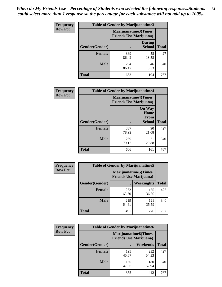| <b>Frequency</b> | <b>Table of Gender by Marijuanatime3</b> |                                                        |                                |              |
|------------------|------------------------------------------|--------------------------------------------------------|--------------------------------|--------------|
| <b>Row Pct</b>   |                                          | Marijuanatime3(Times<br><b>Friends Use Marijuana</b> ) |                                |              |
|                  | Gender(Gender)                           |                                                        | <b>During</b><br><b>School</b> | <b>Total</b> |
|                  | <b>Female</b>                            | 369<br>86.42                                           | 58<br>13.58                    | 427          |
|                  | <b>Male</b>                              | 294<br>86.47                                           | 46<br>13.53                    | 340          |
|                  | <b>Total</b>                             | 663                                                    | 104                            | 767          |

| Frequency      | <b>Table of Gender by Marijuanatime4</b> |                                                                |                                                       |              |
|----------------|------------------------------------------|----------------------------------------------------------------|-------------------------------------------------------|--------------|
| <b>Row Pct</b> |                                          | <b>Marijuanatime4</b> (Times<br><b>Friends Use Marijuana</b> ) |                                                       |              |
|                | <b>Gender</b> (Gender)                   |                                                                | <b>On Way</b><br>Home<br><b>From</b><br><b>School</b> | <b>Total</b> |
|                | <b>Female</b>                            | 337                                                            | 90                                                    | 427          |
|                | <b>Male</b>                              | 78.92<br>269<br>79.12                                          | 21.08<br>71<br>20.88                                  | 340          |
|                | <b>Total</b>                             | 606                                                            | 161                                                   | 767          |

| Frequency      | <b>Table of Gender by Marijuanatime5</b> |              |                                                                |              |  |
|----------------|------------------------------------------|--------------|----------------------------------------------------------------|--------------|--|
| <b>Row Pct</b> |                                          |              | <b>Marijuanatime5</b> (Times<br><b>Friends Use Marijuana</b> ) |              |  |
|                | Gender(Gender)                           | $\bullet$    | Weeknights                                                     | <b>Total</b> |  |
|                | <b>Female</b>                            | 272<br>63.70 | 155<br>36.30                                                   | 427          |  |
|                | <b>Male</b>                              | 219<br>64.41 | 121<br>35.59                                                   | 340          |  |
|                | <b>Total</b>                             | 491          | 276                                                            | 767          |  |

| Frequency      | <b>Table of Gender by Marijuanatime6</b> |                                                               |                 |              |  |
|----------------|------------------------------------------|---------------------------------------------------------------|-----------------|--------------|--|
| <b>Row Pct</b> |                                          | <b>Marijuanatime6(Times</b><br><b>Friends Use Marijuana</b> ) |                 |              |  |
|                | Gender(Gender)                           |                                                               | <b>Weekends</b> | <b>Total</b> |  |
|                | <b>Female</b>                            | 195<br>45.67                                                  | 232<br>54.33    | 427          |  |
|                | <b>Male</b>                              | 160<br>47.06                                                  | 180<br>52.94    | 340          |  |
|                | <b>Total</b>                             | 355                                                           | 412             | 767          |  |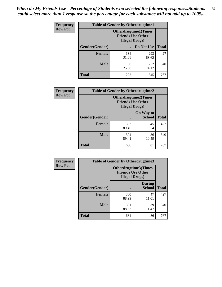*When do My Friends Use - Percentage of Students who selected the following responses.Students could select more than 1 response so the percentage for each substance will not add up to 100%.* **85**

| <b>Frequency</b> | <b>Table of Gender by Otherdrugtime1</b> |                                                    |                              |              |  |
|------------------|------------------------------------------|----------------------------------------------------|------------------------------|--------------|--|
| <b>Row Pct</b>   |                                          | <b>Friends Use Other</b><br><b>Illegal Drugs</b> ) | <b>Otherdrugtime1</b> (Times |              |  |
|                  | Gender(Gender)                           |                                                    | Do Not Use                   | <b>Total</b> |  |
|                  | <b>Female</b>                            | 134<br>31.38                                       | 293<br>68.62                 | 427          |  |
|                  | <b>Male</b>                              | 88<br>25.88                                        | 252<br>74.12                 | 340          |  |
|                  | <b>Total</b>                             | 222                                                | 545                          | 767          |  |

| <b>Frequency</b> | <b>Table of Gender by Otherdrugtime2</b> |                                                    |                             |              |
|------------------|------------------------------------------|----------------------------------------------------|-----------------------------|--------------|
| <b>Row Pct</b>   |                                          | <b>Friends Use Other</b><br><b>Illegal Drugs</b> ) | <b>Otherdrugtime2(Times</b> |              |
|                  | Gender(Gender)                           |                                                    | On Way to<br><b>School</b>  | <b>Total</b> |
|                  | <b>Female</b>                            | 382<br>89.46                                       | 45<br>10.54                 | 427          |
|                  | <b>Male</b>                              | 304<br>89.41                                       | 36<br>10.59                 | 340          |
|                  | <b>Total</b>                             | 686                                                | 81                          | 767          |

| Frequency      | <b>Table of Gender by Otherdrugtime3</b> |                        |                                                  |              |
|----------------|------------------------------------------|------------------------|--------------------------------------------------|--------------|
| <b>Row Pct</b> |                                          | <b>Illegal Drugs</b> ) | Otherdrugtime3(Times<br><b>Friends Use Other</b> |              |
|                | Gender(Gender)                           |                        | <b>During</b><br><b>School</b>                   | <b>Total</b> |
|                | <b>Female</b>                            | 380<br>88.99           | 47<br>11.01                                      | 427          |
|                | <b>Male</b>                              | 301<br>88.53           | 39<br>11.47                                      | 340          |
|                | <b>Total</b>                             | 681                    | 86                                               | 767          |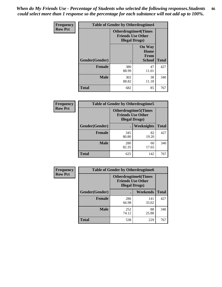*When do My Friends Use - Percentage of Students who selected the following responses.Students could select more than 1 response so the percentage for each substance will not add up to 100%.* **86**

| <b>Frequency</b> | <b>Table of Gender by Otherdrugtime4</b> |                        |                                                         |              |
|------------------|------------------------------------------|------------------------|---------------------------------------------------------|--------------|
| <b>Row Pct</b>   |                                          | <b>Illegal Drugs</b> ) | <b>Otherdrugtime4(Times</b><br><b>Friends Use Other</b> |              |
|                  | Gender(Gender)                           |                        | <b>On Way</b><br>Home<br><b>From</b><br><b>School</b>   | <b>Total</b> |
|                  | Female                                   | 380<br>88.99           | 47<br>11.01                                             | 427          |
|                  | <b>Male</b>                              | 302<br>88.82           | 38<br>11.18                                             | 340          |
|                  | <b>Total</b>                             | 682                    | 85                                                      | 767          |

| Frequency      | <b>Table of Gender by Otherdrugtime5</b> |                                                                                    |                   |              |
|----------------|------------------------------------------|------------------------------------------------------------------------------------|-------------------|--------------|
| <b>Row Pct</b> |                                          | <b>Otherdrugtime5</b> (Times<br><b>Friends Use Other</b><br><b>Illegal Drugs</b> ) |                   |              |
|                | Gender(Gender)                           |                                                                                    | <b>Weeknights</b> | <b>Total</b> |
|                | <b>Female</b>                            | 345<br>80.80                                                                       | 82<br>19.20       | 427          |
|                | <b>Male</b>                              | 280<br>82.35                                                                       | 60<br>17.65       | 340          |
|                | <b>Total</b>                             | 625                                                                                | 142               | 767          |

| <b>Frequency</b> | <b>Table of Gender by Otherdrugtime6</b> |                                                                                   |              |              |  |
|------------------|------------------------------------------|-----------------------------------------------------------------------------------|--------------|--------------|--|
| <b>Row Pct</b>   |                                          | <b>Otherdrugtime6(Times</b><br><b>Friends Use Other</b><br><b>Illegal Drugs</b> ) |              |              |  |
|                  | Gender(Gender)                           |                                                                                   | Weekends     | <b>Total</b> |  |
|                  | <b>Female</b>                            | 286<br>66.98                                                                      | 141<br>33.02 | 427          |  |
|                  | Male                                     | 252<br>74.12                                                                      | 88<br>25.88  | 340          |  |
|                  | <b>Total</b>                             | 538                                                                               | 229          | 767          |  |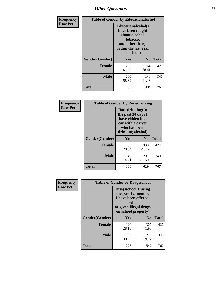# *Other Questions* **87**

| <b>Frequency</b> | <b>Table of Gender by Educationalcohol</b> |                                                                                                                                       |                |              |  |
|------------------|--------------------------------------------|---------------------------------------------------------------------------------------------------------------------------------------|----------------|--------------|--|
| <b>Row Pct</b>   |                                            | <b>Educationalcohol</b> (I<br>have been taught<br>about alcohol,<br>tobacco,<br>and other drugs<br>within the last year<br>at school) |                |              |  |
|                  | Gender(Gender)                             | Yes                                                                                                                                   | $\mathbf{N_0}$ | <b>Total</b> |  |
|                  | <b>Female</b>                              | 263<br>61.59                                                                                                                          | 164<br>38.41   | 427          |  |
|                  | <b>Male</b>                                | 200<br>58.82                                                                                                                          | 140<br>41.18   | 340          |  |
|                  | <b>Total</b>                               | 463                                                                                                                                   | 304            | 767          |  |

| Frequency      | <b>Table of Gender by Rodedrinking</b> |                                                                                                                     |              |              |  |
|----------------|----------------------------------------|---------------------------------------------------------------------------------------------------------------------|--------------|--------------|--|
| <b>Row Pct</b> |                                        | Rodedrinking(In<br>the past 30 days I<br>have ridden in a<br>car with a driver<br>who had been<br>drinking alcohol) |              |              |  |
|                | Gender(Gender)                         | Yes                                                                                                                 | $\bf N_0$    | <b>Total</b> |  |
|                | <b>Female</b>                          | 89<br>20.84                                                                                                         | 338<br>79.16 | 427          |  |
|                | <b>Male</b>                            | 49<br>14.41                                                                                                         | 291<br>85.59 | 340          |  |
|                | <b>Total</b>                           | 138                                                                                                                 | 629          | 767          |  |

| Frequency      | <b>Table of Gender by Drugsschool</b> |                                                                                                                                     |                |              |  |
|----------------|---------------------------------------|-------------------------------------------------------------------------------------------------------------------------------------|----------------|--------------|--|
| <b>Row Pct</b> |                                       | <b>Drugsschool</b> (During<br>the past 12 months,<br>I have been offered,<br>sold,<br>or given illegal drugs<br>on school property) |                |              |  |
|                | Gender(Gender)                        | Yes                                                                                                                                 | N <sub>0</sub> | <b>Total</b> |  |
|                | <b>Female</b>                         | 120<br>28.10                                                                                                                        | 307<br>71.90   | 427          |  |
|                | <b>Male</b>                           | 105<br>30.88                                                                                                                        | 235<br>69.12   | 340          |  |
|                | <b>Total</b>                          | 225                                                                                                                                 | 542            | 767          |  |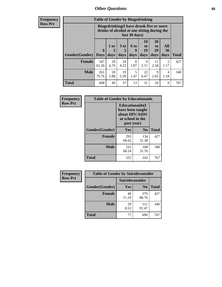# *Other Questions* **88**

**Frequency Row Pct**

| <b>Table of Gender by Bingedrinking</b> |                            |                                                                                                         |                              |                   |                               |                               |                   |              |
|-----------------------------------------|----------------------------|---------------------------------------------------------------------------------------------------------|------------------------------|-------------------|-------------------------------|-------------------------------|-------------------|--------------|
|                                         |                            | Bingedrinking(I have drunk five or more<br>drinks of alcohol at one sitting during the<br>last 30 days) |                              |                   |                               |                               |                   |              |
| <b>Gender</b> (Gender)                  | $\mathbf 0$<br><b>Days</b> | $1$ or<br>2<br>days                                                                                     | 3 <sub>to</sub><br>5<br>days | 6 to<br>9<br>days | <b>10</b><br>to<br>19<br>days | <b>20</b><br>to<br>29<br>days | All<br>30<br>days | <b>Total</b> |
| <b>Female</b>                           | 347<br>81.26               | 29<br>6.79                                                                                              | 18<br>4.22                   | 8<br>1.87         | 9<br>2.11                     | 11<br>2.58                    | 5<br>1.17         | 427          |
| <b>Male</b>                             | 261<br>76.76               | 20<br>5.88                                                                                              | 19<br>5.59                   | 5<br>1.47         | 22<br>6.47                    | 9<br>2.65                     | 4<br>1.18         | 340          |
| <b>Total</b>                            | 608                        | 49                                                                                                      | 37                           | 13                | 31                            | 20                            | 9                 | 767          |

| Frequency      | <b>Table of Gender by Educationaids</b> |                                                                                                 |                |              |
|----------------|-----------------------------------------|-------------------------------------------------------------------------------------------------|----------------|--------------|
| <b>Row Pct</b> |                                         | <b>Educationaids</b> (I<br>have been taught<br>about HIV/AIDS<br>at school in the<br>past year) |                |              |
|                | Gender(Gender)                          | Yes                                                                                             | $\mathbf{N_0}$ | <b>Total</b> |
|                | <b>Female</b>                           | 293<br>68.62                                                                                    | 134<br>31.38   | 427          |
|                | <b>Male</b>                             | 232<br>68.24                                                                                    | 108<br>31.76   | 340          |
|                | <b>Total</b>                            | 525                                                                                             | 242            | 767          |

| <b>Frequency</b> | <b>Table of Gender by Suicideconsider</b> |                 |                |              |
|------------------|-------------------------------------------|-----------------|----------------|--------------|
| <b>Row Pct</b>   |                                           | Suicideconsider |                |              |
|                  | Gender(Gender)                            | Yes             | N <sub>0</sub> | <b>Total</b> |
|                  | <b>Female</b>                             | 48<br>11.24     | 379<br>88.76   | 427          |
|                  | <b>Male</b>                               | 29<br>8.53      | 311<br>91.47   | 340          |
|                  | <b>Total</b>                              | 77              | 690            | 767          |

Ŧ.